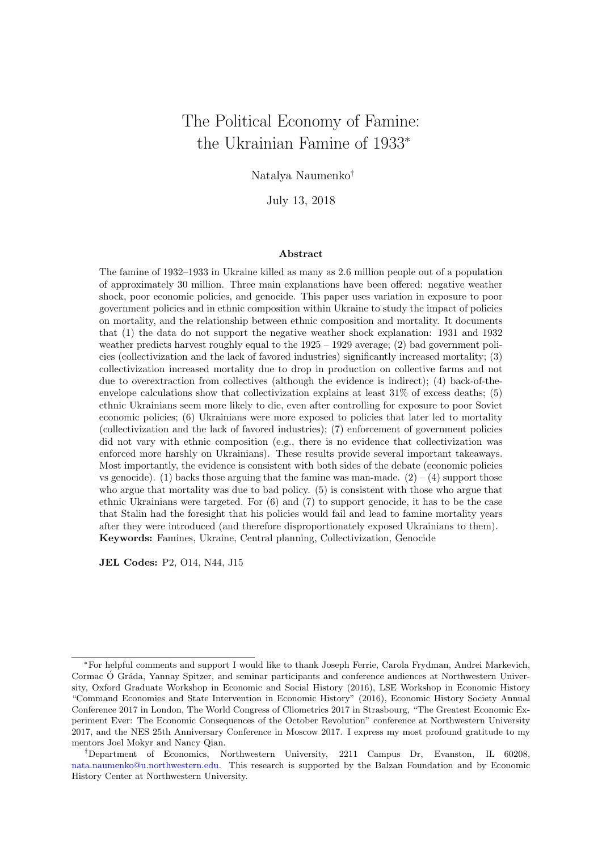# The Political Economy of Famine: the Ukrainian Famine of 1933\*

Natalya Naumenko

July 13, 2018

#### Abstract

The famine of 1932–1933 in Ukraine killed as many as 2.6 million people out of a population of approximately 30 million. Three main explanations have been offered: negative weather shock, poor economic policies, and genocide. This paper uses variation in exposure to poor government policies and in ethnic composition within Ukraine to study the impact of policies on mortality, and the relationship between ethnic composition and mortality. It documents that (1) the data do not support the negative weather shock explanation: 1931 and 1932 weather predicts harvest roughly equal to the  $1925 - 1929$  average; (2) bad government policies (collectivization and the lack of favored industries) significantly increased mortality; (3) collectivization increased mortality due to drop in production on collective farms and not due to overextraction from collectives (although the evidence is indirect); (4) back-of-theenvelope calculations show that collectivization explains at least 31% of excess deaths; (5) ethnic Ukrainians seem more likely to die, even after controlling for exposure to poor Soviet economic policies; (6) Ukrainians were more exposed to policies that later led to mortality (collectivization and the lack of favored industries); (7) enforcement of government policies did not vary with ethnic composition (e.g., there is no evidence that collectivization was enforced more harshly on Ukrainians). These results provide several important takeaways. Most importantly, the evidence is consistent with both sides of the debate (economic policies vs genocide). (1) backs those arguing that the famine was man-made.  $(2) - (4)$  support those who argue that mortality was due to bad policy. (5) is consistent with those who argue that ethnic Ukrainians were targeted. For (6) and (7) to support genocide, it has to be the case that Stalin had the foresight that his policies would fail and lead to famine mortality years after they were introduced (and therefore disproportionately exposed Ukrainians to them). Keywords: Famines, Ukraine, Central planning, Collectivization, Genocide

JEL Codes: P2, O14, N44, J15

<sup>\*</sup>For helpful comments and support I would like to thank Joseph Ferrie, Carola Frydman, Andrei Markevich, Cormac Ó Gráda, Yannay Spitzer, and seminar participants and conference audiences at Northwestern University, Oxford Graduate Workshop in Economic and Social History (2016), LSE Workshop in Economic History "Command Economies and State Intervention in Economic History" (2016), Economic History Society Annual Conference 2017 in London, The World Congress of Cliometrics 2017 in Strasbourg, "The Greatest Economic Experiment Ever: The Economic Consequences of the October Revolution" conference at Northwestern University 2017, and the NES 25th Anniversary Conference in Moscow 2017. I express my most profound gratitude to my mentors Joel Mokyr and Nancy Qian.

Department of Economics, Northwestern University, 2211 Campus Dr, Evanston, IL 60208, [nata.naumenko@u.northwestern.edu.](mailto:nata.naumenko@u.northwestern.edu) This research is supported by the Balzan Foundation and by Economic History Center at Northwestern University.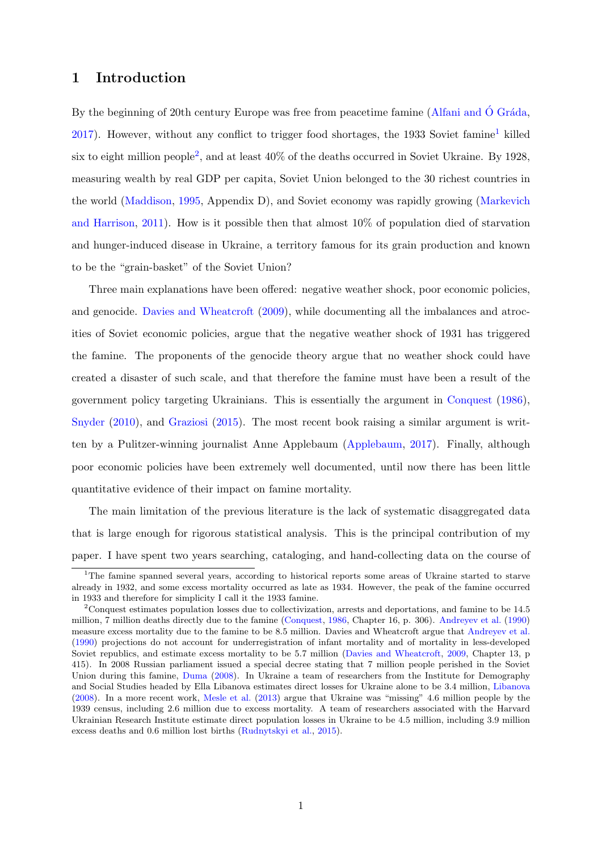# 1 Introduction

By the beginning of 20th century Europe was free from peacetime famine [\(Alfani and](#page-40-0)  $\acute{O}$  Gráda, [2017\)](#page-40-0). However, without any conflict to trigger food shortages, the [1](#page-1-0)933 Soviet famine<sup>1</sup> killed six to eight million people<sup>[2](#page-1-1)</sup>, and at least  $40\%$  of the deaths occurred in Soviet Ukraine. By 1928, measuring wealth by real GDP per capita, Soviet Union belonged to the 30 richest countries in the world [\(Maddison,](#page-41-0) [1995,](#page-41-0) Appendix D), and Soviet economy was rapidly growing [\(Markevich](#page-41-1) [and Harrison,](#page-41-1) [2011\)](#page-41-1). How is it possible then that almost 10% of population died of starvation and hunger-induced disease in Ukraine, a territory famous for its grain production and known to be the "grain-basket" of the Soviet Union?

Three main explanations have been offered: negative weather shock, poor economic policies, and genocide. [Davies and Wheatcroft](#page-40-1) [\(2009\)](#page-40-1), while documenting all the imbalances and atrocities of Soviet economic policies, argue that the negative weather shock of 1931 has triggered the famine. The proponents of the genocide theory argue that no weather shock could have created a disaster of such scale, and that therefore the famine must have been a result of the government policy targeting Ukrainians. This is essentially the argument in [Conquest](#page-40-2) [\(1986\)](#page-40-2), [Snyder](#page-42-0) [\(2010\)](#page-42-0), and [Graziosi](#page-41-2) [\(2015\)](#page-41-2). The most recent book raising a similar argument is written by a Pulitzer-winning journalist Anne Applebaum [\(Applebaum,](#page-40-3) [2017\)](#page-40-3). Finally, although poor economic policies have been extremely well documented, until now there has been little quantitative evidence of their impact on famine mortality.

The main limitation of the previous literature is the lack of systematic disaggregated data that is large enough for rigorous statistical analysis. This is the principal contribution of my paper. I have spent two years searching, cataloging, and hand-collecting data on the course of

<span id="page-1-0"></span><sup>&</sup>lt;sup>1</sup>The famine spanned several years, according to historical reports some areas of Ukraine started to starve already in 1932, and some excess mortality occurred as late as 1934. However, the peak of the famine occurred in 1933 and therefore for simplicity I call it the 1933 famine.

<span id="page-1-1"></span><sup>2</sup>Conquest estimates population losses due to collectivization, arrests and deportations, and famine to be 14.5 million, 7 million deaths directly due to the famine [\(Conquest,](#page-40-2) [1986,](#page-40-2) Chapter 16, p. 306). [Andreyev et al.](#page-40-4) [\(1990\)](#page-40-4) measure excess mortality due to the famine to be 8.5 million. Davies and Wheatcroft argue that [Andreyev et al.](#page-40-4) [\(1990\)](#page-40-4) projections do not account for underregistration of infant mortality and of mortality in less-developed Soviet republics, and estimate excess mortality to be 5.7 million [\(Davies and Wheatcroft,](#page-40-1) [2009,](#page-40-1) Chapter 13, p 415). In 2008 Russian parliament issued a special decree stating that 7 million people perished in the Soviet Union during this famine, [Duma](#page-40-5) [\(2008\)](#page-40-5). In Ukraine a team of researchers from the Institute for Demography and Social Studies headed by Ella Libanova estimates direct losses for Ukraine alone to be 3.4 million, [Libanova](#page-41-3) [\(2008\)](#page-41-3). In a more recent work, [Mesle et al.](#page-42-1) [\(2013\)](#page-42-1) argue that Ukraine was "missing" 4.6 million people by the 1939 census, including 2.6 million due to excess mortality. A team of researchers associated with the Harvard Ukrainian Research Institute estimate direct population losses in Ukraine to be 4.5 million, including 3.9 million excess deaths and 0.6 million lost births [\(Rudnytskyi et al.,](#page-42-2) [2015\)](#page-42-2).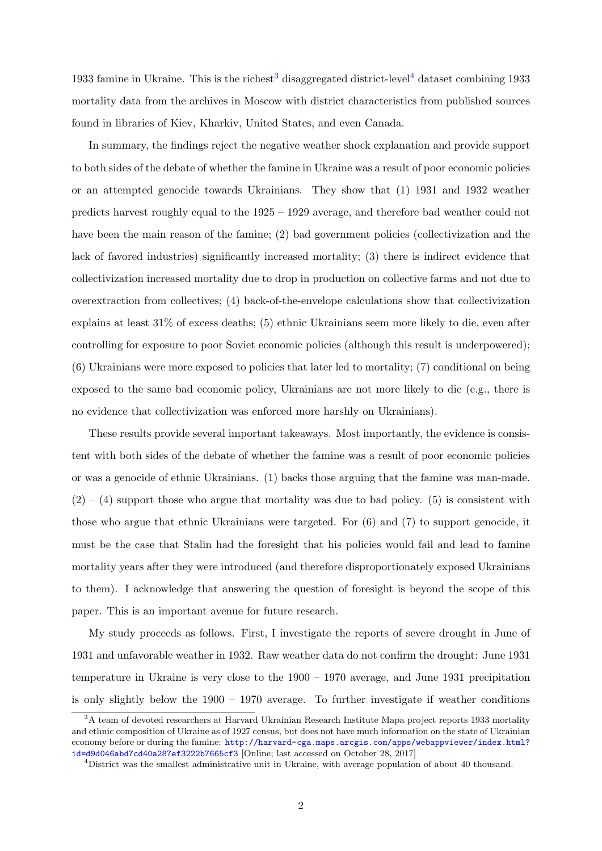19[3](#page-2-0)3 famine in Ukraine. This is the richest<sup>3</sup> disaggregated district-level<sup>[4](#page-2-1)</sup> dataset combining 1933 mortality data from the archives in Moscow with district characteristics from published sources found in libraries of Kiev, Kharkiv, United States, and even Canada.

In summary, the findings reject the negative weather shock explanation and provide support to both sides of the debate of whether the famine in Ukraine was a result of poor economic policies or an attempted genocide towards Ukrainians. They show that (1) 1931 and 1932 weather predicts harvest roughly equal to the 1925 – 1929 average, and therefore bad weather could not have been the main reason of the famine; (2) bad government policies (collectivization and the lack of favored industries) significantly increased mortality; (3) there is indirect evidence that collectivization increased mortality due to drop in production on collective farms and not due to overextraction from collectives; (4) back-of-the-envelope calculations show that collectivization explains at least 31% of excess deaths; (5) ethnic Ukrainians seem more likely to die, even after controlling for exposure to poor Soviet economic policies (although this result is underpowered); (6) Ukrainians were more exposed to policies that later led to mortality; (7) conditional on being exposed to the same bad economic policy, Ukrainians are not more likely to die (e.g., there is no evidence that collectivization was enforced more harshly on Ukrainians).

These results provide several important takeaways. Most importantly, the evidence is consistent with both sides of the debate of whether the famine was a result of poor economic policies or was a genocide of ethnic Ukrainians. (1) backs those arguing that the famine was man-made.  $(2) - (4)$  support those who argue that mortality was due to bad policy. (5) is consistent with those who argue that ethnic Ukrainians were targeted. For (6) and (7) to support genocide, it must be the case that Stalin had the foresight that his policies would fail and lead to famine mortality years after they were introduced (and therefore disproportionately exposed Ukrainians to them). I acknowledge that answering the question of foresight is beyond the scope of this paper. This is an important avenue for future research.

My study proceeds as follows. First, I investigate the reports of severe drought in June of 1931 and unfavorable weather in 1932. Raw weather data do not confirm the drought: June 1931 temperature in Ukraine is very close to the 1900 – 1970 average, and June 1931 precipitation is only slightly below the 1900 – 1970 average. To further investigate if weather conditions

<span id="page-2-0"></span><sup>&</sup>lt;sup>3</sup>A team of devoted researchers at Harvard Ukrainian Research Institute Mapa project reports 1933 mortality and ethnic composition of Ukraine as of 1927 census, but does not have much information on the state of Ukrainian economy before or during the famine: [http://harvard-cga.maps.arcgis.com/apps/webappviewer/index.html?](http://harvard-cga.maps.arcgis.com/apps/webappviewer/index.html?id=d9d046abd7cd40a287ef3222b7665cf3) [id=d9d046abd7cd40a287ef3222b7665cf3](http://harvard-cga.maps.arcgis.com/apps/webappviewer/index.html?id=d9d046abd7cd40a287ef3222b7665cf3) [Online; last accessed on October 28, 2017]

<span id="page-2-1"></span><sup>&</sup>lt;sup>4</sup>District was the smallest administrative unit in Ukraine, with average population of about 40 thousand.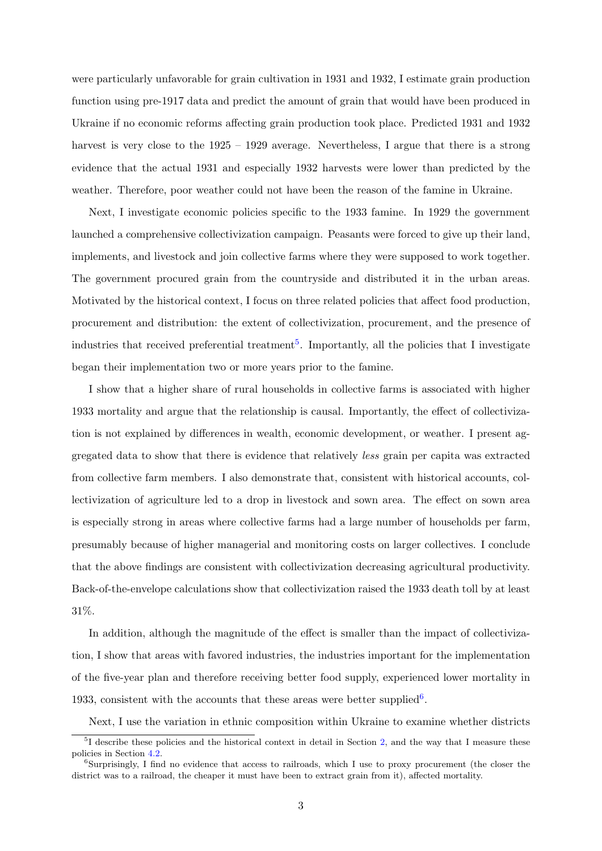were particularly unfavorable for grain cultivation in 1931 and 1932, I estimate grain production function using pre-1917 data and predict the amount of grain that would have been produced in Ukraine if no economic reforms affecting grain production took place. Predicted 1931 and 1932 harvest is very close to the  $1925 - 1929$  average. Nevertheless, I argue that there is a strong evidence that the actual 1931 and especially 1932 harvests were lower than predicted by the weather. Therefore, poor weather could not have been the reason of the famine in Ukraine.

Next, I investigate economic policies specific to the 1933 famine. In 1929 the government launched a comprehensive collectivization campaign. Peasants were forced to give up their land, implements, and livestock and join collective farms where they were supposed to work together. The government procured grain from the countryside and distributed it in the urban areas. Motivated by the historical context, I focus on three related policies that affect food production, procurement and distribution: the extent of collectivization, procurement, and the presence of industries that received preferential treatment<sup>[5](#page-3-0)</sup>. Importantly, all the policies that I investigate began their implementation two or more years prior to the famine.

I show that a higher share of rural households in collective farms is associated with higher 1933 mortality and argue that the relationship is causal. Importantly, the effect of collectivization is not explained by differences in wealth, economic development, or weather. I present aggregated data to show that there is evidence that relatively less grain per capita was extracted from collective farm members. I also demonstrate that, consistent with historical accounts, collectivization of agriculture led to a drop in livestock and sown area. The effect on sown area is especially strong in areas where collective farms had a large number of households per farm, presumably because of higher managerial and monitoring costs on larger collectives. I conclude that the above findings are consistent with collectivization decreasing agricultural productivity. Back-of-the-envelope calculations show that collectivization raised the 1933 death toll by at least 31%.

In addition, although the magnitude of the effect is smaller than the impact of collectivization, I show that areas with favored industries, the industries important for the implementation of the five-year plan and therefore receiving better food supply, experienced lower mortality in 1933, consistent with the accounts that these areas were better supplied<sup>[6](#page-3-1)</sup>.

<span id="page-3-0"></span>Next, I use the variation in ethnic composition within Ukraine to examine whether districts

<sup>&</sup>lt;sup>5</sup>I describe these policies and the historical context in detail in Section [2,](#page-6-0) and the way that I measure these policies in Section [4.2.](#page-20-0)

<span id="page-3-1"></span><sup>&</sup>lt;sup>6</sup>Surprisingly, I find no evidence that access to railroads, which I use to proxy procurement (the closer the district was to a railroad, the cheaper it must have been to extract grain from it), affected mortality.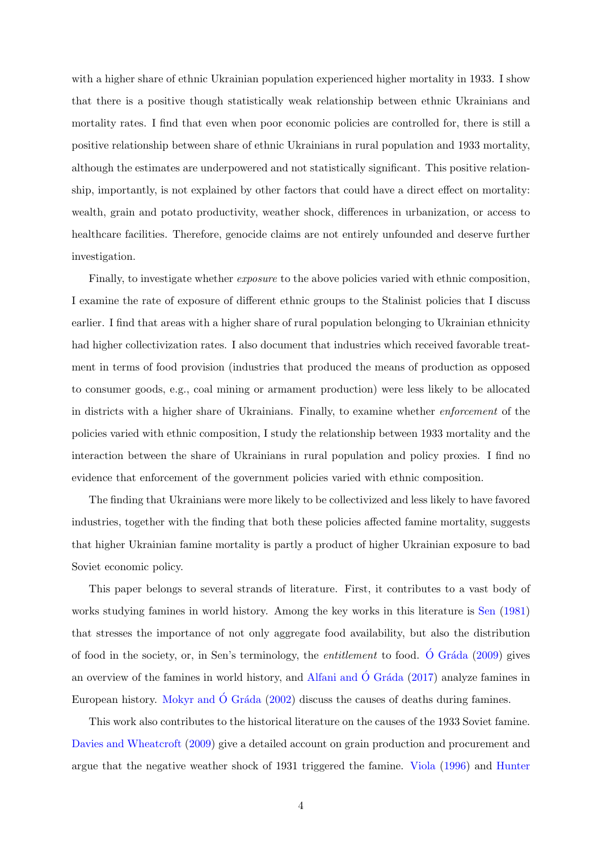with a higher share of ethnic Ukrainian population experienced higher mortality in 1933. I show that there is a positive though statistically weak relationship between ethnic Ukrainians and mortality rates. I find that even when poor economic policies are controlled for, there is still a positive relationship between share of ethnic Ukrainians in rural population and 1933 mortality, although the estimates are underpowered and not statistically significant. This positive relationship, importantly, is not explained by other factors that could have a direct effect on mortality: wealth, grain and potato productivity, weather shock, differences in urbanization, or access to healthcare facilities. Therefore, genocide claims are not entirely unfounded and deserve further investigation.

Finally, to investigate whether *exposure* to the above policies varied with ethnic composition, I examine the rate of exposure of different ethnic groups to the Stalinist policies that I discuss earlier. I find that areas with a higher share of rural population belonging to Ukrainian ethnicity had higher collectivization rates. I also document that industries which received favorable treatment in terms of food provision (industries that produced the means of production as opposed to consumer goods, e.g., coal mining or armament production) were less likely to be allocated in districts with a higher share of Ukrainians. Finally, to examine whether enforcement of the policies varied with ethnic composition, I study the relationship between 1933 mortality and the interaction between the share of Ukrainians in rural population and policy proxies. I find no evidence that enforcement of the government policies varied with ethnic composition.

The finding that Ukrainians were more likely to be collectivized and less likely to have favored industries, together with the finding that both these policies affected famine mortality, suggests that higher Ukrainian famine mortality is partly a product of higher Ukrainian exposure to bad Soviet economic policy.

This paper belongs to several strands of literature. First, it contributes to a vast body of works studying famines in world history. Among the key works in this literature is [Sen](#page-42-3) [\(1981\)](#page-42-3) that stresses the importance of not only aggregate food availability, but also the distribution of food in the society, or, in Sen's terminology, the *entitlement* to food. O Gráda  $(2009)$  gives an overview of the famines in world history, and [Alfani and](#page-40-0)  $\acute{O}$  Gráda  $(2017)$  analyze famines in European history. [Mokyr and](#page-42-5)  $\acute{O}$  Gráda  $(2002)$  discuss the causes of deaths during famines.

This work also contributes to the historical literature on the causes of the 1933 Soviet famine. [Davies and Wheatcroft](#page-40-1) [\(2009\)](#page-40-1) give a detailed account on grain production and procurement and argue that the negative weather shock of 1931 triggered the famine. [Viola](#page-42-6) [\(1996\)](#page-42-6) and [Hunter](#page-41-4)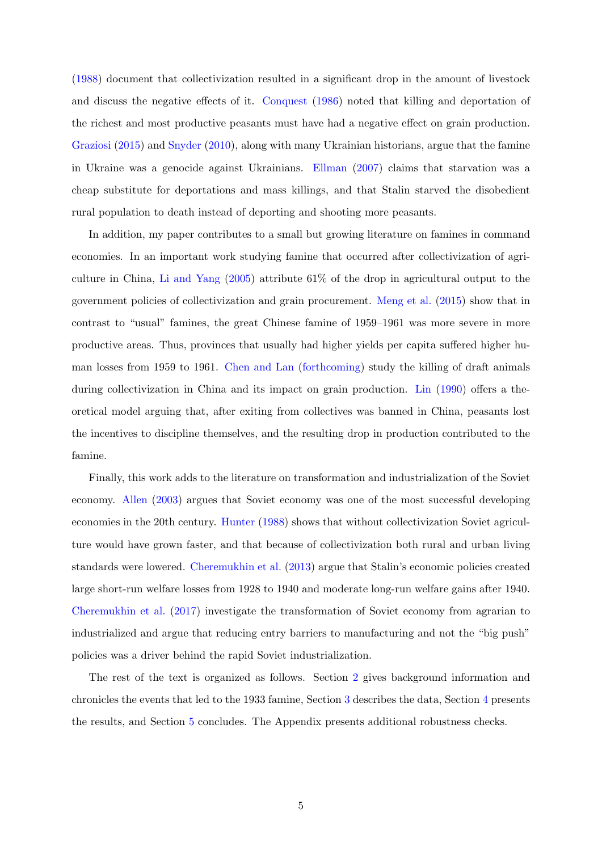[\(1988\)](#page-41-4) document that collectivization resulted in a significant drop in the amount of livestock and discuss the negative effects of it. [Conquest](#page-40-2) [\(1986\)](#page-40-2) noted that killing and deportation of the richest and most productive peasants must have had a negative effect on grain production. [Graziosi](#page-41-2) [\(2015\)](#page-41-2) and [Snyder](#page-42-0) [\(2010\)](#page-42-0), along with many Ukrainian historians, argue that the famine in Ukraine was a genocide against Ukrainians. [Ellman](#page-41-5) [\(2007\)](#page-41-5) claims that starvation was a cheap substitute for deportations and mass killings, and that Stalin starved the disobedient rural population to death instead of deporting and shooting more peasants.

In addition, my paper contributes to a small but growing literature on famines in command economies. In an important work studying famine that occurred after collectivization of agriculture in China, [Li and Yang](#page-41-6) [\(2005\)](#page-41-6) attribute 61% of the drop in agricultural output to the government policies of collectivization and grain procurement. [Meng et al.](#page-41-7) [\(2015\)](#page-41-7) show that in contrast to "usual" famines, the great Chinese famine of 1959–1961 was more severe in more productive areas. Thus, provinces that usually had higher yields per capita suffered higher human losses from 1959 to 1961. [Chen and Lan](#page-40-6) [\(forthcoming\)](#page-40-6) study the killing of draft animals during collectivization in China and its impact on grain production. [Lin](#page-41-8) [\(1990\)](#page-41-8) offers a theoretical model arguing that, after exiting from collectives was banned in China, peasants lost the incentives to discipline themselves, and the resulting drop in production contributed to the famine.

Finally, this work adds to the literature on transformation and industrialization of the Soviet economy. [Allen](#page-40-7) [\(2003\)](#page-40-7) argues that Soviet economy was one of the most successful developing economies in the 20th century. [Hunter](#page-41-4) [\(1988\)](#page-41-4) shows that without collectivization Soviet agriculture would have grown faster, and that because of collectivization both rural and urban living standards were lowered. [Cheremukhin et al.](#page-40-8) [\(2013\)](#page-40-8) argue that Stalin's economic policies created large short-run welfare losses from 1928 to 1940 and moderate long-run welfare gains after 1940. [Cheremukhin et al.](#page-40-9) [\(2017\)](#page-40-9) investigate the transformation of Soviet economy from agrarian to industrialized and argue that reducing entry barriers to manufacturing and not the "big push" policies was a driver behind the rapid Soviet industrialization.

The rest of the text is organized as follows. Section [2](#page-6-0) gives background information and chronicles the events that led to the 1933 famine, Section [3](#page-11-0) describes the data, Section [4](#page-14-0) presents the results, and Section [5](#page-38-0) concludes. The Appendix presents additional robustness checks.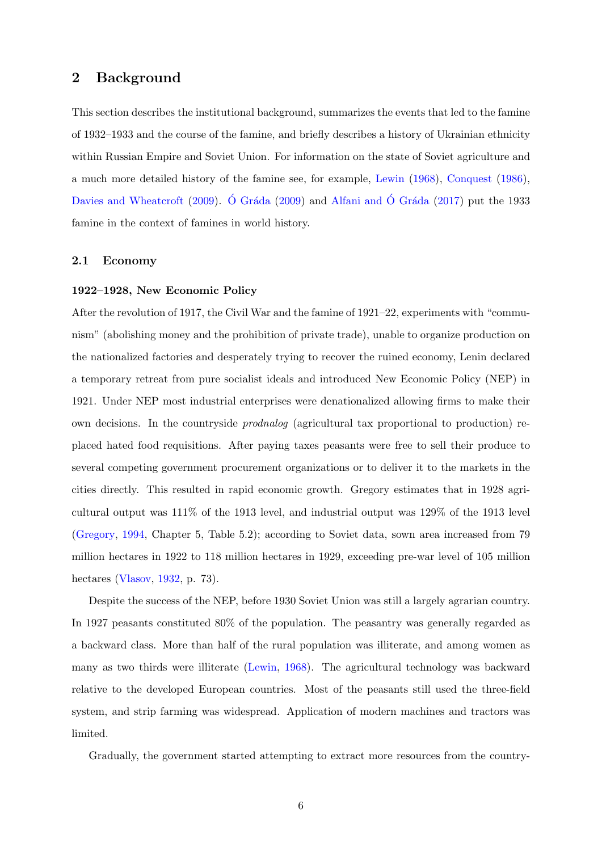# <span id="page-6-0"></span>2 Background

This section describes the institutional background, summarizes the events that led to the famine of 1932–1933 and the course of the famine, and briefly describes a history of Ukrainian ethnicity within Russian Empire and Soviet Union. For information on the state of Soviet agriculture and a much more detailed history of the famine see, for example, [Lewin](#page-41-9) [\(1968\)](#page-41-9), [Conquest](#page-40-2) [\(1986\)](#page-40-2), [Davies and Wheatcroft](#page-40-1) [\(2009\)](#page-42-4). Ó Gráda (2009) and [Alfani and](#page-40-0) Ó Gráda [\(2017\)](#page-40-0) put the 1933 famine in the context of famines in world history.

# 2.1 Economy

### 1922–1928, New Economic Policy

After the revolution of 1917, the Civil War and the famine of 1921–22, experiments with "communism" (abolishing money and the prohibition of private trade), unable to organize production on the nationalized factories and desperately trying to recover the ruined economy, Lenin declared a temporary retreat from pure socialist ideals and introduced New Economic Policy (NEP) in 1921. Under NEP most industrial enterprises were denationalized allowing firms to make their own decisions. In the countryside prodnalog (agricultural tax proportional to production) replaced hated food requisitions. After paying taxes peasants were free to sell their produce to several competing government procurement organizations or to deliver it to the markets in the cities directly. This resulted in rapid economic growth. Gregory estimates that in 1928 agricultural output was 111% of the 1913 level, and industrial output was 129% of the 1913 level [\(Gregory,](#page-41-10) [1994,](#page-41-10) Chapter 5, Table 5.2); according to Soviet data, sown area increased from 79 million hectares in 1922 to 118 million hectares in 1929, exceeding pre-war level of 105 million hectares [\(Vlasov,](#page-43-0) [1932,](#page-43-0) p. 73).

Despite the success of the NEP, before 1930 Soviet Union was still a largely agrarian country. In 1927 peasants constituted 80% of the population. The peasantry was generally regarded as a backward class. More than half of the rural population was illiterate, and among women as many as two thirds were illiterate [\(Lewin,](#page-41-9) [1968\)](#page-41-9). The agricultural technology was backward relative to the developed European countries. Most of the peasants still used the three-field system, and strip farming was widespread. Application of modern machines and tractors was limited.

Gradually, the government started attempting to extract more resources from the country-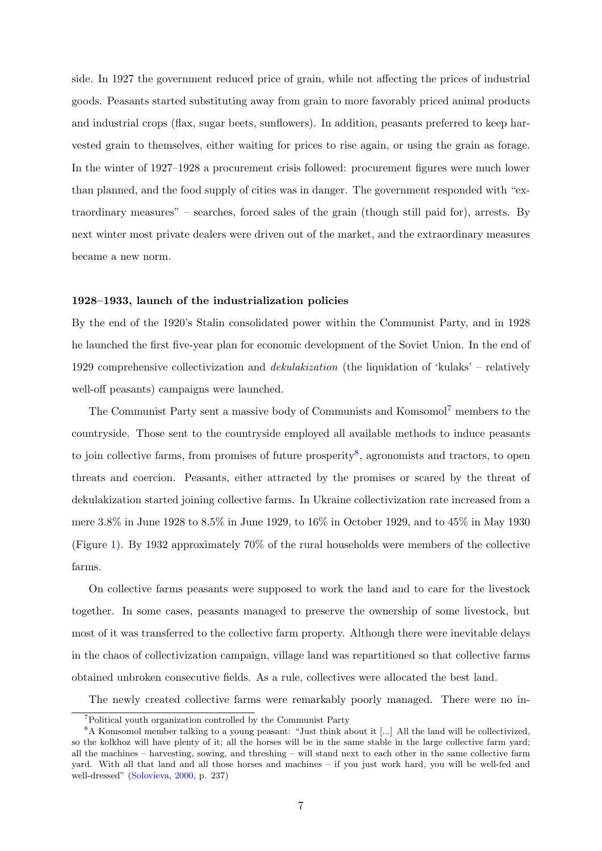side. In 1927 the government reduced price of grain, while not affecting the prices of industrial goods. Peasants started substituting away from grain to more favorably priced animal products and industrial crops (flax, sugar beets, sunflowers). In addition, peasants preferred to keep harvested grain to themselves, either waiting for prices to rise again, or using the grain as forage. In the winter of 1927–1928 a procurement crisis followed: procurement figures were much lower than planned, and the food supply of cities was in danger. The government responded with "extraordinary measures" – searches, forced sales of the grain (though still paid for), arrests. By next winter most private dealers were driven out of the market, and the extraordinary measures became a new norm.

### 1928–1933, launch of the industrialization policies

By the end of the 1920's Stalin consolidated power within the Communist Party, and in 1928 he launched the first five-year plan for economic development of the Soviet Union. In the end of 1929 comprehensive collectivization and *dekulakization* (the liquidation of 'kulaks' – relatively well-off peasants) campaigns were launched.

The Communist Party sent a massive body of Communists and Komsomol<sup>[7](#page-7-0)</sup> members to the countryside. Those sent to the countryside employed all available methods to induce peasants to join collective farms, from promises of future prosperity<sup>[8](#page-7-1)</sup>, agronomists and tractors, to open threats and coercion. Peasants, either attracted by the promises or scared by the threat of dekulakization started joining collective farms. In Ukraine collectivization rate increased from a mere 3.8% in June 1928 to 8.5% in June 1929, to 16% in October 1929, and to 45% in May 1930 (Figure [1\)](#page-44-0). By 1932 approximately 70% of the rural households were members of the collective farms.

On collective farms peasants were supposed to work the land and to care for the livestock together. In some cases, peasants managed to preserve the ownership of some livestock, but most of it was transferred to the collective farm property. Although there were inevitable delays in the chaos of collectivization campaign, village land was repartitioned so that collective farms obtained unbroken consecutive fields. As a rule, collectives were allocated the best land.

The newly created collective farms were remarkably poorly managed. There were no in-

<span id="page-7-1"></span><span id="page-7-0"></span><sup>7</sup>Political youth organization controlled by the Communist Party

<sup>8</sup>A Komsomol member talking to a young peasant: "Just think about it [...] All the land will be collectivized, so the kolkhoz will have plenty of it; all the horses will be in the same stable in the large collective farm yard; all the machines – harvesting, sowing, and threshing – will stand next to each other in the same collective farm yard. With all that land and all those horses and machines – if you just work hard, you will be well-fed and well-dressed" [\(Solovieva,](#page-42-7) [2000,](#page-42-7) p. 237)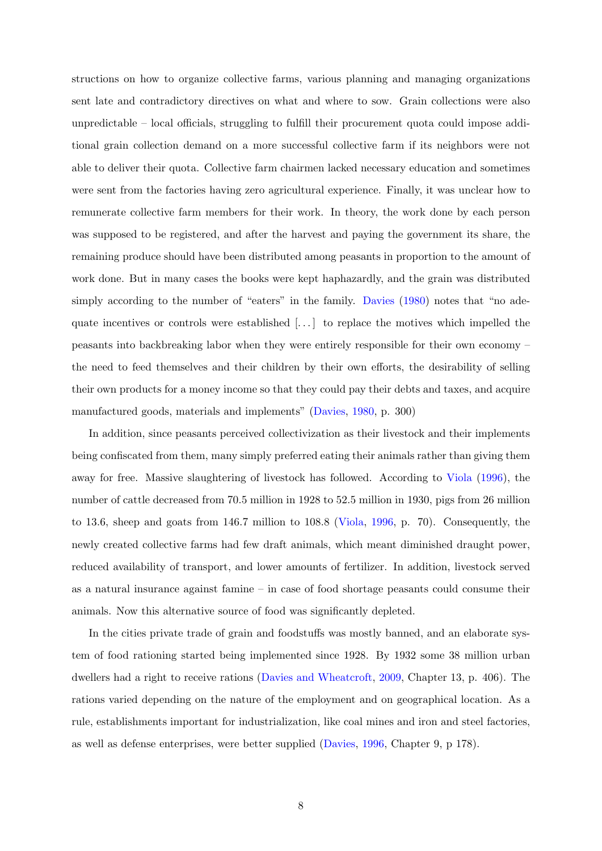structions on how to organize collective farms, various planning and managing organizations sent late and contradictory directives on what and where to sow. Grain collections were also unpredictable – local officials, struggling to fulfill their procurement quota could impose additional grain collection demand on a more successful collective farm if its neighbors were not able to deliver their quota. Collective farm chairmen lacked necessary education and sometimes were sent from the factories having zero agricultural experience. Finally, it was unclear how to remunerate collective farm members for their work. In theory, the work done by each person was supposed to be registered, and after the harvest and paying the government its share, the remaining produce should have been distributed among peasants in proportion to the amount of work done. But in many cases the books were kept haphazardly, and the grain was distributed simply according to the number of "eaters" in the family. [Davies](#page-40-10) [\(1980\)](#page-40-10) notes that "no adequate incentives or controls were established  $[\ldots]$  to replace the motives which impelled the peasants into backbreaking labor when they were entirely responsible for their own economy – the need to feed themselves and their children by their own efforts, the desirability of selling their own products for a money income so that they could pay their debts and taxes, and acquire manufactured goods, materials and implements" [\(Davies,](#page-40-10) [1980,](#page-40-10) p. 300)

In addition, since peasants perceived collectivization as their livestock and their implements being confiscated from them, many simply preferred eating their animals rather than giving them away for free. Massive slaughtering of livestock has followed. According to [Viola](#page-42-6) [\(1996\)](#page-42-6), the number of cattle decreased from 70.5 million in 1928 to 52.5 million in 1930, pigs from 26 million to 13.6, sheep and goats from 146.7 million to 108.8 [\(Viola,](#page-42-6) [1996,](#page-42-6) p. 70). Consequently, the newly created collective farms had few draft animals, which meant diminished draught power, reduced availability of transport, and lower amounts of fertilizer. In addition, livestock served as a natural insurance against famine – in case of food shortage peasants could consume their animals. Now this alternative source of food was significantly depleted.

In the cities private trade of grain and foodstuffs was mostly banned, and an elaborate system of food rationing started being implemented since 1928. By 1932 some 38 million urban dwellers had a right to receive rations [\(Davies and Wheatcroft,](#page-40-1) [2009,](#page-40-1) Chapter 13, p. 406). The rations varied depending on the nature of the employment and on geographical location. As a rule, establishments important for industrialization, like coal mines and iron and steel factories, as well as defense enterprises, were better supplied [\(Davies,](#page-40-11) [1996,](#page-40-11) Chapter 9, p 178).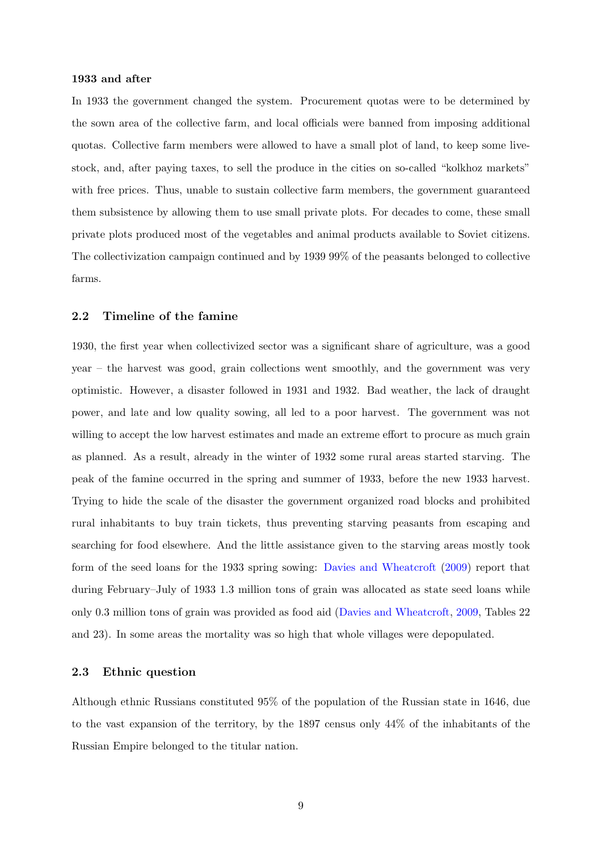#### 1933 and after

In 1933 the government changed the system. Procurement quotas were to be determined by the sown area of the collective farm, and local officials were banned from imposing additional quotas. Collective farm members were allowed to have a small plot of land, to keep some livestock, and, after paying taxes, to sell the produce in the cities on so-called "kolkhoz markets" with free prices. Thus, unable to sustain collective farm members, the government guaranteed them subsistence by allowing them to use small private plots. For decades to come, these small private plots produced most of the vegetables and animal products available to Soviet citizens. The collectivization campaign continued and by 1939 99% of the peasants belonged to collective farms.

### 2.2 Timeline of the famine

1930, the first year when collectivized sector was a significant share of agriculture, was a good year – the harvest was good, grain collections went smoothly, and the government was very optimistic. However, a disaster followed in 1931 and 1932. Bad weather, the lack of draught power, and late and low quality sowing, all led to a poor harvest. The government was not willing to accept the low harvest estimates and made an extreme effort to procure as much grain as planned. As a result, already in the winter of 1932 some rural areas started starving. The peak of the famine occurred in the spring and summer of 1933, before the new 1933 harvest. Trying to hide the scale of the disaster the government organized road blocks and prohibited rural inhabitants to buy train tickets, thus preventing starving peasants from escaping and searching for food elsewhere. And the little assistance given to the starving areas mostly took form of the seed loans for the 1933 spring sowing: [Davies and Wheatcroft](#page-40-1) [\(2009\)](#page-40-1) report that during February–July of 1933 1.3 million tons of grain was allocated as state seed loans while only 0.3 million tons of grain was provided as food aid [\(Davies and Wheatcroft,](#page-40-1) [2009,](#page-40-1) Tables 22 and 23). In some areas the mortality was so high that whole villages were depopulated.

### 2.3 Ethnic question

Although ethnic Russians constituted 95% of the population of the Russian state in 1646, due to the vast expansion of the territory, by the 1897 census only 44% of the inhabitants of the Russian Empire belonged to the titular nation.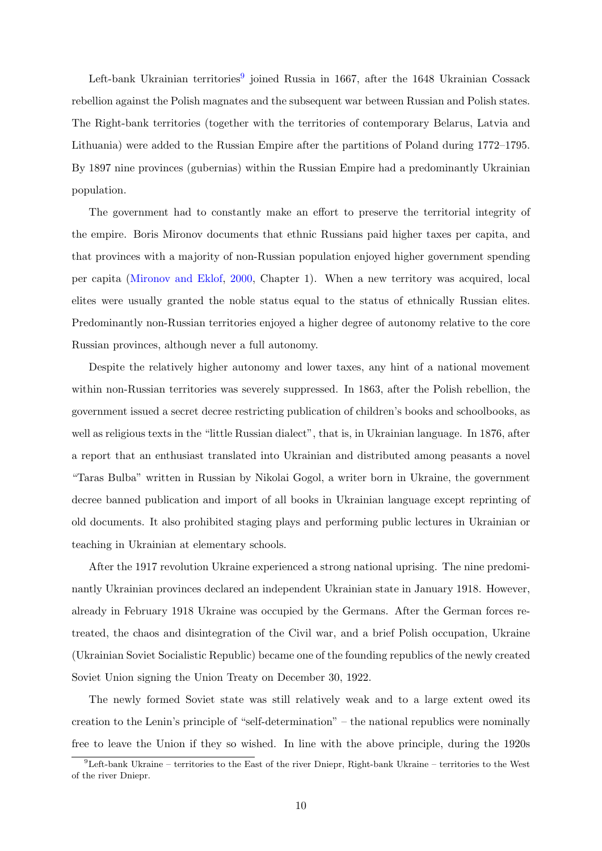Left-bank Ukrainian territories<sup>[9](#page-10-0)</sup> joined Russia in 1667, after the 1648 Ukrainian Cossack rebellion against the Polish magnates and the subsequent war between Russian and Polish states. The Right-bank territories (together with the territories of contemporary Belarus, Latvia and Lithuania) were added to the Russian Empire after the partitions of Poland during 1772–1795. By 1897 nine provinces (gubernias) within the Russian Empire had a predominantly Ukrainian population.

The government had to constantly make an effort to preserve the territorial integrity of the empire. Boris Mironov documents that ethnic Russians paid higher taxes per capita, and that provinces with a majority of non-Russian population enjoyed higher government spending per capita [\(Mironov and Eklof,](#page-42-8) [2000,](#page-42-8) Chapter 1). When a new territory was acquired, local elites were usually granted the noble status equal to the status of ethnically Russian elites. Predominantly non-Russian territories enjoyed a higher degree of autonomy relative to the core Russian provinces, although never a full autonomy.

Despite the relatively higher autonomy and lower taxes, any hint of a national movement within non-Russian territories was severely suppressed. In 1863, after the Polish rebellion, the government issued a secret decree restricting publication of children's books and schoolbooks, as well as religious texts in the "little Russian dialect", that is, in Ukrainian language. In 1876, after a report that an enthusiast translated into Ukrainian and distributed among peasants a novel "Taras Bulba" written in Russian by Nikolai Gogol, a writer born in Ukraine, the government decree banned publication and import of all books in Ukrainian language except reprinting of old documents. It also prohibited staging plays and performing public lectures in Ukrainian or teaching in Ukrainian at elementary schools.

After the 1917 revolution Ukraine experienced a strong national uprising. The nine predominantly Ukrainian provinces declared an independent Ukrainian state in January 1918. However, already in February 1918 Ukraine was occupied by the Germans. After the German forces retreated, the chaos and disintegration of the Civil war, and a brief Polish occupation, Ukraine (Ukrainian Soviet Socialistic Republic) became one of the founding republics of the newly created Soviet Union signing the Union Treaty on December 30, 1922.

The newly formed Soviet state was still relatively weak and to a large extent owed its creation to the Lenin's principle of "self-determination" – the national republics were nominally free to leave the Union if they so wished. In line with the above principle, during the 1920s

<span id="page-10-0"></span> ${}^{9}$ Left-bank Ukraine – territories to the East of the river Dniepr, Right-bank Ukraine – territories to the West of the river Dniepr.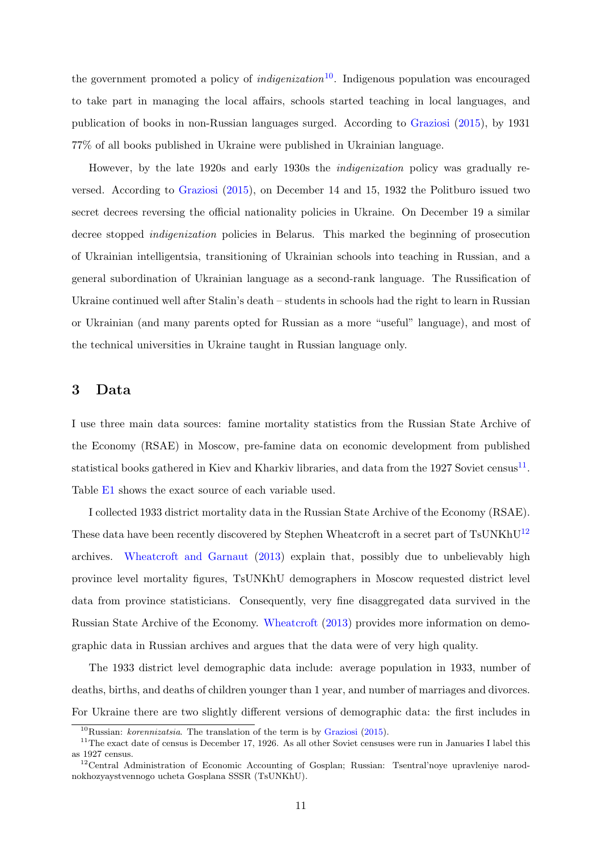the government promoted a policy of *indigenization*<sup>[10](#page-11-1)</sup>. Indigenous population was encouraged to take part in managing the local affairs, schools started teaching in local languages, and publication of books in non-Russian languages surged. According to [Graziosi](#page-41-2) [\(2015\)](#page-41-2), by 1931 77% of all books published in Ukraine were published in Ukrainian language.

However, by the late 1920s and early 1930s the indigenization policy was gradually reversed. According to [Graziosi](#page-41-2) [\(2015\)](#page-41-2), on December 14 and 15, 1932 the Politburo issued two secret decrees reversing the official nationality policies in Ukraine. On December 19 a similar decree stopped indigenization policies in Belarus. This marked the beginning of prosecution of Ukrainian intelligentsia, transitioning of Ukrainian schools into teaching in Russian, and a general subordination of Ukrainian language as a second-rank language. The Russification of Ukraine continued well after Stalin's death – students in schools had the right to learn in Russian or Ukrainian (and many parents opted for Russian as a more "useful" language), and most of the technical universities in Ukraine taught in Russian language only.

# <span id="page-11-0"></span>3 Data

I use three main data sources: famine mortality statistics from the Russian State Archive of the Economy (RSAE) in Moscow, pre-famine data on economic development from published statistical books gathered in Kiev and Kharkiv libraries, and data from the 1927 Soviet census<sup>[11](#page-11-2)</sup>. Table [E1](#page-79-0) shows the exact source of each variable used.

I collected 1933 district mortality data in the Russian State Archive of the Economy (RSAE). These data have been recently discovered by Stephen Wheatcroft in a secret part of TsUNKhU<sup>[12](#page-11-3)</sup> archives. [Wheatcroft and Garnaut](#page-43-1) [\(2013\)](#page-43-1) explain that, possibly due to unbelievably high province level mortality figures, TsUNKhU demographers in Moscow requested district level data from province statisticians. Consequently, very fine disaggregated data survived in the Russian State Archive of the Economy. [Wheatcroft](#page-43-2) [\(2013\)](#page-43-2) provides more information on demographic data in Russian archives and argues that the data were of very high quality.

The 1933 district level demographic data include: average population in 1933, number of deaths, births, and deaths of children younger than 1 year, and number of marriages and divorces. For Ukraine there are two slightly different versions of demographic data: the first includes in

<span id="page-11-2"></span><span id="page-11-1"></span> $10$ Russian: *korennizatsia*. The translation of the term is by [Graziosi](#page-41-2) [\(2015\)](#page-41-2).

 $11$ The exact date of census is December 17, 1926. As all other Soviet censuses were run in Januaries I label this as 1927 census.

<span id="page-11-3"></span><sup>&</sup>lt;sup>12</sup>Central Administration of Economic Accounting of Gosplan; Russian: Tsentral'noye upravleniye narodnokhozyaystvennogo ucheta Gosplana SSSR (TsUNKhU).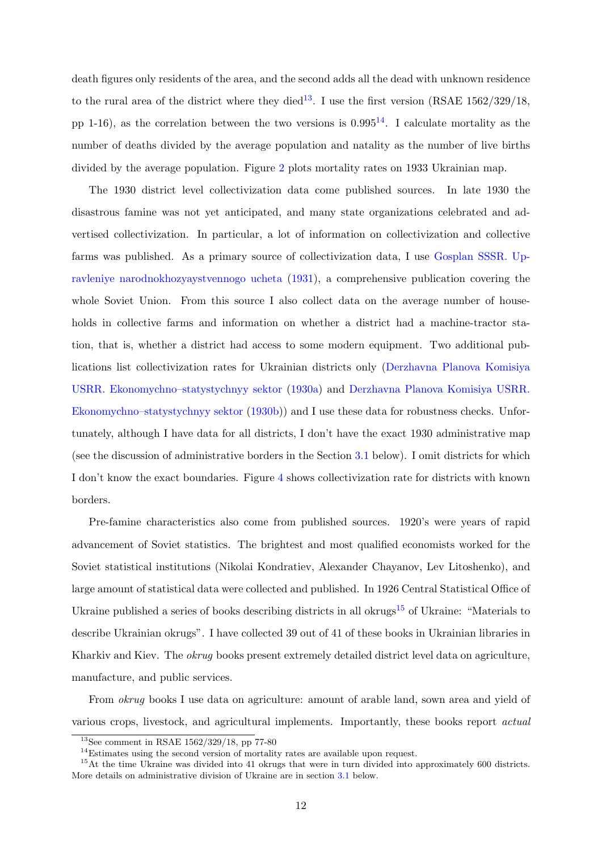death figures only residents of the area, and the second adds all the dead with unknown residence to the rural area of the district where they died<sup>[13](#page-12-0)</sup>. I use the first version (RSAE  $1562/329/18$ , pp 1-16), as the correlation between the two versions is  $0.995^{14}$  $0.995^{14}$  $0.995^{14}$ . I calculate mortality as the number of deaths divided by the average population and natality as the number of live births divided by the average population. Figure [2](#page-44-1) plots mortality rates on 1933 Ukrainian map.

The 1930 district level collectivization data come published sources. In late 1930 the disastrous famine was not yet anticipated, and many state organizations celebrated and advertised collectivization. In particular, a lot of information on collectivization and collective farms was published. As a primary source of collectivization data, I use [Gosplan SSSR. Up](#page-41-11)[ravleniye narodnokhozyaystvennogo ucheta](#page-41-11) [\(1931\)](#page-41-11), a comprehensive publication covering the whole Soviet Union. From this source I also collect data on the average number of households in collective farms and information on whether a district had a machine-tractor station, that is, whether a district had access to some modern equipment. Two additional publications list collectivization rates for Ukrainian districts only [\(Derzhavna Planova Komisiya](#page-40-12) [USRR. Ekonomychno–statystychnyy sektor](#page-40-12) [\(1930a\)](#page-40-12) and [Derzhavna Planova Komisiya USRR.](#page-40-13) [Ekonomychno–statystychnyy sektor](#page-40-13) [\(1930b\)](#page-40-13)) and I use these data for robustness checks. Unfortunately, although I have data for all districts, I don't have the exact 1930 administrative map (see the discussion of administrative borders in the Section [3.1](#page-13-0) below). I omit districts for which I don't know the exact boundaries. Figure [4](#page-45-0) shows collectivization rate for districts with known borders.

Pre-famine characteristics also come from published sources. 1920's were years of rapid advancement of Soviet statistics. The brightest and most qualified economists worked for the Soviet statistical institutions (Nikolai Kondratiev, Alexander Chayanov, Lev Litoshenko), and large amount of statistical data were collected and published. In 1926 Central Statistical Office of Ukraine published a series of books describing districts in all okrugs<sup>[15](#page-12-2)</sup> of Ukraine: "Materials to describe Ukrainian okrugs". I have collected 39 out of 41 of these books in Ukrainian libraries in Kharkiv and Kiev. The okrug books present extremely detailed district level data on agriculture, manufacture, and public services.

From okrug books I use data on agriculture: amount of arable land, sown area and yield of various crops, livestock, and agricultural implements. Importantly, these books report actual

<span id="page-12-0"></span><sup>13</sup>See comment in RSAE 1562/329/18, pp 77-80

<span id="page-12-2"></span><span id="page-12-1"></span><sup>&</sup>lt;sup>14</sup>Estimates using the second version of mortality rates are available upon request.

<sup>&</sup>lt;sup>15</sup>At the time Ukraine was divided into 41 okrugs that were in turn divided into approximately 600 districts. More details on administrative division of Ukraine are in section [3.1](#page-13-0) below.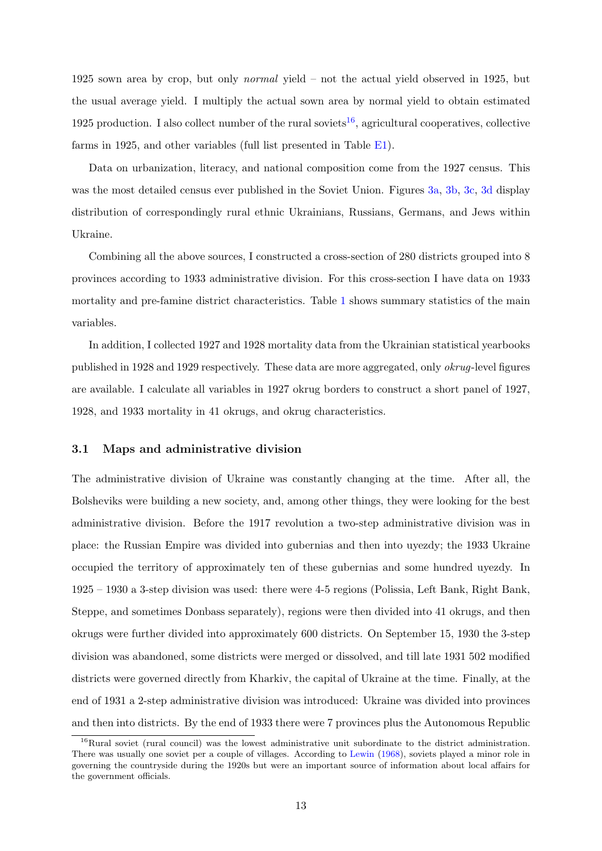1925 sown area by crop, but only normal yield – not the actual yield observed in 1925, but the usual average yield. I multiply the actual sown area by normal yield to obtain estimated 1925 production. I also collect number of the rural soviets<sup>[16](#page-13-1)</sup>, agricultural cooperatives, collective farms in 1925, and other variables (full list presented in Table [E1\)](#page-79-0).

Data on urbanization, literacy, and national composition come from the 1927 census. This was the most detailed census ever published in the Soviet Union. Figures [3a,](#page-45-1) [3b,](#page-45-1) [3c,](#page-45-1) [3d](#page-45-1) display distribution of correspondingly rural ethnic Ukrainians, Russians, Germans, and Jews within Ukraine.

Combining all the above sources, I constructed a cross-section of 280 districts grouped into 8 provinces according to 1933 administrative division. For this cross-section I have data on 1933 mortality and pre-famine district characteristics. Table [1](#page-53-0) shows summary statistics of the main variables.

In addition, I collected 1927 and 1928 mortality data from the Ukrainian statistical yearbooks published in 1928 and 1929 respectively. These data are more aggregated, only okrug-level figures are available. I calculate all variables in 1927 okrug borders to construct a short panel of 1927, 1928, and 1933 mortality in 41 okrugs, and okrug characteristics.

# <span id="page-13-0"></span>3.1 Maps and administrative division

The administrative division of Ukraine was constantly changing at the time. After all, the Bolsheviks were building a new society, and, among other things, they were looking for the best administrative division. Before the 1917 revolution a two-step administrative division was in place: the Russian Empire was divided into gubernias and then into uyezdy; the 1933 Ukraine occupied the territory of approximately ten of these gubernias and some hundred uyezdy. In 1925 – 1930 a 3-step division was used: there were 4-5 regions (Polissia, Left Bank, Right Bank, Steppe, and sometimes Donbass separately), regions were then divided into 41 okrugs, and then okrugs were further divided into approximately 600 districts. On September 15, 1930 the 3-step division was abandoned, some districts were merged or dissolved, and till late 1931 502 modified districts were governed directly from Kharkiv, the capital of Ukraine at the time. Finally, at the end of 1931 a 2-step administrative division was introduced: Ukraine was divided into provinces and then into districts. By the end of 1933 there were 7 provinces plus the Autonomous Republic

<span id="page-13-1"></span><sup>16</sup>Rural soviet (rural council) was the lowest administrative unit subordinate to the district administration. There was usually one soviet per a couple of villages. According to [Lewin](#page-41-9) [\(1968\)](#page-41-9), soviets played a minor role in governing the countryside during the 1920s but were an important source of information about local affairs for the government officials.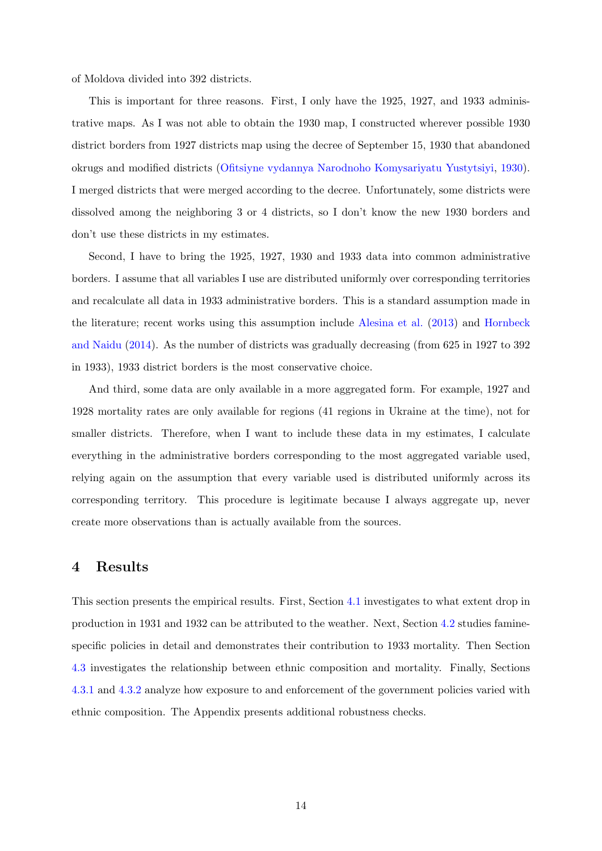of Moldova divided into 392 districts.

This is important for three reasons. First, I only have the 1925, 1927, and 1933 administrative maps. As I was not able to obtain the 1930 map, I constructed wherever possible 1930 district borders from 1927 districts map using the decree of September 15, 1930 that abandoned okrugs and modified districts [\(Ofitsiyne vydannya Narodnoho Komysariyatu Yustytsiyi,](#page-42-9) [1930\)](#page-42-9). I merged districts that were merged according to the decree. Unfortunately, some districts were dissolved among the neighboring 3 or 4 districts, so I don't know the new 1930 borders and don't use these districts in my estimates.

Second, I have to bring the 1925, 1927, 1930 and 1933 data into common administrative borders. I assume that all variables I use are distributed uniformly over corresponding territories and recalculate all data in 1933 administrative borders. This is a standard assumption made in the literature; recent works using this assumption include [Alesina et al.](#page-40-14) [\(2013\)](#page-40-14) and [Hornbeck](#page-41-12) [and Naidu](#page-41-12) [\(2014\)](#page-41-12). As the number of districts was gradually decreasing (from 625 in 1927 to 392 in 1933), 1933 district borders is the most conservative choice.

And third, some data are only available in a more aggregated form. For example, 1927 and 1928 mortality rates are only available for regions (41 regions in Ukraine at the time), not for smaller districts. Therefore, when I want to include these data in my estimates, I calculate everything in the administrative borders corresponding to the most aggregated variable used, relying again on the assumption that every variable used is distributed uniformly across its corresponding territory. This procedure is legitimate because I always aggregate up, never create more observations than is actually available from the sources.

# <span id="page-14-0"></span>4 Results

This section presents the empirical results. First, Section [4.1](#page-15-0) investigates to what extent drop in production in 1931 and 1932 can be attributed to the weather. Next, Section [4.2](#page-20-0) studies faminespecific policies in detail and demonstrates their contribution to 1933 mortality. Then Section [4.3](#page-31-0) investigates the relationship between ethnic composition and mortality. Finally, Sections [4.3.1](#page-36-0) and [4.3.2](#page-38-1) analyze how exposure to and enforcement of the government policies varied with ethnic composition. The Appendix presents additional robustness checks.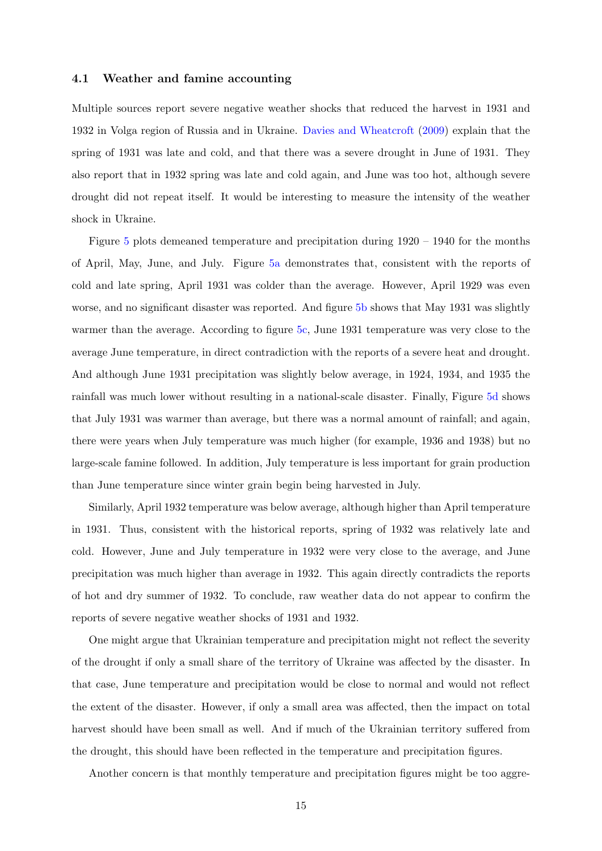### <span id="page-15-0"></span>4.1 Weather and famine accounting

Multiple sources report severe negative weather shocks that reduced the harvest in 1931 and 1932 in Volga region of Russia and in Ukraine. [Davies and Wheatcroft](#page-40-1) [\(2009\)](#page-40-1) explain that the spring of 1931 was late and cold, and that there was a severe drought in June of 1931. They also report that in 1932 spring was late and cold again, and June was too hot, although severe drought did not repeat itself. It would be interesting to measure the intensity of the weather shock in Ukraine.

Figure [5](#page-46-0) plots demeaned temperature and precipitation during 1920 – 1940 for the months of April, May, June, and July. Figure [5a](#page-46-0) demonstrates that, consistent with the reports of cold and late spring, April 1931 was colder than the average. However, April 1929 was even worse, and no significant disaster was reported. And figure [5b](#page-46-0) shows that May 1931 was slightly warmer than the average. According to figure [5c,](#page-46-0) June 1931 temperature was very close to the average June temperature, in direct contradiction with the reports of a severe heat and drought. And although June 1931 precipitation was slightly below average, in 1924, 1934, and 1935 the rainfall was much lower without resulting in a national-scale disaster. Finally, Figure [5d](#page-46-0) shows that July 1931 was warmer than average, but there was a normal amount of rainfall; and again, there were years when July temperature was much higher (for example, 1936 and 1938) but no large-scale famine followed. In addition, July temperature is less important for grain production than June temperature since winter grain begin being harvested in July.

Similarly, April 1932 temperature was below average, although higher than April temperature in 1931. Thus, consistent with the historical reports, spring of 1932 was relatively late and cold. However, June and July temperature in 1932 were very close to the average, and June precipitation was much higher than average in 1932. This again directly contradicts the reports of hot and dry summer of 1932. To conclude, raw weather data do not appear to confirm the reports of severe negative weather shocks of 1931 and 1932.

One might argue that Ukrainian temperature and precipitation might not reflect the severity of the drought if only a small share of the territory of Ukraine was affected by the disaster. In that case, June temperature and precipitation would be close to normal and would not reflect the extent of the disaster. However, if only a small area was affected, then the impact on total harvest should have been small as well. And if much of the Ukrainian territory suffered from the drought, this should have been reflected in the temperature and precipitation figures.

Another concern is that monthly temperature and precipitation figures might be too aggre-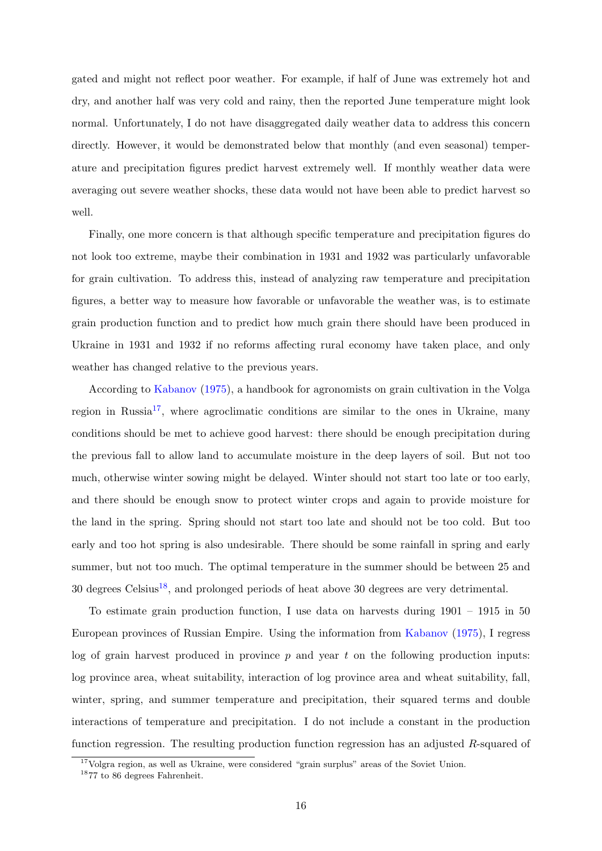gated and might not reflect poor weather. For example, if half of June was extremely hot and dry, and another half was very cold and rainy, then the reported June temperature might look normal. Unfortunately, I do not have disaggregated daily weather data to address this concern directly. However, it would be demonstrated below that monthly (and even seasonal) temperature and precipitation figures predict harvest extremely well. If monthly weather data were averaging out severe weather shocks, these data would not have been able to predict harvest so well.

Finally, one more concern is that although specific temperature and precipitation figures do not look too extreme, maybe their combination in 1931 and 1932 was particularly unfavorable for grain cultivation. To address this, instead of analyzing raw temperature and precipitation figures, a better way to measure how favorable or unfavorable the weather was, is to estimate grain production function and to predict how much grain there should have been produced in Ukraine in 1931 and 1932 if no reforms affecting rural economy have taken place, and only weather has changed relative to the previous years.

According to [Kabanov](#page-41-13) [\(1975\)](#page-41-13), a handbook for agronomists on grain cultivation in the Volga region in Russia<sup>[17](#page-16-0)</sup>, where agroclimatic conditions are similar to the ones in Ukraine, many conditions should be met to achieve good harvest: there should be enough precipitation during the previous fall to allow land to accumulate moisture in the deep layers of soil. But not too much, otherwise winter sowing might be delayed. Winter should not start too late or too early, and there should be enough snow to protect winter crops and again to provide moisture for the land in the spring. Spring should not start too late and should not be too cold. But too early and too hot spring is also undesirable. There should be some rainfall in spring and early summer, but not too much. The optimal temperature in the summer should be between 25 and  $30$  degrees Celsius<sup>[18](#page-16-1)</sup>, and prolonged periods of heat above 30 degrees are very detrimental.

To estimate grain production function, I use data on harvests during 1901 – 1915 in 50 European provinces of Russian Empire. Using the information from [Kabanov](#page-41-13) [\(1975\)](#page-41-13), I regress log of grain harvest produced in province  $p$  and year  $t$  on the following production inputs: log province area, wheat suitability, interaction of log province area and wheat suitability, fall, winter, spring, and summer temperature and precipitation, their squared terms and double interactions of temperature and precipitation. I do not include a constant in the production function regression. The resulting production function regression has an adjusted R-squared of

<span id="page-16-0"></span><sup>&</sup>lt;sup>17</sup>Volgra region, as well as Ukraine, were considered "grain surplus" areas of the Soviet Union.

<span id="page-16-1"></span><sup>18</sup>77 to 86 degrees Fahrenheit.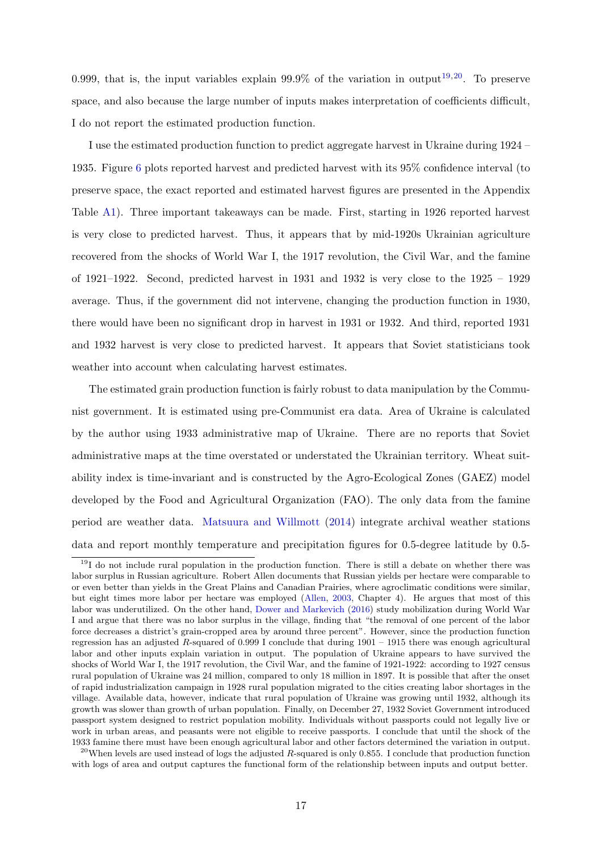0.999, that is, the input variables explain 99.9% of the variation in output<sup>[19](#page-17-0),[20](#page-17-1)</sup>. To preserve space, and also because the large number of inputs makes interpretation of coefficients difficult, I do not report the estimated production function.

I use the estimated production function to predict aggregate harvest in Ukraine during 1924 – 1935. Figure [6](#page-46-1) plots reported harvest and predicted harvest with its 95% confidence interval (to preserve space, the exact reported and estimated harvest figures are presented in the Appendix Table [A1\)](#page-64-0). Three important takeaways can be made. First, starting in 1926 reported harvest is very close to predicted harvest. Thus, it appears that by mid-1920s Ukrainian agriculture recovered from the shocks of World War I, the 1917 revolution, the Civil War, and the famine of 1921–1922. Second, predicted harvest in 1931 and 1932 is very close to the 1925 – 1929 average. Thus, if the government did not intervene, changing the production function in 1930, there would have been no significant drop in harvest in 1931 or 1932. And third, reported 1931 and 1932 harvest is very close to predicted harvest. It appears that Soviet statisticians took weather into account when calculating harvest estimates.

The estimated grain production function is fairly robust to data manipulation by the Communist government. It is estimated using pre-Communist era data. Area of Ukraine is calculated by the author using 1933 administrative map of Ukraine. There are no reports that Soviet administrative maps at the time overstated or understated the Ukrainian territory. Wheat suitability index is time-invariant and is constructed by the Agro-Ecological Zones (GAEZ) model developed by the Food and Agricultural Organization (FAO). The only data from the famine period are weather data. [Matsuura and Willmott](#page-41-14) [\(2014\)](#page-41-14) integrate archival weather stations data and report monthly temperature and precipitation figures for 0.5-degree latitude by 0.5-

<span id="page-17-0"></span><sup>19</sup>I do not include rural population in the production function. There is still a debate on whether there was labor surplus in Russian agriculture. Robert Allen documents that Russian yields per hectare were comparable to or even better than yields in the Great Plains and Canadian Prairies, where agroclimatic conditions were similar, but eight times more labor per hectare was employed [\(Allen,](#page-40-7) [2003,](#page-40-7) Chapter 4). He argues that most of this labor was underutilized. On the other hand, [Dower and Markevich](#page-40-15) [\(2016\)](#page-40-15) study mobilization during World War I and argue that there was no labor surplus in the village, finding that "the removal of one percent of the labor force decreases a district's grain-cropped area by around three percent". However, since the production function regression has an adjusted R-squared of 0.999 I conclude that during 1901 – 1915 there was enough agricultural labor and other inputs explain variation in output. The population of Ukraine appears to have survived the shocks of World War I, the 1917 revolution, the Civil War, and the famine of 1921-1922: according to 1927 census rural population of Ukraine was 24 million, compared to only 18 million in 1897. It is possible that after the onset of rapid industrialization campaign in 1928 rural population migrated to the cities creating labor shortages in the village. Available data, however, indicate that rural population of Ukraine was growing until 1932, although its growth was slower than growth of urban population. Finally, on December 27, 1932 Soviet Government introduced passport system designed to restrict population mobility. Individuals without passports could not legally live or work in urban areas, and peasants were not eligible to receive passports. I conclude that until the shock of the 1933 famine there must have been enough agricultural labor and other factors determined the variation in output.

<span id="page-17-1"></span><sup>&</sup>lt;sup>20</sup>When levels are used instead of logs the adjusted R-squared is only 0.855. I conclude that production function with logs of area and output captures the functional form of the relationship between inputs and output better.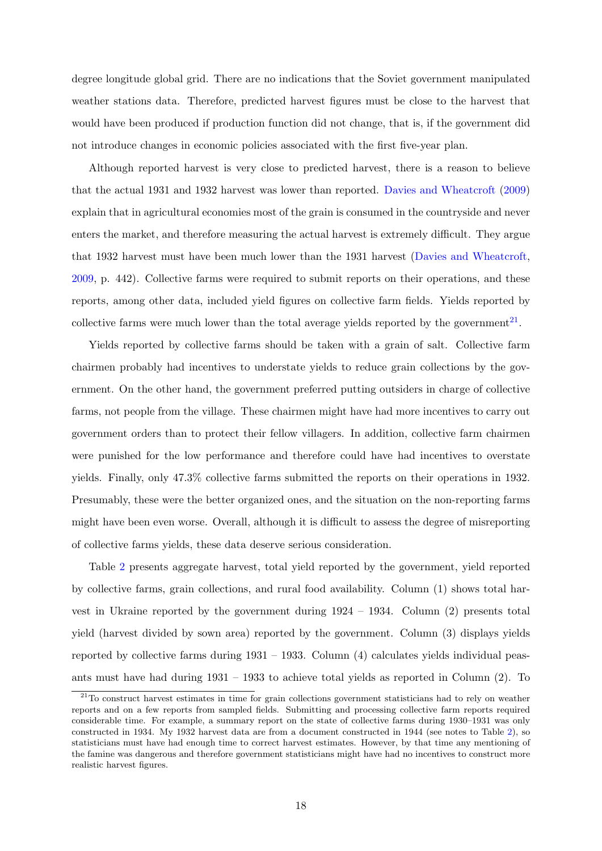degree longitude global grid. There are no indications that the Soviet government manipulated weather stations data. Therefore, predicted harvest figures must be close to the harvest that would have been produced if production function did not change, that is, if the government did not introduce changes in economic policies associated with the first five-year plan.

Although reported harvest is very close to predicted harvest, there is a reason to believe that the actual 1931 and 1932 harvest was lower than reported. [Davies and Wheatcroft](#page-40-1) [\(2009\)](#page-40-1) explain that in agricultural economies most of the grain is consumed in the countryside and never enters the market, and therefore measuring the actual harvest is extremely difficult. They argue that 1932 harvest must have been much lower than the 1931 harvest [\(Davies and Wheatcroft,](#page-40-1) [2009,](#page-40-1) p. 442). Collective farms were required to submit reports on their operations, and these reports, among other data, included yield figures on collective farm fields. Yields reported by collective farms were much lower than the total average yields reported by the government<sup>[21](#page-18-0)</sup>.

Yields reported by collective farms should be taken with a grain of salt. Collective farm chairmen probably had incentives to understate yields to reduce grain collections by the government. On the other hand, the government preferred putting outsiders in charge of collective farms, not people from the village. These chairmen might have had more incentives to carry out government orders than to protect their fellow villagers. In addition, collective farm chairmen were punished for the low performance and therefore could have had incentives to overstate yields. Finally, only 47.3% collective farms submitted the reports on their operations in 1932. Presumably, these were the better organized ones, and the situation on the non-reporting farms might have been even worse. Overall, although it is difficult to assess the degree of misreporting of collective farms yields, these data deserve serious consideration.

Table [2](#page-54-0) presents aggregate harvest, total yield reported by the government, yield reported by collective farms, grain collections, and rural food availability. Column (1) shows total harvest in Ukraine reported by the government during 1924 – 1934. Column (2) presents total yield (harvest divided by sown area) reported by the government. Column (3) displays yields reported by collective farms during  $1931 - 1933$ . Column  $(4)$  calculates yields individual peasants must have had during 1931 – 1933 to achieve total yields as reported in Column (2). To

<span id="page-18-0"></span><sup>&</sup>lt;sup>21</sup>To construct harvest estimates in time for grain collections government statisticians had to rely on weather reports and on a few reports from sampled fields. Submitting and processing collective farm reports required considerable time. For example, a summary report on the state of collective farms during 1930–1931 was only constructed in 1934. My 1932 harvest data are from a document constructed in 1944 (see notes to Table [2\)](#page-54-0), so statisticians must have had enough time to correct harvest estimates. However, by that time any mentioning of the famine was dangerous and therefore government statisticians might have had no incentives to construct more realistic harvest figures.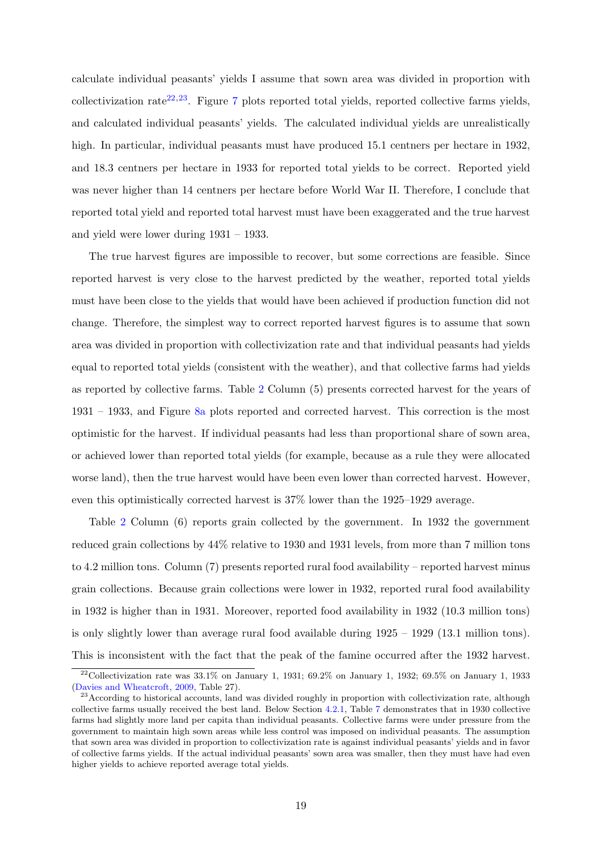calculate individual peasants' yields I assume that sown area was divided in proportion with collectivization rate<sup>[22](#page-19-0),[23](#page-19-1)</sup>. Figure [7](#page-47-0) plots reported total yields, reported collective farms yields, and calculated individual peasants' yields. The calculated individual yields are unrealistically high. In particular, individual peasants must have produced 15.1 centners per hectare in 1932, and 18.3 centners per hectare in 1933 for reported total yields to be correct. Reported yield was never higher than 14 centners per hectare before World War II. Therefore, I conclude that reported total yield and reported total harvest must have been exaggerated and the true harvest and yield were lower during 1931 – 1933.

The true harvest figures are impossible to recover, but some corrections are feasible. Since reported harvest is very close to the harvest predicted by the weather, reported total yields must have been close to the yields that would have been achieved if production function did not change. Therefore, the simplest way to correct reported harvest figures is to assume that sown area was divided in proportion with collectivization rate and that individual peasants had yields equal to reported total yields (consistent with the weather), and that collective farms had yields as reported by collective farms. Table [2](#page-54-0) Column (5) presents corrected harvest for the years of 1931 – 1933, and Figure [8a](#page-47-1) plots reported and corrected harvest. This correction is the most optimistic for the harvest. If individual peasants had less than proportional share of sown area, or achieved lower than reported total yields (for example, because as a rule they were allocated worse land), then the true harvest would have been even lower than corrected harvest. However, even this optimistically corrected harvest is 37% lower than the 1925–1929 average.

Table [2](#page-54-0) Column (6) reports grain collected by the government. In 1932 the government reduced grain collections by 44% relative to 1930 and 1931 levels, from more than 7 million tons to 4.2 million tons. Column (7) presents reported rural food availability – reported harvest minus grain collections. Because grain collections were lower in 1932, reported rural food availability in 1932 is higher than in 1931. Moreover, reported food availability in 1932 (10.3 million tons) is only slightly lower than average rural food available during 1925 – 1929 (13.1 million tons). This is inconsistent with the fact that the peak of the famine occurred after the 1932 harvest.

<span id="page-19-0"></span><sup>&</sup>lt;sup>22</sup>Collectivization rate was  $33.1\%$  on January 1, 1931;  $69.2\%$  on January 1, 1932;  $69.5\%$  on January 1, 1933 [\(Davies and Wheatcroft,](#page-40-1) [2009,](#page-40-1) Table 27).

<span id="page-19-1"></span><sup>&</sup>lt;sup>23</sup> According to historical accounts, land was divided roughly in proportion with collectivization rate, although collective farms usually received the best land. Below Section [4.2.1,](#page-27-0) Table [7](#page-58-0) demonstrates that in 1930 collective farms had slightly more land per capita than individual peasants. Collective farms were under pressure from the government to maintain high sown areas while less control was imposed on individual peasants. The assumption that sown area was divided in proportion to collectivization rate is against individual peasants' yields and in favor of collective farms yields. If the actual individual peasants' sown area was smaller, then they must have had even higher yields to achieve reported average total yields.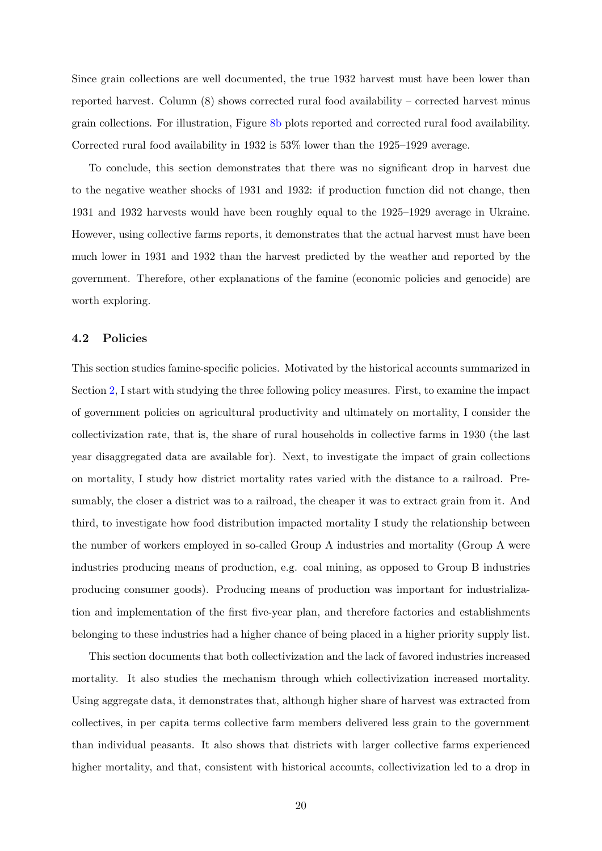Since grain collections are well documented, the true 1932 harvest must have been lower than reported harvest. Column (8) shows corrected rural food availability – corrected harvest minus grain collections. For illustration, Figure [8b](#page-47-1) plots reported and corrected rural food availability. Corrected rural food availability in 1932 is 53% lower than the 1925–1929 average.

To conclude, this section demonstrates that there was no significant drop in harvest due to the negative weather shocks of 1931 and 1932: if production function did not change, then 1931 and 1932 harvests would have been roughly equal to the 1925–1929 average in Ukraine. However, using collective farms reports, it demonstrates that the actual harvest must have been much lower in 1931 and 1932 than the harvest predicted by the weather and reported by the government. Therefore, other explanations of the famine (economic policies and genocide) are worth exploring.

## <span id="page-20-0"></span>4.2 Policies

This section studies famine-specific policies. Motivated by the historical accounts summarized in Section [2,](#page-6-0) I start with studying the three following policy measures. First, to examine the impact of government policies on agricultural productivity and ultimately on mortality, I consider the collectivization rate, that is, the share of rural households in collective farms in 1930 (the last year disaggregated data are available for). Next, to investigate the impact of grain collections on mortality, I study how district mortality rates varied with the distance to a railroad. Presumably, the closer a district was to a railroad, the cheaper it was to extract grain from it. And third, to investigate how food distribution impacted mortality I study the relationship between the number of workers employed in so-called Group A industries and mortality (Group A were industries producing means of production, e.g. coal mining, as opposed to Group B industries producing consumer goods). Producing means of production was important for industrialization and implementation of the first five-year plan, and therefore factories and establishments belonging to these industries had a higher chance of being placed in a higher priority supply list.

This section documents that both collectivization and the lack of favored industries increased mortality. It also studies the mechanism through which collectivization increased mortality. Using aggregate data, it demonstrates that, although higher share of harvest was extracted from collectives, in per capita terms collective farm members delivered less grain to the government than individual peasants. It also shows that districts with larger collective farms experienced higher mortality, and that, consistent with historical accounts, collectivization led to a drop in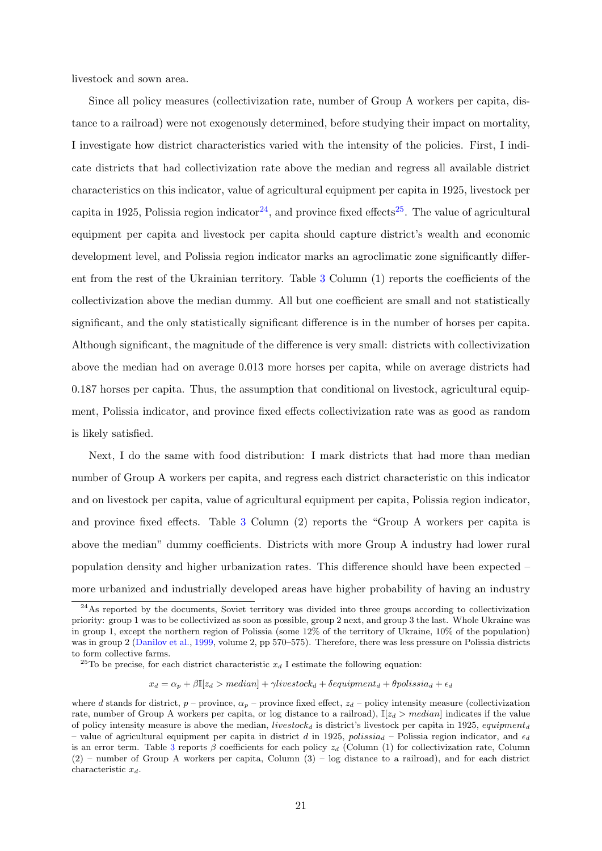livestock and sown area.

Since all policy measures (collectivization rate, number of Group A workers per capita, distance to a railroad) were not exogenously determined, before studying their impact on mortality, I investigate how district characteristics varied with the intensity of the policies. First, I indicate districts that had collectivization rate above the median and regress all available district characteristics on this indicator, value of agricultural equipment per capita in 1925, livestock per capita in 1925, Polissia region indicator<sup>[24](#page-21-0)</sup>, and province fixed effects<sup>[25](#page-21-1)</sup>. The value of agricultural equipment per capita and livestock per capita should capture district's wealth and economic development level, and Polissia region indicator marks an agroclimatic zone significantly different from the rest of the Ukrainian territory. Table [3](#page-55-0) Column (1) reports the coefficients of the collectivization above the median dummy. All but one coefficient are small and not statistically significant, and the only statistically significant difference is in the number of horses per capita. Although significant, the magnitude of the difference is very small: districts with collectivization above the median had on average 0.013 more horses per capita, while on average districts had 0.187 horses per capita. Thus, the assumption that conditional on livestock, agricultural equipment, Polissia indicator, and province fixed effects collectivization rate was as good as random is likely satisfied.

Next, I do the same with food distribution: I mark districts that had more than median number of Group A workers per capita, and regress each district characteristic on this indicator and on livestock per capita, value of agricultural equipment per capita, Polissia region indicator, and province fixed effects. Table [3](#page-55-0) Column (2) reports the "Group A workers per capita is above the median" dummy coefficients. Districts with more Group A industry had lower rural population density and higher urbanization rates. This difference should have been expected – more urbanized and industrially developed areas have higher probability of having an industry

 $x_d = \alpha_p + \beta \mathbb{I}[z_d > median] + \gamma livestock_d + \delta equipment_d + \theta polissia_d + \epsilon_d$ 

<span id="page-21-0"></span><sup>&</sup>lt;sup>24</sup>As reported by the documents, Soviet territory was divided into three groups according to collectivization priority: group 1 was to be collectivized as soon as possible, group 2 next, and group 3 the last. Whole Ukraine was in group 1, except the northern region of Polissia (some 12% of the territory of Ukraine, 10% of the population) was in group 2 [\(Danilov et al.,](#page-40-16) [1999,](#page-40-16) volume 2, pp 570–575). Therefore, there was less pressure on Polissia districts to form collective farms.

<span id="page-21-1"></span><sup>&</sup>lt;sup>25</sup>To be precise, for each district characteristic  $x_d$  I estimate the following equation:

where d stands for district,  $p$  – province,  $\alpha_p$  – province fixed effect,  $z_d$  – policy intensity measure (collectivization rate, number of Group A workers per capita, or log distance to a railroad),  $\mathbb{I}[z_d > \text{median}]$  indicates if the value of policy intensity measure is above the median, *livestock<sub>d</sub>* is district's livestock per capita in 1925, equipment<sub>d</sub> – value of agricultural equipment per capita in district d in 1925, polissia – Polissia region indicator, and  $\epsilon_d$ is an error term. Table [3](#page-55-0) reports  $\beta$  coefficients for each policy  $z_d$  (Column (1) for collectivization rate, Column (2) – number of Group A workers per capita, Column (3) – log distance to a railroad), and for each district characteristic  $x_d$ .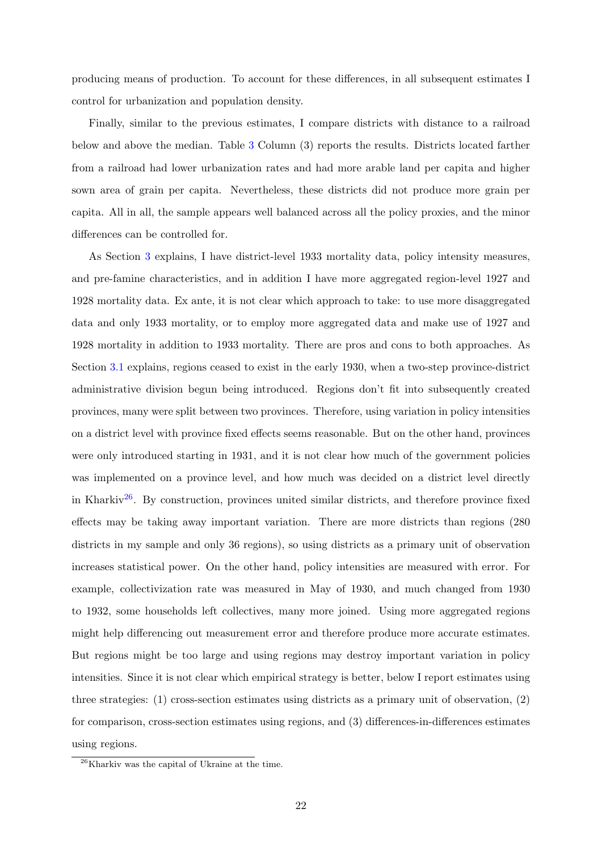producing means of production. To account for these differences, in all subsequent estimates I control for urbanization and population density.

Finally, similar to the previous estimates, I compare districts with distance to a railroad below and above the median. Table [3](#page-55-0) Column (3) reports the results. Districts located farther from a railroad had lower urbanization rates and had more arable land per capita and higher sown area of grain per capita. Nevertheless, these districts did not produce more grain per capita. All in all, the sample appears well balanced across all the policy proxies, and the minor differences can be controlled for.

As Section [3](#page-11-0) explains, I have district-level 1933 mortality data, policy intensity measures, and pre-famine characteristics, and in addition I have more aggregated region-level 1927 and 1928 mortality data. Ex ante, it is not clear which approach to take: to use more disaggregated data and only 1933 mortality, or to employ more aggregated data and make use of 1927 and 1928 mortality in addition to 1933 mortality. There are pros and cons to both approaches. As Section [3.1](#page-13-0) explains, regions ceased to exist in the early 1930, when a two-step province-district administrative division begun being introduced. Regions don't fit into subsequently created provinces, many were split between two provinces. Therefore, using variation in policy intensities on a district level with province fixed effects seems reasonable. But on the other hand, provinces were only introduced starting in 1931, and it is not clear how much of the government policies was implemented on a province level, and how much was decided on a district level directly in Kharkiv<sup>[26](#page-22-0)</sup>. By construction, provinces united similar districts, and therefore province fixed effects may be taking away important variation. There are more districts than regions (280 districts in my sample and only 36 regions), so using districts as a primary unit of observation increases statistical power. On the other hand, policy intensities are measured with error. For example, collectivization rate was measured in May of 1930, and much changed from 1930 to 1932, some households left collectives, many more joined. Using more aggregated regions might help differencing out measurement error and therefore produce more accurate estimates. But regions might be too large and using regions may destroy important variation in policy intensities. Since it is not clear which empirical strategy is better, below I report estimates using three strategies: (1) cross-section estimates using districts as a primary unit of observation, (2) for comparison, cross-section estimates using regions, and (3) differences-in-differences estimates using regions.

<span id="page-22-0"></span><sup>26</sup>Kharkiv was the capital of Ukraine at the time.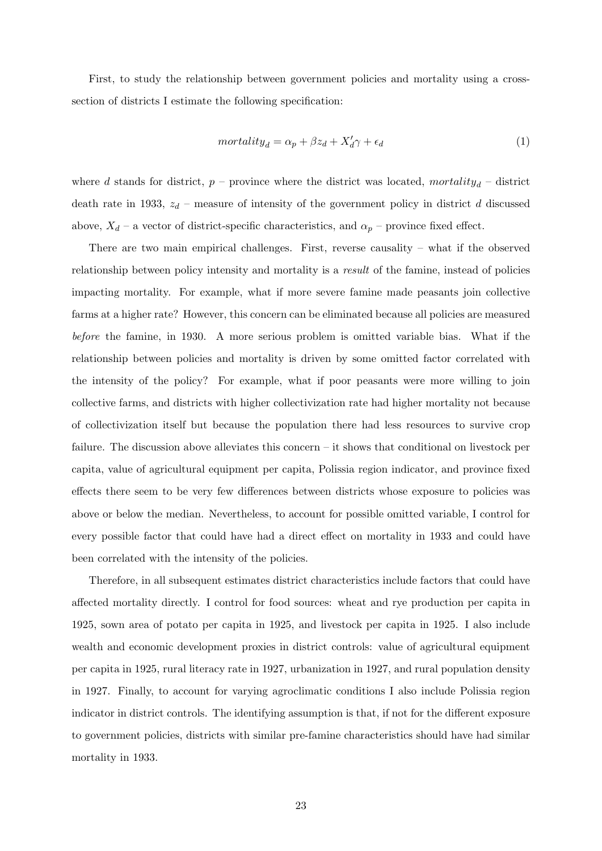First, to study the relationship between government policies and mortality using a crosssection of districts I estimate the following specification:

<span id="page-23-0"></span>
$$
mortality_d = \alpha_p + \beta z_d + X'_d \gamma + \epsilon_d \tag{1}
$$

where d stands for district,  $p$  – province where the district was located, mortality<sub>d</sub> – district death rate in 1933,  $z_d$  – measure of intensity of the government policy in district d discussed above,  $X_d$  – a vector of district-specific characteristics, and  $\alpha_p$  – province fixed effect.

There are two main empirical challenges. First, reverse causality – what if the observed relationship between policy intensity and mortality is a *result* of the famine, instead of policies impacting mortality. For example, what if more severe famine made peasants join collective farms at a higher rate? However, this concern can be eliminated because all policies are measured before the famine, in 1930. A more serious problem is omitted variable bias. What if the relationship between policies and mortality is driven by some omitted factor correlated with the intensity of the policy? For example, what if poor peasants were more willing to join collective farms, and districts with higher collectivization rate had higher mortality not because of collectivization itself but because the population there had less resources to survive crop failure. The discussion above alleviates this concern – it shows that conditional on livestock per capita, value of agricultural equipment per capita, Polissia region indicator, and province fixed effects there seem to be very few differences between districts whose exposure to policies was above or below the median. Nevertheless, to account for possible omitted variable, I control for every possible factor that could have had a direct effect on mortality in 1933 and could have been correlated with the intensity of the policies.

Therefore, in all subsequent estimates district characteristics include factors that could have affected mortality directly. I control for food sources: wheat and rye production per capita in 1925, sown area of potato per capita in 1925, and livestock per capita in 1925. I also include wealth and economic development proxies in district controls: value of agricultural equipment per capita in 1925, rural literacy rate in 1927, urbanization in 1927, and rural population density in 1927. Finally, to account for varying agroclimatic conditions I also include Polissia region indicator in district controls. The identifying assumption is that, if not for the different exposure to government policies, districts with similar pre-famine characteristics should have had similar mortality in 1933.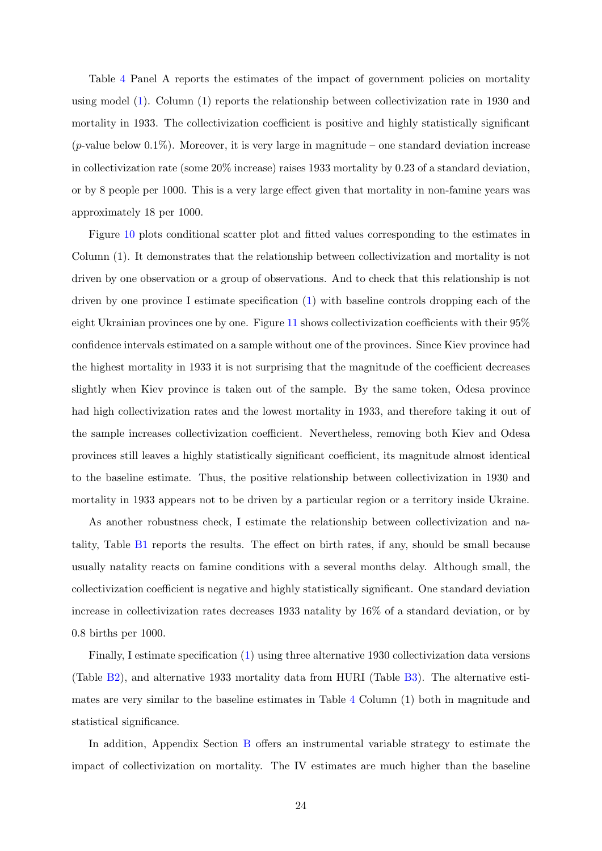Table [4](#page-56-0) Panel A reports the estimates of the impact of government policies on mortality using model [\(1\)](#page-23-0). Column (1) reports the relationship between collectivization rate in 1930 and mortality in 1933. The collectivization coefficient is positive and highly statistically significant  $(p$ -value below 0.1%). Moreover, it is very large in magnitude – one standard deviation increase in collectivization rate (some 20% increase) raises 1933 mortality by 0.23 of a standard deviation, or by 8 people per 1000. This is a very large effect given that mortality in non-famine years was approximately 18 per 1000.

Figure [10](#page-49-0) plots conditional scatter plot and fitted values corresponding to the estimates in Column (1). It demonstrates that the relationship between collectivization and mortality is not driven by one observation or a group of observations. And to check that this relationship is not driven by one province I estimate specification [\(1\)](#page-23-0) with baseline controls dropping each of the eight Ukrainian provinces one by one. Figure [11](#page-49-1) shows collectivization coefficients with their 95% confidence intervals estimated on a sample without one of the provinces. Since Kiev province had the highest mortality in 1933 it is not surprising that the magnitude of the coefficient decreases slightly when Kiev province is taken out of the sample. By the same token, Odesa province had high collectivization rates and the lowest mortality in 1933, and therefore taking it out of the sample increases collectivization coefficient. Nevertheless, removing both Kiev and Odesa provinces still leaves a highly statistically significant coefficient, its magnitude almost identical to the baseline estimate. Thus, the positive relationship between collectivization in 1930 and mortality in 1933 appears not to be driven by a particular region or a territory inside Ukraine.

As another robustness check, I estimate the relationship between collectivization and natality, Table [B1](#page-65-0) reports the results. The effect on birth rates, if any, should be small because usually natality reacts on famine conditions with a several months delay. Although small, the collectivization coefficient is negative and highly statistically significant. One standard deviation increase in collectivization rates decreases 1933 natality by 16% of a standard deviation, or by 0.8 births per 1000.

Finally, I estimate specification [\(1\)](#page-23-0) using three alternative 1930 collectivization data versions (Table [B2\)](#page-65-1), and alternative 1933 mortality data from HURI (Table [B3\)](#page-66-0). The alternative estimates are very similar to the baseline estimates in Table [4](#page-56-0) Column (1) both in magnitude and statistical significance.

In addition, Appendix Section [B](#page-70-0) offers an instrumental variable strategy to estimate the impact of collectivization on mortality. The IV estimates are much higher than the baseline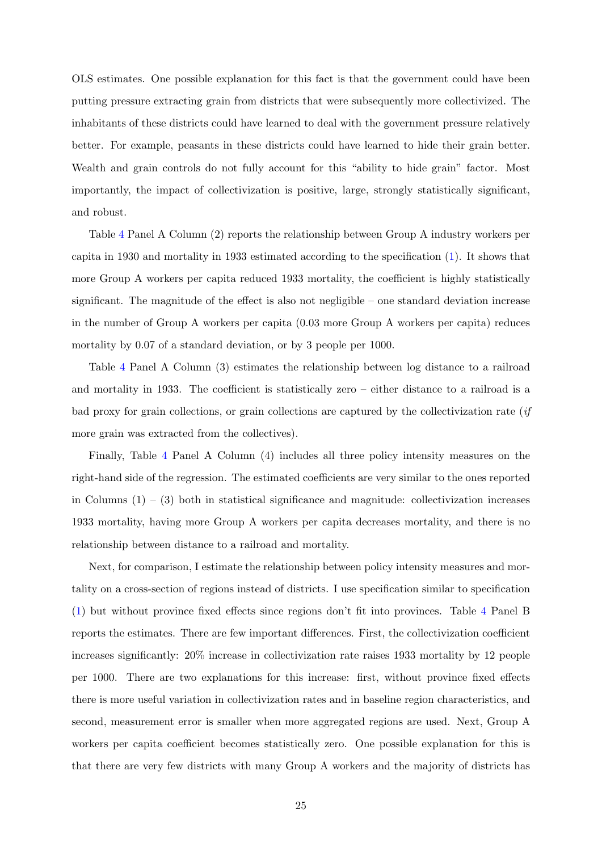OLS estimates. One possible explanation for this fact is that the government could have been putting pressure extracting grain from districts that were subsequently more collectivized. The inhabitants of these districts could have learned to deal with the government pressure relatively better. For example, peasants in these districts could have learned to hide their grain better. Wealth and grain controls do not fully account for this "ability to hide grain" factor. Most importantly, the impact of collectivization is positive, large, strongly statistically significant, and robust.

Table [4](#page-56-0) Panel A Column (2) reports the relationship between Group A industry workers per capita in 1930 and mortality in 1933 estimated according to the specification [\(1\)](#page-23-0). It shows that more Group A workers per capita reduced 1933 mortality, the coefficient is highly statistically significant. The magnitude of the effect is also not negligible – one standard deviation increase in the number of Group A workers per capita (0.03 more Group A workers per capita) reduces mortality by 0.07 of a standard deviation, or by 3 people per 1000.

Table [4](#page-56-0) Panel A Column (3) estimates the relationship between log distance to a railroad and mortality in 1933. The coefficient is statistically zero – either distance to a railroad is a bad proxy for grain collections, or grain collections are captured by the collectivization rate  $if$ more grain was extracted from the collectives).

Finally, Table [4](#page-56-0) Panel A Column (4) includes all three policy intensity measures on the right-hand side of the regression. The estimated coefficients are very similar to the ones reported in Columns  $(1) - (3)$  both in statistical significance and magnitude: collectivization increases 1933 mortality, having more Group A workers per capita decreases mortality, and there is no relationship between distance to a railroad and mortality.

Next, for comparison, I estimate the relationship between policy intensity measures and mortality on a cross-section of regions instead of districts. I use specification similar to specification [\(1\)](#page-23-0) but without province fixed effects since regions don't fit into provinces. Table [4](#page-56-0) Panel B reports the estimates. There are few important differences. First, the collectivization coefficient increases significantly: 20% increase in collectivization rate raises 1933 mortality by 12 people per 1000. There are two explanations for this increase: first, without province fixed effects there is more useful variation in collectivization rates and in baseline region characteristics, and second, measurement error is smaller when more aggregated regions are used. Next, Group A workers per capita coefficient becomes statistically zero. One possible explanation for this is that there are very few districts with many Group A workers and the majority of districts has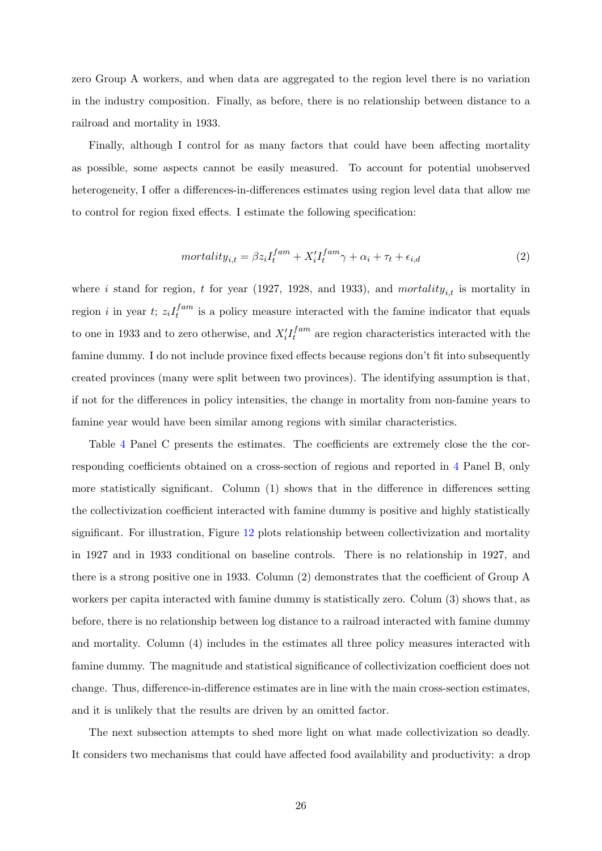zero Group A workers, and when data are aggregated to the region level there is no variation in the industry composition. Finally, as before, there is no relationship between distance to a railroad and mortality in 1933.

Finally, although I control for as many factors that could have been affecting mortality as possible, some aspects cannot be easily measured. To account for potential unobserved heterogeneity, I offer a differences-in-differences estimates using region level data that allow me to control for region fixed effects. I estimate the following specification:

$$
mortality_{i,t} = \beta z_i I_t^{fam} + X_i' I_t^{fam} \gamma + \alpha_i + \tau_t + \epsilon_{i,d}
$$
\n<sup>(2)</sup>

where i stand for region, t for year (1927, 1928, and 1933), and mortality<sub>i,t</sub> is mortality in region *i* in year *t*;  $z_i I_t^{fam}$  $t^{fam}$  is a policy measure interacted with the famine indicator that equals to one in 1933 and to zero otherwise, and  $X_i'I_t^{fam}$  $t_t^{jdm}$  are region characteristics interacted with the famine dummy. I do not include province fixed effects because regions don't fit into subsequently created provinces (many were split between two provinces). The identifying assumption is that, if not for the differences in policy intensities, the change in mortality from non-famine years to famine year would have been similar among regions with similar characteristics.

Table [4](#page-56-0) Panel C presents the estimates. The coefficients are extremely close the the corresponding coefficients obtained on a cross-section of regions and reported in [4](#page-56-0) Panel B, only more statistically significant. Column (1) shows that in the difference in differences setting the collectivization coefficient interacted with famine dummy is positive and highly statistically significant. For illustration, Figure [12](#page-50-0) plots relationship between collectivization and mortality in 1927 and in 1933 conditional on baseline controls. There is no relationship in 1927, and there is a strong positive one in 1933. Column (2) demonstrates that the coefficient of Group A workers per capita interacted with famine dummy is statistically zero. Colum (3) shows that, as before, there is no relationship between log distance to a railroad interacted with famine dummy and mortality. Column (4) includes in the estimates all three policy measures interacted with famine dummy. The magnitude and statistical significance of collectivization coefficient does not change. Thus, difference-in-difference estimates are in line with the main cross-section estimates, and it is unlikely that the results are driven by an omitted factor.

The next subsection attempts to shed more light on what made collectivization so deadly. It considers two mechanisms that could have affected food availability and productivity: a drop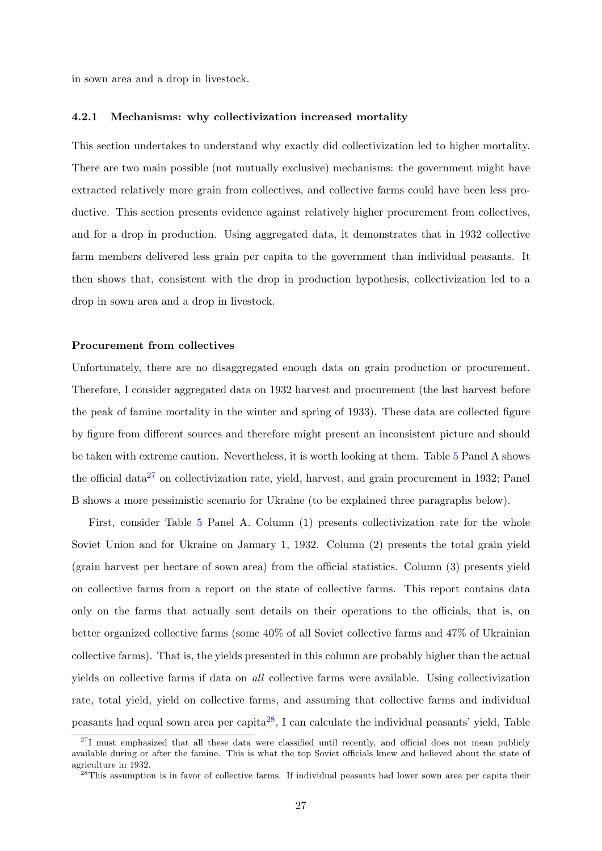in sown area and a drop in livestock.

### <span id="page-27-0"></span>4.2.1 Mechanisms: why collectivization increased mortality

This section undertakes to understand why exactly did collectivization led to higher mortality. There are two main possible (not mutually exclusive) mechanisms: the government might have extracted relatively more grain from collectives, and collective farms could have been less productive. This section presents evidence against relatively higher procurement from collectives, and for a drop in production. Using aggregated data, it demonstrates that in 1932 collective farm members delivered less grain per capita to the government than individual peasants. It then shows that, consistent with the drop in production hypothesis, collectivization led to a drop in sown area and a drop in livestock.

#### Procurement from collectives

Unfortunately, there are no disaggregated enough data on grain production or procurement. Therefore, I consider aggregated data on 1932 harvest and procurement (the last harvest before the peak of famine mortality in the winter and spring of 1933). These data are collected figure by figure from different sources and therefore might present an inconsistent picture and should be taken with extreme caution. Nevertheless, it is worth looking at them. Table [5](#page-57-0) Panel A shows the official data<sup>[27](#page-27-1)</sup> on collectivization rate, yield, harvest, and grain procurement in 1932; Panel B shows a more pessimistic scenario for Ukraine (to be explained three paragraphs below).

First, consider Table [5](#page-57-0) Panel A. Column (1) presents collectivization rate for the whole Soviet Union and for Ukraine on January 1, 1932. Column (2) presents the total grain yield (grain harvest per hectare of sown area) from the official statistics. Column (3) presents yield on collective farms from a report on the state of collective farms. This report contains data only on the farms that actually sent details on their operations to the officials, that is, on better organized collective farms (some 40% of all Soviet collective farms and 47% of Ukrainian collective farms). That is, the yields presented in this column are probably higher than the actual yields on collective farms if data on all collective farms were available. Using collectivization rate, total yield, yield on collective farms, and assuming that collective farms and individual peasants had equal sown area per capita<sup>[28](#page-27-2)</sup>, I can calculate the individual peasants' yield, Table

<span id="page-27-1"></span><sup>&</sup>lt;sup>27</sup>I must emphasized that all these data were classified until recently, and official does not mean publicly available during or after the famine. This is what the top Soviet officials knew and believed about the state of agriculture in 1932.

<span id="page-27-2"></span><sup>&</sup>lt;sup>28</sup>This assumption is in favor of collective farms. If individual peasants had lower sown area per capita their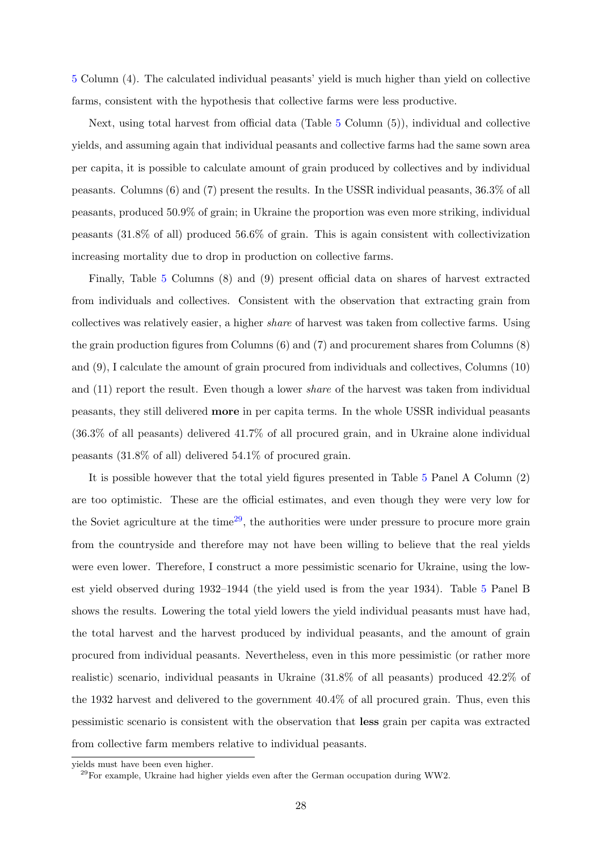[5](#page-57-0) Column (4). The calculated individual peasants' yield is much higher than yield on collective farms, consistent with the hypothesis that collective farms were less productive.

Next, using total harvest from official data (Table [5](#page-57-0) Column (5)), individual and collective yields, and assuming again that individual peasants and collective farms had the same sown area per capita, it is possible to calculate amount of grain produced by collectives and by individual peasants. Columns (6) and (7) present the results. In the USSR individual peasants, 36.3% of all peasants, produced 50.9% of grain; in Ukraine the proportion was even more striking, individual peasants (31.8% of all) produced 56.6% of grain. This is again consistent with collectivization increasing mortality due to drop in production on collective farms.

Finally, Table [5](#page-57-0) Columns (8) and (9) present official data on shares of harvest extracted from individuals and collectives. Consistent with the observation that extracting grain from collectives was relatively easier, a higher share of harvest was taken from collective farms. Using the grain production figures from Columns (6) and (7) and procurement shares from Columns (8) and (9), I calculate the amount of grain procured from individuals and collectives, Columns (10) and (11) report the result. Even though a lower *share* of the harvest was taken from individual peasants, they still delivered more in per capita terms. In the whole USSR individual peasants (36.3% of all peasants) delivered 41.7% of all procured grain, and in Ukraine alone individual peasants (31.8% of all) delivered 54.1% of procured grain.

It is possible however that the total yield figures presented in Table [5](#page-57-0) Panel A Column (2) are too optimistic. These are the official estimates, and even though they were very low for the Soviet agriculture at the time<sup>[29](#page-28-0)</sup>, the authorities were under pressure to procure more grain from the countryside and therefore may not have been willing to believe that the real yields were even lower. Therefore, I construct a more pessimistic scenario for Ukraine, using the lowest yield observed during 1932–1944 (the yield used is from the year 1934). Table [5](#page-57-0) Panel B shows the results. Lowering the total yield lowers the yield individual peasants must have had, the total harvest and the harvest produced by individual peasants, and the amount of grain procured from individual peasants. Nevertheless, even in this more pessimistic (or rather more realistic) scenario, individual peasants in Ukraine (31.8% of all peasants) produced 42.2% of the 1932 harvest and delivered to the government 40.4% of all procured grain. Thus, even this pessimistic scenario is consistent with the observation that less grain per capita was extracted from collective farm members relative to individual peasants.

yields must have been even higher.

<span id="page-28-0"></span> $^{29}$ For example, Ukraine had higher yields even after the German occupation during WW2.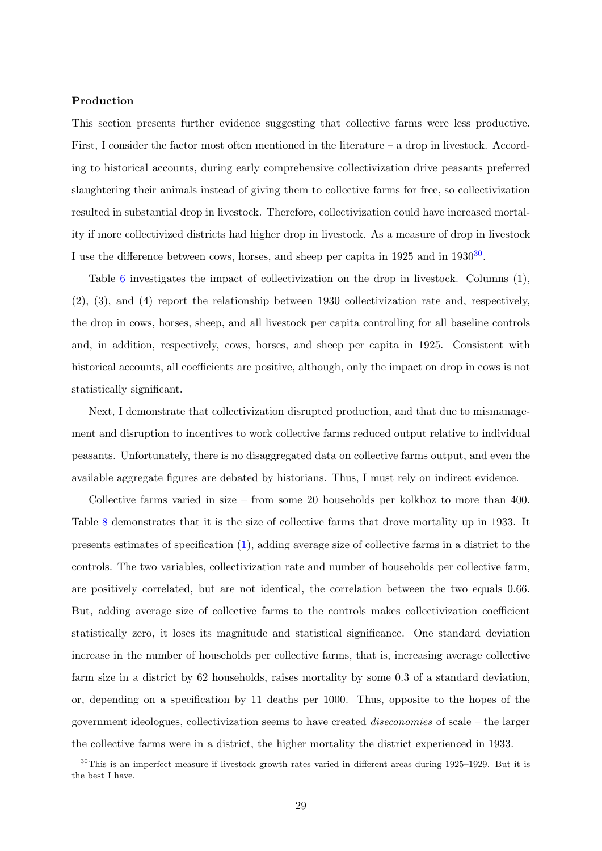### Production

This section presents further evidence suggesting that collective farms were less productive. First, I consider the factor most often mentioned in the literature – a drop in livestock. According to historical accounts, during early comprehensive collectivization drive peasants preferred slaughtering their animals instead of giving them to collective farms for free, so collectivization resulted in substantial drop in livestock. Therefore, collectivization could have increased mortality if more collectivized districts had higher drop in livestock. As a measure of drop in livestock I use the difference between cows, horses, and sheep per capita in 1925 and in 19[30](#page-29-0)<sup>30</sup>.

Table [6](#page-58-1) investigates the impact of collectivization on the drop in livestock. Columns (1), (2), (3), and (4) report the relationship between 1930 collectivization rate and, respectively, the drop in cows, horses, sheep, and all livestock per capita controlling for all baseline controls and, in addition, respectively, cows, horses, and sheep per capita in 1925. Consistent with historical accounts, all coefficients are positive, although, only the impact on drop in cows is not statistically significant.

Next, I demonstrate that collectivization disrupted production, and that due to mismanagement and disruption to incentives to work collective farms reduced output relative to individual peasants. Unfortunately, there is no disaggregated data on collective farms output, and even the available aggregate figures are debated by historians. Thus, I must rely on indirect evidence.

Collective farms varied in size – from some 20 households per kolkhoz to more than 400. Table [8](#page-59-0) demonstrates that it is the size of collective farms that drove mortality up in 1933. It presents estimates of specification [\(1\)](#page-23-0), adding average size of collective farms in a district to the controls. The two variables, collectivization rate and number of households per collective farm, are positively correlated, but are not identical, the correlation between the two equals 0.66. But, adding average size of collective farms to the controls makes collectivization coefficient statistically zero, it loses its magnitude and statistical significance. One standard deviation increase in the number of households per collective farms, that is, increasing average collective farm size in a district by 62 households, raises mortality by some 0.3 of a standard deviation, or, depending on a specification by 11 deaths per 1000. Thus, opposite to the hopes of the government ideologues, collectivization seems to have created diseconomies of scale – the larger the collective farms were in a district, the higher mortality the district experienced in 1933.

<span id="page-29-0"></span><sup>&</sup>lt;sup>30</sup>This is an imperfect measure if livestock growth rates varied in different areas during 1925–1929. But it is the best I have.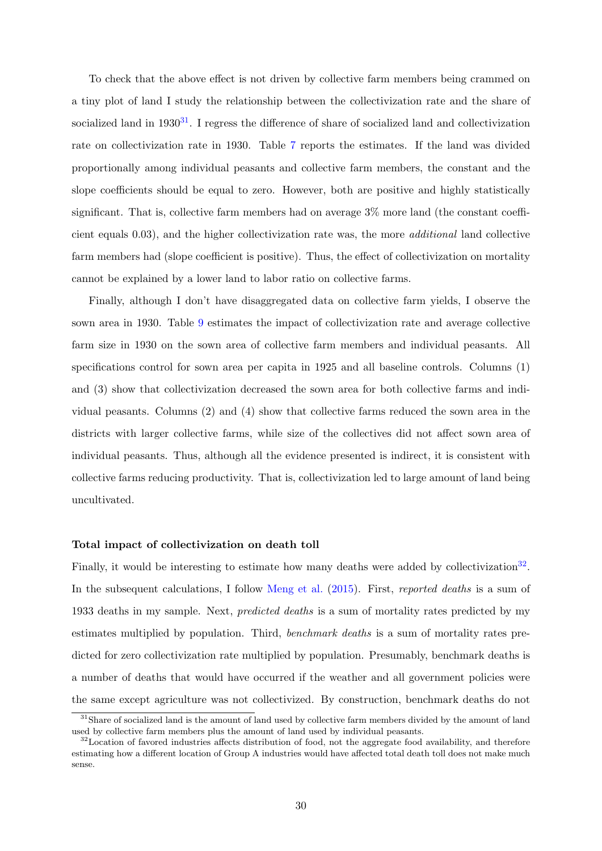To check that the above effect is not driven by collective farm members being crammed on a tiny plot of land I study the relationship between the collectivization rate and the share of socialized land in  $1930^{31}$  $1930^{31}$  $1930^{31}$ . I regress the difference of share of socialized land and collectivization rate on collectivization rate in 1930. Table [7](#page-58-0) reports the estimates. If the land was divided proportionally among individual peasants and collective farm members, the constant and the slope coefficients should be equal to zero. However, both are positive and highly statistically significant. That is, collective farm members had on average 3% more land (the constant coefficient equals 0.03), and the higher collectivization rate was, the more additional land collective farm members had (slope coefficient is positive). Thus, the effect of collectivization on mortality cannot be explained by a lower land to labor ratio on collective farms.

Finally, although I don't have disaggregated data on collective farm yields, I observe the sown area in 1930. Table [9](#page-59-1) estimates the impact of collectivization rate and average collective farm size in 1930 on the sown area of collective farm members and individual peasants. All specifications control for sown area per capita in 1925 and all baseline controls. Columns (1) and (3) show that collectivization decreased the sown area for both collective farms and individual peasants. Columns (2) and (4) show that collective farms reduced the sown area in the districts with larger collective farms, while size of the collectives did not affect sown area of individual peasants. Thus, although all the evidence presented is indirect, it is consistent with collective farms reducing productivity. That is, collectivization led to large amount of land being uncultivated.

### Total impact of collectivization on death toll

Finally, it would be interesting to estimate how many deaths were added by collectivization<sup>[32](#page-30-1)</sup>. In the subsequent calculations, I follow [Meng et al.](#page-41-7) [\(2015\)](#page-41-7). First, reported deaths is a sum of 1933 deaths in my sample. Next, predicted deaths is a sum of mortality rates predicted by my estimates multiplied by population. Third, benchmark deaths is a sum of mortality rates predicted for zero collectivization rate multiplied by population. Presumably, benchmark deaths is a number of deaths that would have occurred if the weather and all government policies were the same except agriculture was not collectivized. By construction, benchmark deaths do not

<span id="page-30-0"></span><sup>&</sup>lt;sup>31</sup>Share of socialized land is the amount of land used by collective farm members divided by the amount of land used by collective farm members plus the amount of land used by individual peasants.

<span id="page-30-1"></span><sup>&</sup>lt;sup>32</sup>Location of favored industries affects distribution of food, not the aggregate food availability, and therefore estimating how a different location of Group A industries would have affected total death toll does not make much sense.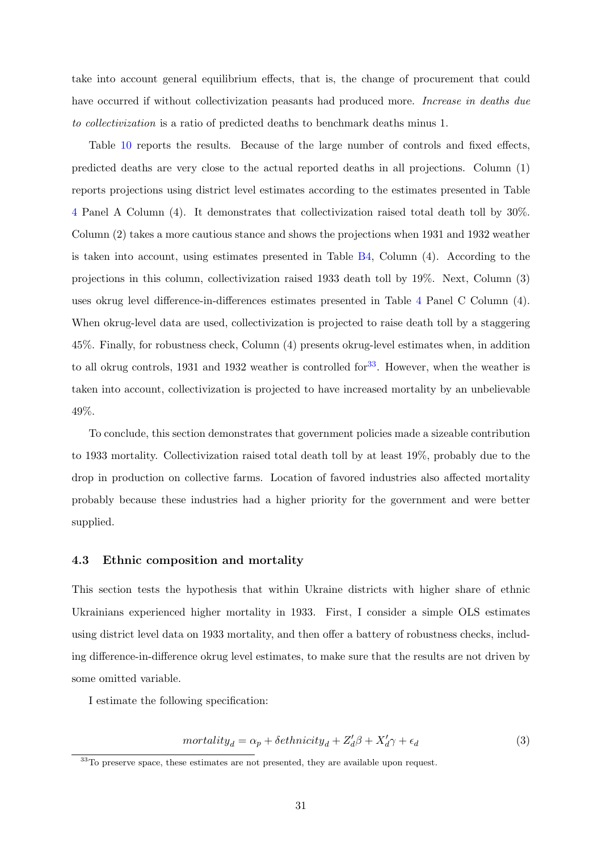take into account general equilibrium effects, that is, the change of procurement that could have occurred if without collectivization peasants had produced more. Increase in deaths due to collectivization is a ratio of predicted deaths to benchmark deaths minus 1.

Table [10](#page-60-0) reports the results. Because of the large number of controls and fixed effects, predicted deaths are very close to the actual reported deaths in all projections. Column (1) reports projections using district level estimates according to the estimates presented in Table [4](#page-56-0) Panel A Column (4). It demonstrates that collectivization raised total death toll by 30%. Column (2) takes a more cautious stance and shows the projections when 1931 and 1932 weather is taken into account, using estimates presented in Table [B4,](#page-67-0) Column (4). According to the projections in this column, collectivization raised 1933 death toll by 19%. Next, Column (3) uses okrug level difference-in-differences estimates presented in Table [4](#page-56-0) Panel C Column (4). When okrug-level data are used, collectivization is projected to raise death toll by a staggering 45%. Finally, for robustness check, Column (4) presents okrug-level estimates when, in addition to all okrug controls, 1931 and 1932 weather is controlled for  $33$ . However, when the weather is taken into account, collectivization is projected to have increased mortality by an unbelievable 49%.

To conclude, this section demonstrates that government policies made a sizeable contribution to 1933 mortality. Collectivization raised total death toll by at least 19%, probably due to the drop in production on collective farms. Location of favored industries also affected mortality probably because these industries had a higher priority for the government and were better supplied.

## <span id="page-31-0"></span>4.3 Ethnic composition and mortality

This section tests the hypothesis that within Ukraine districts with higher share of ethnic Ukrainians experienced higher mortality in 1933. First, I consider a simple OLS estimates using district level data on 1933 mortality, and then offer a battery of robustness checks, including difference-in-difference okrug level estimates, to make sure that the results are not driven by some omitted variable.

I estimate the following specification:

<span id="page-31-2"></span>
$$
mortality_d = \alpha_p + \deltaethnicity_d + Z_d'\beta + X_d'\gamma + \epsilon_d \tag{3}
$$

<span id="page-31-1"></span><sup>33</sup>To preserve space, these estimates are not presented, they are available upon request.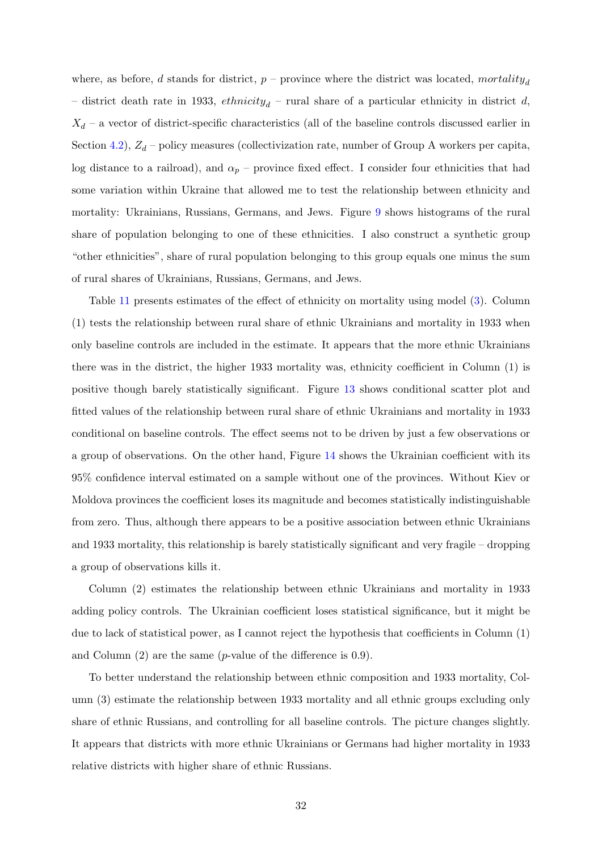where, as before, d stands for district,  $p$  – province where the district was located, mortality<sub>d</sub> – district death rate in 1933,  $\epsilon$ thnicity<sub>d</sub> – rural share of a particular ethnicity in district d,  $X_d$  – a vector of district-specific characteristics (all of the baseline controls discussed earlier in Section [4.2\)](#page-20-0),  $Z_d$  – policy measures (collectivization rate, number of Group A workers per capita, log distance to a railroad), and  $\alpha_p$  – province fixed effect. I consider four ethnicities that had some variation within Ukraine that allowed me to test the relationship between ethnicity and mortality: Ukrainians, Russians, Germans, and Jews. Figure [9](#page-48-0) shows histograms of the rural share of population belonging to one of these ethnicities. I also construct a synthetic group "other ethnicities", share of rural population belonging to this group equals one minus the sum of rural shares of Ukrainians, Russians, Germans, and Jews.

Table [11](#page-61-0) presents estimates of the effect of ethnicity on mortality using model [\(3\)](#page-31-2). Column (1) tests the relationship between rural share of ethnic Ukrainians and mortality in 1933 when only baseline controls are included in the estimate. It appears that the more ethnic Ukrainians there was in the district, the higher 1933 mortality was, ethnicity coefficient in Column (1) is positive though barely statistically significant. Figure [13](#page-50-1) shows conditional scatter plot and fitted values of the relationship between rural share of ethnic Ukrainians and mortality in 1933 conditional on baseline controls. The effect seems not to be driven by just a few observations or a group of observations. On the other hand, Figure [14](#page-51-0) shows the Ukrainian coefficient with its 95% confidence interval estimated on a sample without one of the provinces. Without Kiev or Moldova provinces the coefficient loses its magnitude and becomes statistically indistinguishable from zero. Thus, although there appears to be a positive association between ethnic Ukrainians and 1933 mortality, this relationship is barely statistically significant and very fragile – dropping a group of observations kills it.

Column (2) estimates the relationship between ethnic Ukrainians and mortality in 1933 adding policy controls. The Ukrainian coefficient loses statistical significance, but it might be due to lack of statistical power, as I cannot reject the hypothesis that coefficients in Column (1) and Column  $(2)$  are the same (*p*-value of the difference is 0.9).

To better understand the relationship between ethnic composition and 1933 mortality, Column (3) estimate the relationship between 1933 mortality and all ethnic groups excluding only share of ethnic Russians, and controlling for all baseline controls. The picture changes slightly. It appears that districts with more ethnic Ukrainians or Germans had higher mortality in 1933 relative districts with higher share of ethnic Russians.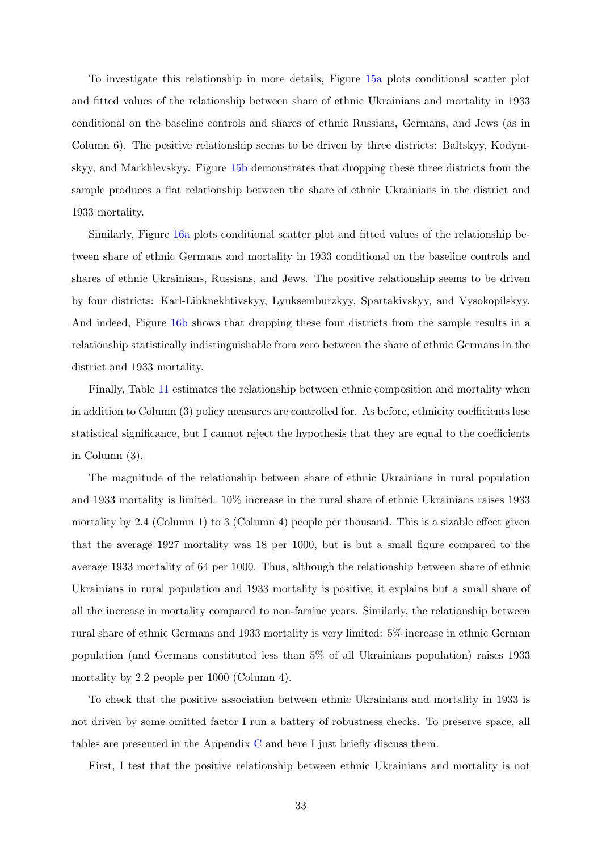To investigate this relationship in more details, Figure [15a](#page-51-1) plots conditional scatter plot and fitted values of the relationship between share of ethnic Ukrainians and mortality in 1933 conditional on the baseline controls and shares of ethnic Russians, Germans, and Jews (as in Column 6). The positive relationship seems to be driven by three districts: Baltskyy, Kodymskyy, and Markhlevskyy. Figure [15b](#page-51-1) demonstrates that dropping these three districts from the sample produces a flat relationship between the share of ethnic Ukrainians in the district and 1933 mortality.

Similarly, Figure [16a](#page-52-0) plots conditional scatter plot and fitted values of the relationship between share of ethnic Germans and mortality in 1933 conditional on the baseline controls and shares of ethnic Ukrainians, Russians, and Jews. The positive relationship seems to be driven by four districts: Karl-Libknekhtivskyy, Lyuksemburzkyy, Spartakivskyy, and Vysokopilskyy. And indeed, Figure [16b](#page-52-0) shows that dropping these four districts from the sample results in a relationship statistically indistinguishable from zero between the share of ethnic Germans in the district and 1933 mortality.

Finally, Table [11](#page-61-0) estimates the relationship between ethnic composition and mortality when in addition to Column (3) policy measures are controlled for. As before, ethnicity coefficients lose statistical significance, but I cannot reject the hypothesis that they are equal to the coefficients in Column (3).

The magnitude of the relationship between share of ethnic Ukrainians in rural population and 1933 mortality is limited. 10% increase in the rural share of ethnic Ukrainians raises 1933 mortality by 2.4 (Column 1) to 3 (Column 4) people per thousand. This is a sizable effect given that the average 1927 mortality was 18 per 1000, but is but a small figure compared to the average 1933 mortality of 64 per 1000. Thus, although the relationship between share of ethnic Ukrainians in rural population and 1933 mortality is positive, it explains but a small share of all the increase in mortality compared to non-famine years. Similarly, the relationship between rural share of ethnic Germans and 1933 mortality is very limited: 5% increase in ethnic German population (and Germans constituted less than 5% of all Ukrainians population) raises 1933 mortality by 2.2 people per 1000 (Column 4).

To check that the positive association between ethnic Ukrainians and mortality in 1933 is not driven by some omitted factor I run a battery of robustness checks. To preserve space, all tables are presented in the Appendix [C](#page-73-0) and here I just briefly discuss them.

First, I test that the positive relationship between ethnic Ukrainians and mortality is not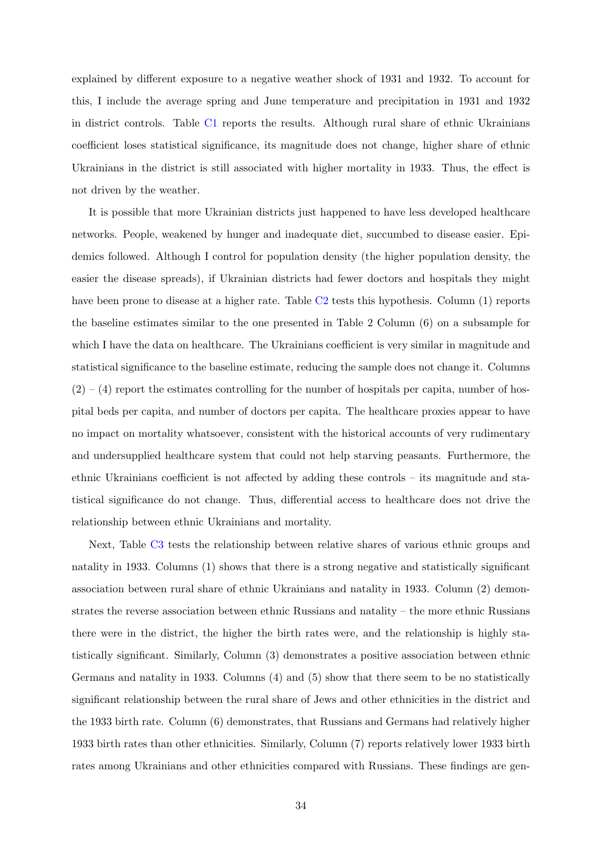explained by different exposure to a negative weather shock of 1931 and 1932. To account for this, I include the average spring and June temperature and precipitation in 1931 and 1932 in district controls. Table [C1](#page-73-1) reports the results. Although rural share of ethnic Ukrainians coefficient loses statistical significance, its magnitude does not change, higher share of ethnic Ukrainians in the district is still associated with higher mortality in 1933. Thus, the effect is not driven by the weather.

It is possible that more Ukrainian districts just happened to have less developed healthcare networks. People, weakened by hunger and inadequate diet, succumbed to disease easier. Epidemics followed. Although I control for population density (the higher population density, the easier the disease spreads), if Ukrainian districts had fewer doctors and hospitals they might have been prone to disease at a higher rate. Table [C2](#page-74-0) tests this hypothesis. Column (1) reports the baseline estimates similar to the one presented in Table 2 Column (6) on a subsample for which I have the data on healthcare. The Ukrainians coefficient is very similar in magnitude and statistical significance to the baseline estimate, reducing the sample does not change it. Columns  $(2) - (4)$  report the estimates controlling for the number of hospitals per capita, number of hospital beds per capita, and number of doctors per capita. The healthcare proxies appear to have no impact on mortality whatsoever, consistent with the historical accounts of very rudimentary and undersupplied healthcare system that could not help starving peasants. Furthermore, the ethnic Ukrainians coefficient is not affected by adding these controls – its magnitude and statistical significance do not change. Thus, differential access to healthcare does not drive the relationship between ethnic Ukrainians and mortality.

Next, Table [C3](#page-75-0) tests the relationship between relative shares of various ethnic groups and natality in 1933. Columns (1) shows that there is a strong negative and statistically significant association between rural share of ethnic Ukrainians and natality in 1933. Column (2) demonstrates the reverse association between ethnic Russians and natality – the more ethnic Russians there were in the district, the higher the birth rates were, and the relationship is highly statistically significant. Similarly, Column (3) demonstrates a positive association between ethnic Germans and natality in 1933. Columns (4) and (5) show that there seem to be no statistically significant relationship between the rural share of Jews and other ethnicities in the district and the 1933 birth rate. Column (6) demonstrates, that Russians and Germans had relatively higher 1933 birth rates than other ethnicities. Similarly, Column (7) reports relatively lower 1933 birth rates among Ukrainians and other ethnicities compared with Russians. These findings are gen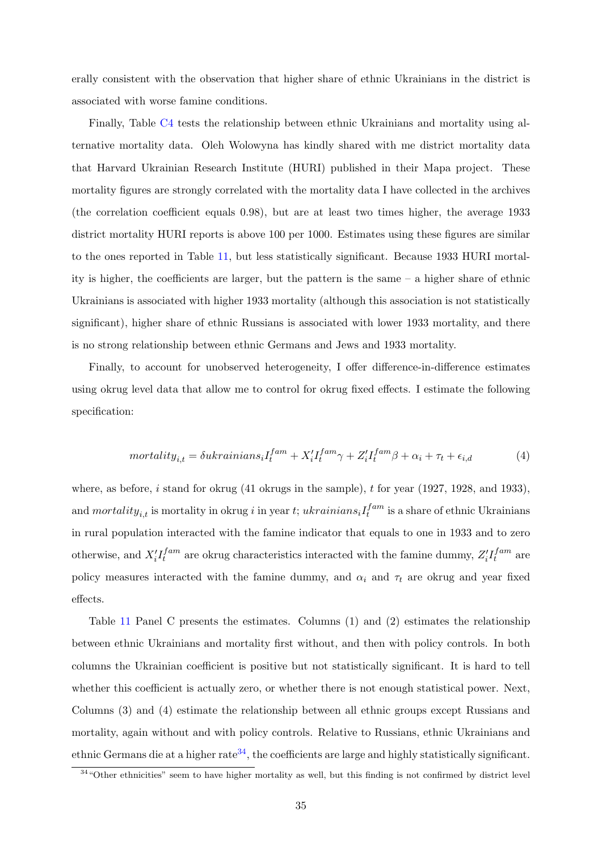erally consistent with the observation that higher share of ethnic Ukrainians in the district is associated with worse famine conditions.

Finally, Table [C4](#page-76-0) tests the relationship between ethnic Ukrainians and mortality using alternative mortality data. Oleh Wolowyna has kindly shared with me district mortality data that Harvard Ukrainian Research Institute (HURI) published in their Mapa project. These mortality figures are strongly correlated with the mortality data I have collected in the archives (the correlation coefficient equals 0.98), but are at least two times higher, the average 1933 district mortality HURI reports is above 100 per 1000. Estimates using these figures are similar to the ones reported in Table [11,](#page-61-0) but less statistically significant. Because 1933 HURI mortality is higher, the coefficients are larger, but the pattern is the same – a higher share of ethnic Ukrainians is associated with higher 1933 mortality (although this association is not statistically significant), higher share of ethnic Russians is associated with lower 1933 mortality, and there is no strong relationship between ethnic Germans and Jews and 1933 mortality.

Finally, to account for unobserved heterogeneity, I offer difference-in-difference estimates using okrug level data that allow me to control for okrug fixed effects. I estimate the following specification:

$$
mortality_{i,t} = \delta u krainians_i I_t^{fam} + X_i' I_t^{fam} \gamma + Z_i' I_t^{fam} \beta + \alpha_i + \tau_t + \epsilon_{i,d}
$$
\n<sup>(4)</sup>

where, as before,  $i$  stand for okrug (41 okrugs in the sample),  $t$  for year (1927, 1928, and 1933), and  $mortality_{i,t}$  is mortality in okrug i in year t; ukrainians<sub>i</sub> $I_t^{fam}$  $t_t^{fam}$  is a share of ethnic Ukrainians in rural population interacted with the famine indicator that equals to one in 1933 and to zero otherwise, and  $X_i'I_t^{fam}$  $f^{am}_{t}$  are okrug characteristics interacted with the famine dummy,  $Z^{\prime}_{i} I^{{fam}}_{t}$  $t^{fam}$  are policy measures interacted with the famine dummy, and  $\alpha_i$  and  $\tau_t$  are okrug and year fixed effects.

Table [11](#page-61-0) Panel C presents the estimates. Columns (1) and (2) estimates the relationship between ethnic Ukrainians and mortality first without, and then with policy controls. In both columns the Ukrainian coefficient is positive but not statistically significant. It is hard to tell whether this coefficient is actually zero, or whether there is not enough statistical power. Next, Columns (3) and (4) estimate the relationship between all ethnic groups except Russians and mortality, again without and with policy controls. Relative to Russians, ethnic Ukrainians and ethnic Germans die at a higher rate<sup>[34](#page-35-0)</sup>, the coefficients are large and highly statistically significant.

<span id="page-35-0"></span><sup>&</sup>lt;sup>34</sup>"Other ethnicities" seem to have higher mortality as well, but this finding is not confirmed by district level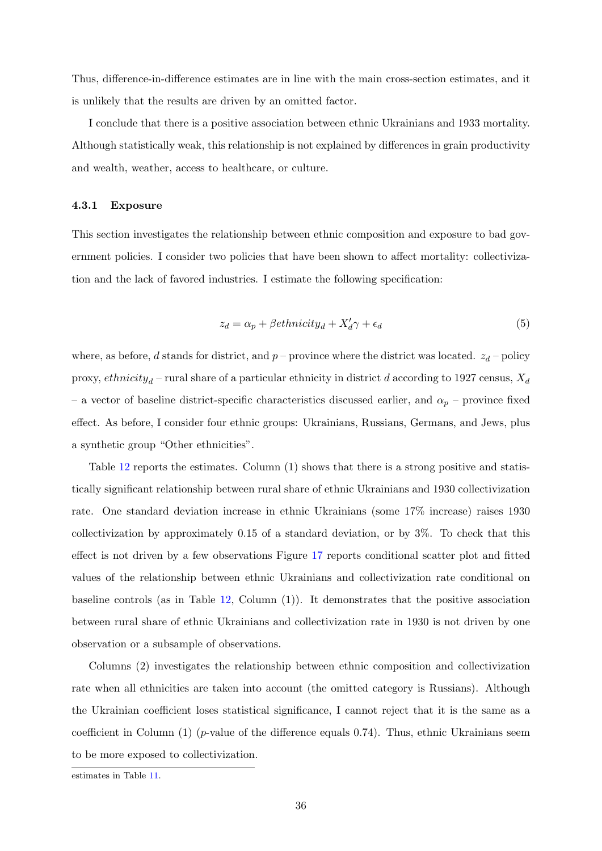Thus, difference-in-difference estimates are in line with the main cross-section estimates, and it is unlikely that the results are driven by an omitted factor.

I conclude that there is a positive association between ethnic Ukrainians and 1933 mortality. Although statistically weak, this relationship is not explained by differences in grain productivity and wealth, weather, access to healthcare, or culture.

### <span id="page-36-0"></span>4.3.1 Exposure

This section investigates the relationship between ethnic composition and exposure to bad government policies. I consider two policies that have been shown to affect mortality: collectivization and the lack of favored industries. I estimate the following specification:

$$
z_d = \alpha_p + \beta \epsilon \text{t}hnicity_d + X'_d \gamma + \epsilon_d \tag{5}
$$

where, as before, d stands for district, and  $p$  – province where the district was located.  $z_d$  – policy proxy,  $\epsilon$ thnicity<sub>d</sub> – rural share of a particular ethnicity in district d according to 1927 census,  $X_d$ – a vector of baseline district-specific characteristics discussed earlier, and  $\alpha_p$  – province fixed effect. As before, I consider four ethnic groups: Ukrainians, Russians, Germans, and Jews, plus a synthetic group "Other ethnicities".

Table [12](#page-62-0) reports the estimates. Column (1) shows that there is a strong positive and statistically significant relationship between rural share of ethnic Ukrainians and 1930 collectivization rate. One standard deviation increase in ethnic Ukrainians (some 17% increase) raises 1930 collectivization by approximately 0.15 of a standard deviation, or by 3%. To check that this effect is not driven by a few observations Figure [17](#page-52-0) reports conditional scatter plot and fitted values of the relationship between ethnic Ukrainians and collectivization rate conditional on baseline controls (as in Table [12,](#page-62-0) Column (1)). It demonstrates that the positive association between rural share of ethnic Ukrainians and collectivization rate in 1930 is not driven by one observation or a subsample of observations.

Columns (2) investigates the relationship between ethnic composition and collectivization rate when all ethnicities are taken into account (the omitted category is Russians). Although the Ukrainian coefficient loses statistical significance, I cannot reject that it is the same as a coefficient in Column  $(1)$  (*p*-value of the difference equals 0.74). Thus, ethnic Ukrainians seem to be more exposed to collectivization.

estimates in Table [11.](#page-61-0)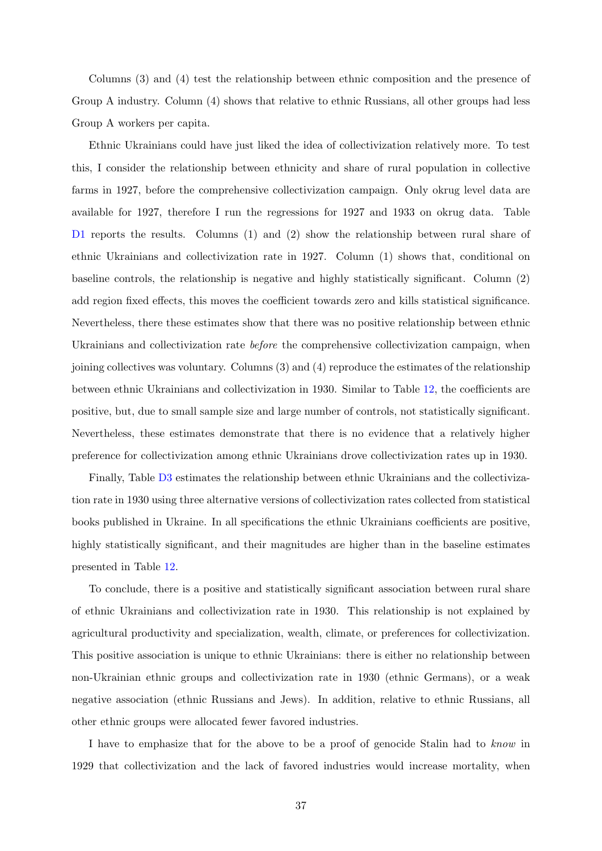Columns (3) and (4) test the relationship between ethnic composition and the presence of Group A industry. Column (4) shows that relative to ethnic Russians, all other groups had less Group A workers per capita.

Ethnic Ukrainians could have just liked the idea of collectivization relatively more. To test this, I consider the relationship between ethnicity and share of rural population in collective farms in 1927, before the comprehensive collectivization campaign. Only okrug level data are available for 1927, therefore I run the regressions for 1927 and 1933 on okrug data. Table [D1](#page-77-0) reports the results. Columns (1) and (2) show the relationship between rural share of ethnic Ukrainians and collectivization rate in 1927. Column (1) shows that, conditional on baseline controls, the relationship is negative and highly statistically significant. Column (2) add region fixed effects, this moves the coefficient towards zero and kills statistical significance. Nevertheless, there these estimates show that there was no positive relationship between ethnic Ukrainians and collectivization rate *before* the comprehensive collectivization campaign, when joining collectives was voluntary. Columns (3) and (4) reproduce the estimates of the relationship between ethnic Ukrainians and collectivization in 1930. Similar to Table [12,](#page-62-0) the coefficients are positive, but, due to small sample size and large number of controls, not statistically significant. Nevertheless, these estimates demonstrate that there is no evidence that a relatively higher preference for collectivization among ethnic Ukrainians drove collectivization rates up in 1930.

Finally, Table [D3](#page-78-0) estimates the relationship between ethnic Ukrainians and the collectivization rate in 1930 using three alternative versions of collectivization rates collected from statistical books published in Ukraine. In all specifications the ethnic Ukrainians coefficients are positive, highly statistically significant, and their magnitudes are higher than in the baseline estimates presented in Table [12.](#page-62-0)

To conclude, there is a positive and statistically significant association between rural share of ethnic Ukrainians and collectivization rate in 1930. This relationship is not explained by agricultural productivity and specialization, wealth, climate, or preferences for collectivization. This positive association is unique to ethnic Ukrainians: there is either no relationship between non-Ukrainian ethnic groups and collectivization rate in 1930 (ethnic Germans), or a weak negative association (ethnic Russians and Jews). In addition, relative to ethnic Russians, all other ethnic groups were allocated fewer favored industries.

I have to emphasize that for the above to be a proof of genocide Stalin had to know in 1929 that collectivization and the lack of favored industries would increase mortality, when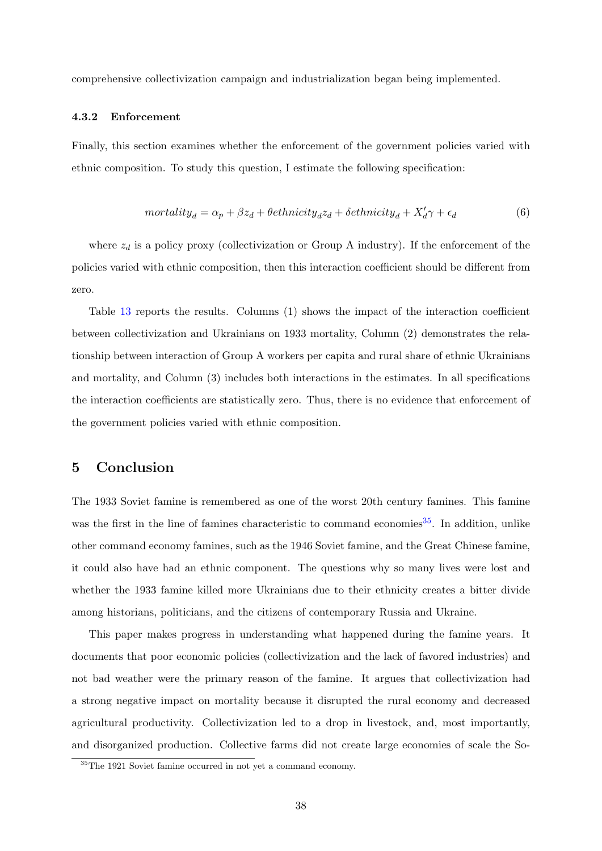comprehensive collectivization campaign and industrialization began being implemented.

#### <span id="page-38-1"></span>4.3.2 Enforcement

Finally, this section examines whether the enforcement of the government policies varied with ethnic composition. To study this question, I estimate the following specification:

$$
mortality_d = \alpha_p + \beta z_d + \theta \epsilon thnicity_d z_d + \delta \epsilon thnicity_d + X'_d \gamma + \epsilon_d \tag{6}
$$

where  $z_d$  is a policy proxy (collectivization or Group A industry). If the enforcement of the policies varied with ethnic composition, then this interaction coefficient should be different from zero.

Table [13](#page-63-0) reports the results. Columns (1) shows the impact of the interaction coefficient between collectivization and Ukrainians on 1933 mortality, Column (2) demonstrates the relationship between interaction of Group A workers per capita and rural share of ethnic Ukrainians and mortality, and Column (3) includes both interactions in the estimates. In all specifications the interaction coefficients are statistically zero. Thus, there is no evidence that enforcement of the government policies varied with ethnic composition.

### 5 Conclusion

The 1933 Soviet famine is remembered as one of the worst 20th century famines. This famine was the first in the line of famines characteristic to command economies<sup>[35](#page-38-0)</sup>. In addition, unlike other command economy famines, such as the 1946 Soviet famine, and the Great Chinese famine, it could also have had an ethnic component. The questions why so many lives were lost and whether the 1933 famine killed more Ukrainians due to their ethnicity creates a bitter divide among historians, politicians, and the citizens of contemporary Russia and Ukraine.

This paper makes progress in understanding what happened during the famine years. It documents that poor economic policies (collectivization and the lack of favored industries) and not bad weather were the primary reason of the famine. It argues that collectivization had a strong negative impact on mortality because it disrupted the rural economy and decreased agricultural productivity. Collectivization led to a drop in livestock, and, most importantly, and disorganized production. Collective farms did not create large economies of scale the So-

<span id="page-38-0"></span><sup>35</sup>The 1921 Soviet famine occurred in not yet a command economy.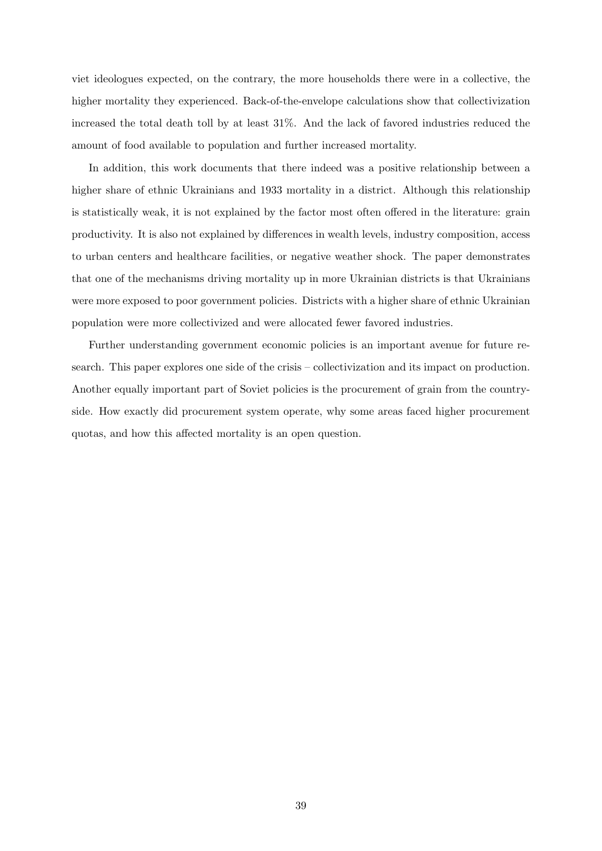viet ideologues expected, on the contrary, the more households there were in a collective, the higher mortality they experienced. Back-of-the-envelope calculations show that collectivization increased the total death toll by at least 31%. And the lack of favored industries reduced the amount of food available to population and further increased mortality.

In addition, this work documents that there indeed was a positive relationship between a higher share of ethnic Ukrainians and 1933 mortality in a district. Although this relationship is statistically weak, it is not explained by the factor most often offered in the literature: grain productivity. It is also not explained by differences in wealth levels, industry composition, access to urban centers and healthcare facilities, or negative weather shock. The paper demonstrates that one of the mechanisms driving mortality up in more Ukrainian districts is that Ukrainians were more exposed to poor government policies. Districts with a higher share of ethnic Ukrainian population were more collectivized and were allocated fewer favored industries.

Further understanding government economic policies is an important avenue for future research. This paper explores one side of the crisis – collectivization and its impact on production. Another equally important part of Soviet policies is the procurement of grain from the countryside. How exactly did procurement system operate, why some areas faced higher procurement quotas, and how this affected mortality is an open question.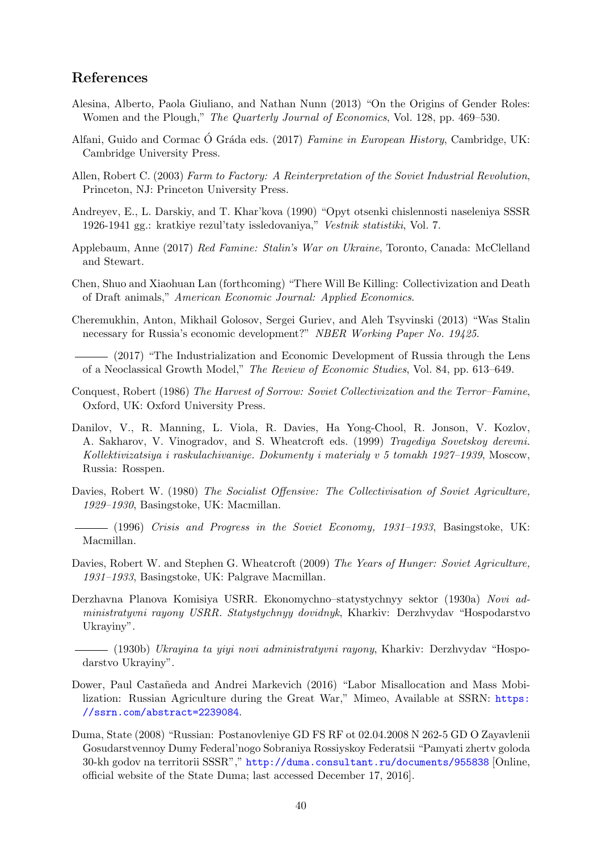### <span id="page-40-1"></span>References

- Alesina, Alberto, Paola Giuliano, and Nathan Nunn (2013) "On the Origins of Gender Roles: Women and the Plough," The Quarterly Journal of Economics, Vol. 128, pp. 469–530.
- Alfani, Guido and Cormac Ó Gráda eds. (2017) Famine in European History, Cambridge, UK: Cambridge University Press.
- Allen, Robert C. (2003) Farm to Factory: A Reinterpretation of the Soviet Industrial Revolution, Princeton, NJ: Princeton University Press.
- Andreyev, E., L. Darskiy, and T. Khar'kova (1990) "Opyt otsenki chislennosti naseleniya SSSR 1926-1941 gg.: kratkiye rezul'taty issledovaniya," Vestnik statistiki, Vol. 7.
- Applebaum, Anne (2017) Red Famine: Stalin's War on Ukraine, Toronto, Canada: McClelland and Stewart.
- Chen, Shuo and Xiaohuan Lan (forthcoming) "There Will Be Killing: Collectivization and Death of Draft animals," American Economic Journal: Applied Economics.
- Cheremukhin, Anton, Mikhail Golosov, Sergei Guriev, and Aleh Tsyvinski (2013) "Was Stalin necessary for Russia's economic development?" NBER Working Paper No. 19425.
- (2017) "The Industrialization and Economic Development of Russia through the Lens of a Neoclassical Growth Model," The Review of Economic Studies, Vol. 84, pp. 613–649.
- Conquest, Robert (1986) The Harvest of Sorrow: Soviet Collectivization and the Terror–Famine, Oxford, UK: Oxford University Press.
- Danilov, V., R. Manning, L. Viola, R. Davies, Ha Yong-Chool, R. Jonson, V. Kozlov, A. Sakharov, V. Vinogradov, and S. Wheatcroft eds. (1999) Tragediya Sovetskoy derevni. Kollektivizatsiya i raskulachivaniye. Dokumenty i materialy v 5 tomakh 1927–1939, Moscow, Russia: Rosspen.
- <span id="page-40-2"></span>Davies, Robert W. (1980) The Socialist Offensive: The Collectivisation of Soviet Agriculture, 1929–1930, Basingstoke, UK: Macmillan.
- $(1996)$  Crisis and Progress in the Soviet Economy, 1931–1933, Basingstoke, UK: Macmillan.
- <span id="page-40-0"></span>Davies, Robert W. and Stephen G. Wheatcroft (2009) The Years of Hunger: Soviet Agriculture, 1931–1933, Basingstoke, UK: Palgrave Macmillan.
- Derzhavna Planova Komisiya USRR. Ekonomychno–statystychnyy sektor (1930a) Novi administratyvni rayony USRR. Statystychnyy dovidnyk, Kharkiv: Derzhvydav "Hospodarstvo Ukrayiny".
	- (1930b) Ukrayina ta yiyi novi administratyvni rayony, Kharkiv: Derzhvydav "Hospodarstvo Ukrayiny".
- Dower, Paul Castañeda and Andrei Markevich (2016) "Labor Misallocation and Mass Mobilization: Russian Agriculture during the Great War," Mimeo, Available at SSRN: [https:](https://ssrn.com/abstract=2239084) [//ssrn.com/abstract=2239084](https://ssrn.com/abstract=2239084).
- Duma, State (2008) "Russian: Postanovleniye GD FS RF ot 02.04.2008 N 262-5 GD O Zayavlenii Gosudarstvennoy Dumy Federal'nogo Sobraniya Rossiyskoy Federatsii "Pamyati zhertv goloda 30-kh godov na territorii SSSR"," <http://duma.consultant.ru/documents/955838> [Online, official website of the State Duma; last accessed December 17, 2016].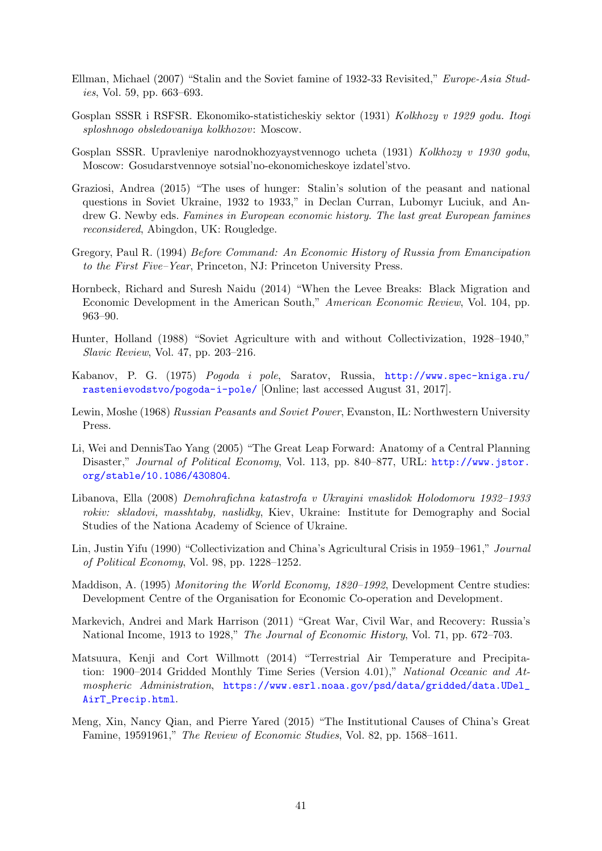- Ellman, Michael (2007) "Stalin and the Soviet famine of 1932-33 Revisited," Europe-Asia Studies, Vol. 59, pp. 663–693.
- <span id="page-41-0"></span>Gosplan SSSR i RSFSR. Ekonomiko-statisticheskiy sektor (1931) Kolkhozy v 1929 godu. Itogi sploshnogo obsledovaniya kolkhozov: Moscow.
- <span id="page-41-1"></span>Gosplan SSSR. Upravleniye narodnokhozyaystvennogo ucheta (1931) Kolkhozy v 1930 godu, Moscow: Gosudarstvennoye sotsial'no-ekonomicheskoye izdatel'stvo.
- Graziosi, Andrea (2015) "The uses of hunger: Stalin's solution of the peasant and national questions in Soviet Ukraine, 1932 to 1933," in Declan Curran, Lubomyr Luciuk, and Andrew G. Newby eds. Famines in European economic history. The last great European famines reconsidered, Abingdon, UK: Rougledge.
- Gregory, Paul R. (1994) Before Command: An Economic History of Russia from Emancipation to the First Five–Year, Princeton, NJ: Princeton University Press.
- Hornbeck, Richard and Suresh Naidu (2014) "When the Levee Breaks: Black Migration and Economic Development in the American South," American Economic Review, Vol. 104, pp. 963–90.
- Hunter, Holland (1988) "Soviet Agriculture with and without Collectivization, 1928–1940," Slavic Review, Vol. 47, pp. 203–216.
- Kabanov, P. G. (1975) Pogoda i pole, Saratov, Russia, [http://www.spec-kniga.ru/](http://www.spec-kniga.ru/rastenievodstvo/pogoda-i-pole/) [rastenievodstvo/pogoda-i-pole/](http://www.spec-kniga.ru/rastenievodstvo/pogoda-i-pole/) [Online; last accessed August 31, 2017].
- Lewin, Moshe (1968) Russian Peasants and Soviet Power, Evanston, IL: Northwestern University Press.
- Li, Wei and DennisTao Yang (2005) "The Great Leap Forward: Anatomy of a Central Planning Disaster," Journal of Political Economy, Vol. 113, pp. 840–877, URL: [http://www.jstor.](http://www.jstor.org/stable/10.1086/430804) [org/stable/10.1086/430804](http://www.jstor.org/stable/10.1086/430804).
- Libanova, Ella (2008) Demohrafichna katastrofa v Ukrayini vnaslidok Holodomoru 1932–1933 rokiv: skladovi, masshtaby, naslidky, Kiev, Ukraine: Institute for Demography and Social Studies of the Nationa Academy of Science of Ukraine.
- Lin, Justin Yifu (1990) "Collectivization and China's Agricultural Crisis in 1959–1961," Journal of Political Economy, Vol. 98, pp. 1228–1252.
- Maddison, A. (1995) Monitoring the World Economy, 1820–1992, Development Centre studies: Development Centre of the Organisation for Economic Co-operation and Development.
- Markevich, Andrei and Mark Harrison (2011) "Great War, Civil War, and Recovery: Russia's National Income, 1913 to 1928," The Journal of Economic History, Vol. 71, pp. 672–703.
- <span id="page-41-2"></span>Matsuura, Kenji and Cort Willmott (2014) "Terrestrial Air Temperature and Precipitation: 1900–2014 Gridded Monthly Time Series (Version 4.01)," National Oceanic and Atmospheric Administration, [https://www.esrl.noaa.gov/psd/data/gridded/data.UDel\\_](https://www.esrl.noaa.gov/psd/data/gridded/data.UDel_AirT_Precip.html) [AirT\\_Precip.html](https://www.esrl.noaa.gov/psd/data/gridded/data.UDel_AirT_Precip.html).
- Meng, Xin, Nancy Qian, and Pierre Yared (2015) "The Institutional Causes of China's Great Famine, 19591961," The Review of Economic Studies, Vol. 82, pp. 1568–1611.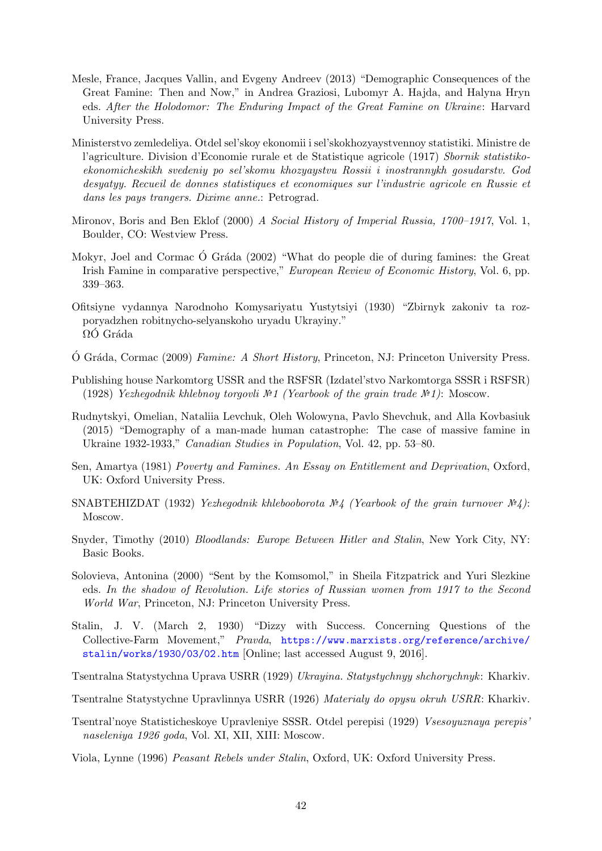- Mesle, France, Jacques Vallin, and Evgeny Andreev (2013) "Demographic Consequences of the Great Famine: Then and Now," in Andrea Graziosi, Lubomyr A. Hajda, and Halyna Hryn eds. After the Holodomor: The Enduring Impact of the Great Famine on Ukraine: Harvard University Press.
- Ministerstvo zemledeliya. Otdel sel'skoy ekonomii i sel'skokhozyaystvennoy statistiki. Ministre de l'agriculture. Division d'Economie rurale et de Statistique agricole (1917) Sbornik statistikoekonomicheskikh svedeniy po sel'skomu khozyaystvu Rossii i inostrannykh gosudarstv. God desyatyy. Recueil de donnes statistiques et economiques sur l'industrie agricole en Russie et dans les pays trangers. Dixime anne.: Petrograd.
- Mironov, Boris and Ben Eklof (2000) A Social History of Imperial Russia, 1700–1917, Vol. 1, Boulder, CO: Westview Press.
- Mokyr, Joel and Cormac Ó Gráda (2002) "What do people die of during famines: the Great Irish Famine in comparative perspective," European Review of Economic History, Vol. 6, pp. 339–363.
- Ofitsiyne vydannya Narodnoho Komysariyatu Yustytsiyi (1930) "Zbirnyk zakoniv ta rozporyadzhen robitnycho-selyanskoho uryadu Ukrayiny."  $\Omega$ O Gráda
- O Gráda, Cormac (2009) Famine: A Short History, Princeton, NJ: Princeton University Press.
- <span id="page-42-1"></span>Publishing house Narkomtorg USSR and the RSFSR (Izdatel'stvo Narkomtorga SSSR i RSFSR) (1928) Yezhegodnik khlebnoy torgovli  $\mathbb{N}$  (Yearbook of the grain trade  $\mathbb{N}$ ): Moscow.
- Rudnytskyi, Omelian, Nataliia Levchuk, Oleh Wolowyna, Pavlo Shevchuk, and Alla Kovbasiuk (2015) "Demography of a man-made human catastrophe: The case of massive famine in Ukraine 1932-1933," Canadian Studies in Population, Vol. 42, pp. 53–80.
- Sen, Amartya (1981) Poverty and Famines. An Essay on Entitlement and Deprivation, Oxford, UK: Oxford University Press.
- <span id="page-42-3"></span>SNABTEHIZDAT (1932) Yezhegodnik khlebooborota  $N/4$  (Yearbook of the grain turnover  $N/4$ ): Moscow.
- Snyder, Timothy (2010) Bloodlands: Europe Between Hitler and Stalin, New York City, NY: Basic Books.
- Solovieva, Antonina (2000) "Sent by the Komsomol," in Sheila Fitzpatrick and Yuri Slezkine eds. In the shadow of Revolution. Life stories of Russian women from 1917 to the Second World War, Princeton, NJ: Princeton University Press.
- <span id="page-42-4"></span>Stalin, J. V. (March 2, 1930) "Dizzy with Success. Concerning Questions of the Collective-Farm Movement," Pravda, [https://www.marxists.org/reference/archive/](https://www.marxists.org/reference/archive/stalin/works/1930/03/02.htm) [stalin/works/1930/03/02.htm](https://www.marxists.org/reference/archive/stalin/works/1930/03/02.htm) [Online; last accessed August 9, 2016].

<span id="page-42-2"></span>Tsentralna Statystychna Uprava USRR (1929) Ukrayina. Statystychnyy shchorychnyk : Kharkiv.

- Tsentralne Statystychne Upravlinnya USRR (1926) Materialy do opysu okruh USRR: Kharkiv.
- <span id="page-42-0"></span>Tsentral'noye Statisticheskoye Upravleniye SSSR. Otdel perepisi (1929) Vsesoyuznaya perepis' naseleniya 1926 goda, Vol. XI, XII, XIII: Moscow.
- Viola, Lynne (1996) Peasant Rebels under Stalin, Oxford, UK: Oxford University Press.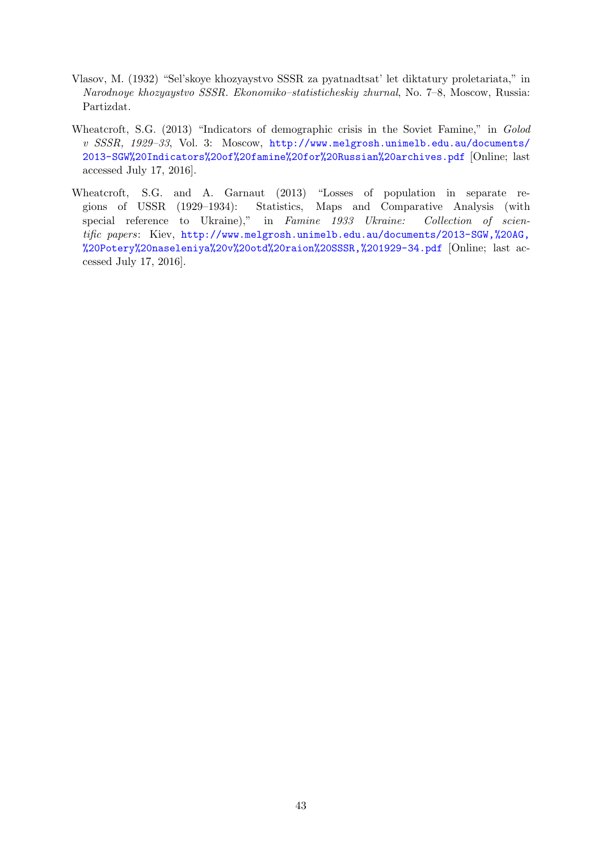- Vlasov, M. (1932) "Sel'skoye khozyaystvo SSSR za pyatnadtsat' let diktatury proletariata," in Narodnoye khozyaystvo SSSR. Ekonomiko–statisticheskiy zhurnal, No. 7–8, Moscow, Russia: Partizdat.
- Wheatcroft, S.G. (2013) "Indicators of demographic crisis in the Soviet Famine," in Golod v SSSR, 1929–33, Vol. 3: Moscow, [http://www.melgrosh.unimelb.edu.au/documents/](http://www.melgrosh.unimelb.edu.au/documents/2013-SGW%20Indicators%20of%20famine%20for%20Russian%20archives.pdf) [2013-SGW%20Indicators%20of%20famine%20for%20Russian%20archives.pdf](http://www.melgrosh.unimelb.edu.au/documents/2013-SGW%20Indicators%20of%20famine%20for%20Russian%20archives.pdf) [Online; last accessed July 17, 2016].
- Wheatcroft, S.G. and A. Garnaut (2013) "Losses of population in separate regions of USSR (1929–1934): Statistics, Maps and Comparative Analysis (with special reference to Ukraine)," in Famine 1933 Ukraine: Collection of scientific papers: Kiev, [http://www.melgrosh.unimelb.edu.au/documents/2013-SGW,%20AG,](http://www.melgrosh.unimelb.edu.au/documents/2013-SGW,%20AG,%20Potery%20naseleniya%20v%20otd%20raion%20SSSR,%201929-34.pdf) [%20Potery%20naseleniya%20v%20otd%20raion%20SSSR,%201929-34.pdf](http://www.melgrosh.unimelb.edu.au/documents/2013-SGW,%20AG,%20Potery%20naseleniya%20v%20otd%20raion%20SSSR,%201929-34.pdf) [Online; last accessed July 17, 2016].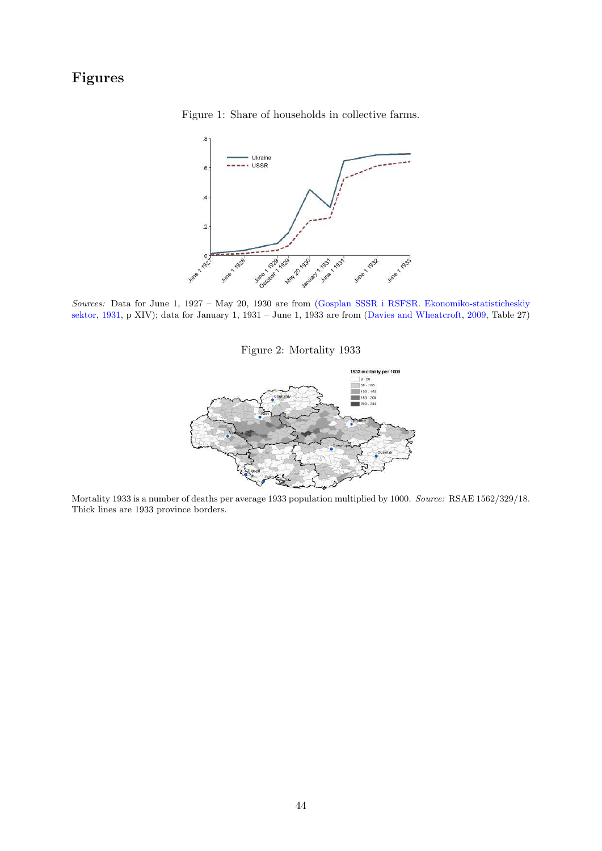## Figures

Figure 1: Share of households in collective farms.



Sources: Data for June 1, 1927 – May 20, 1930 are from [\(Gosplan SSSR i RSFSR. Ekonomiko-statisticheskiy](#page-41-0) [sektor,](#page-41-0) [1931,](#page-41-0) p XIV); data for January 1, 1931 – June 1, 1933 are from [\(Davies and Wheatcroft,](#page-40-0) [2009,](#page-40-0) Table 27)

Figure 2: Mortality 1933



Mortality 1933 is a number of deaths per average 1933 population multiplied by 1000. Source: RSAE 1562/329/18. Thick lines are 1933 province borders.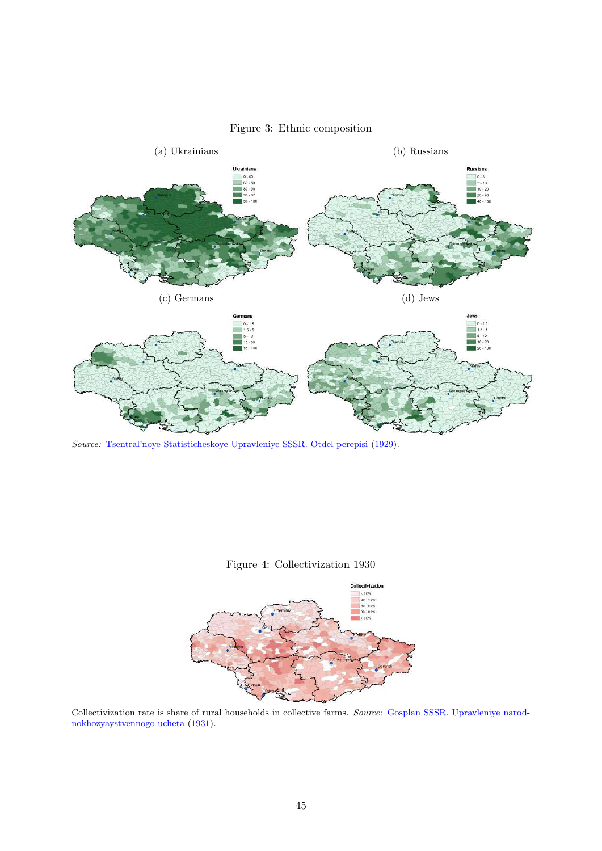

### Figure 3: Ethnic composition

Source: [Tsentral'noye Statisticheskoye Upravleniye SSSR. Otdel perepisi](#page-42-0) [\(1929\)](#page-42-0).





Collectivization rate is share of rural households in collective farms. Source: [Gosplan SSSR. Upravleniye narod](#page-41-1)[nokhozyaystvennogo ucheta](#page-41-1) [\(1931\)](#page-41-1).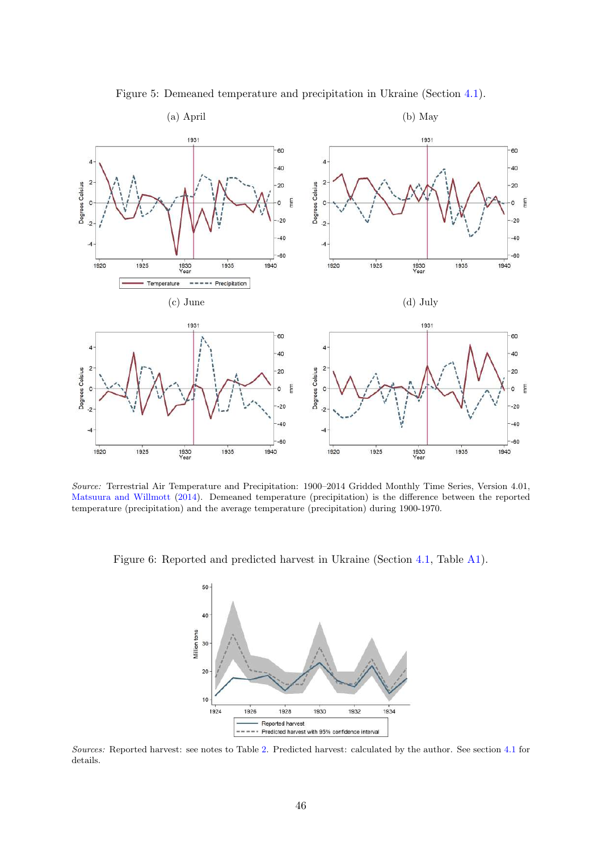

Figure 5: Demeaned temperature and precipitation in Ukraine (Section [4.1\)](#page-15-0).

Source: Terrestrial Air Temperature and Precipitation: 1900–2014 Gridded Monthly Time Series, Version 4.01, [Matsuura and Willmott](#page-41-2) [\(2014\)](#page-41-2). Demeaned temperature (precipitation) is the difference between the reported temperature (precipitation) and the average temperature (precipitation) during 1900-1970.

<span id="page-46-0"></span>Figure 6: Reported and predicted harvest in Ukraine (Section [4.1,](#page-15-0) Table [A1\)](#page-64-0).



Sources: Reported harvest: see notes to Table [2.](#page-54-0) Predicted harvest: calculated by the author. See section [4.1](#page-15-0) for details.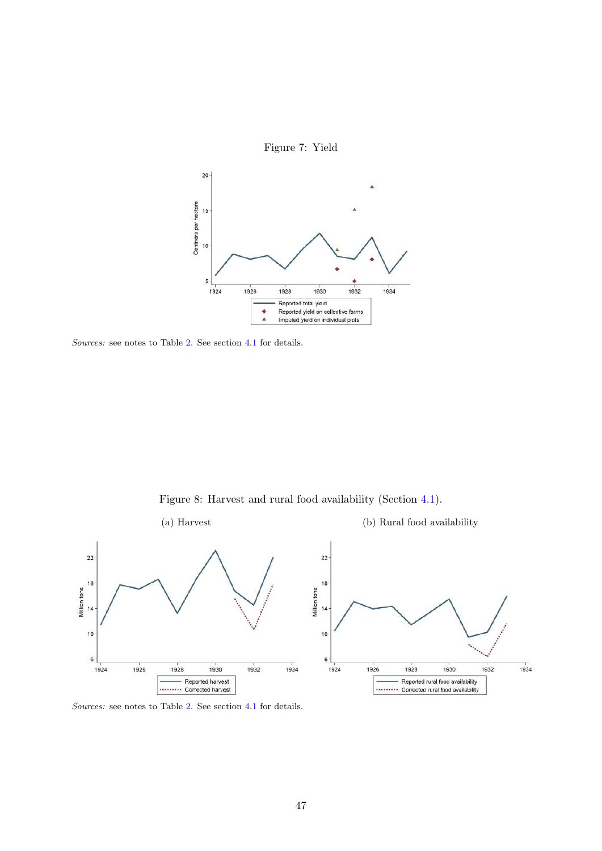

Sources: see notes to Table [2.](#page-54-0) See section [4.1](#page-15-0) for details.

Figure 8: Harvest and rural food availability (Section [4.1\)](#page-15-0).



Sources: see notes to Table [2.](#page-54-0) See section [4.1](#page-15-0) for details.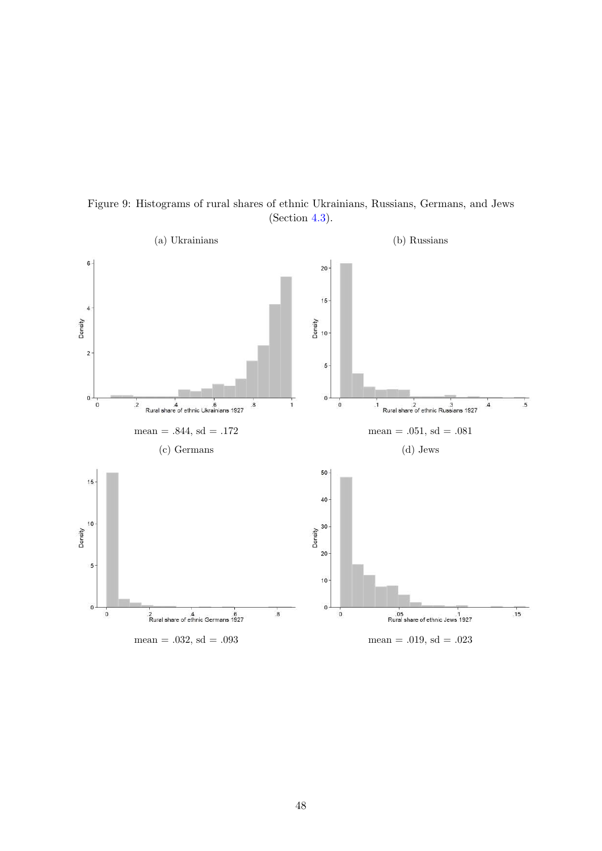

Figure 9: Histograms of rural shares of ethnic Ukrainians, Russians, Germans, and Jews (Section [4.3\)](#page-31-0).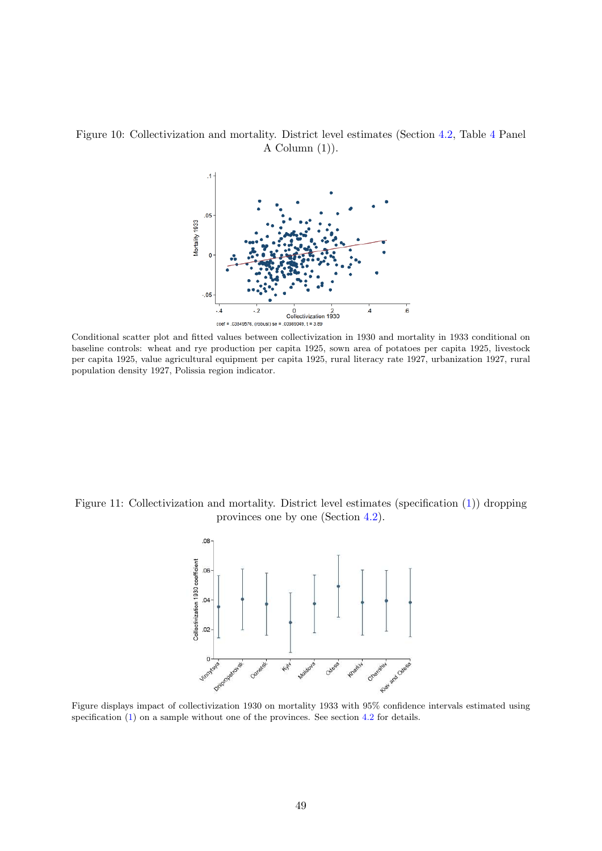Figure 10: Collectivization and mortality. District level estimates (Section [4.2,](#page-20-0) Table [4](#page-56-0) Panel A Column  $(1)$ ).



Conditional scatter plot and fitted values between collectivization in 1930 and mortality in 1933 conditional on baseline controls: wheat and rye production per capita 1925, sown area of potatoes per capita 1925, livestock per capita 1925, value agricultural equipment per capita 1925, rural literacy rate 1927, urbanization 1927, rural population density 1927, Polissia region indicator.

Figure 11: Collectivization and mortality. District level estimates (specification [\(1\)](#page-23-0)) dropping provinces one by one (Section [4.2\)](#page-20-0).



Figure displays impact of collectivization 1930 on mortality 1933 with 95% confidence intervals estimated using specification [\(1\)](#page-23-0) on a sample without one of the provinces. See section [4.2](#page-20-0) for details.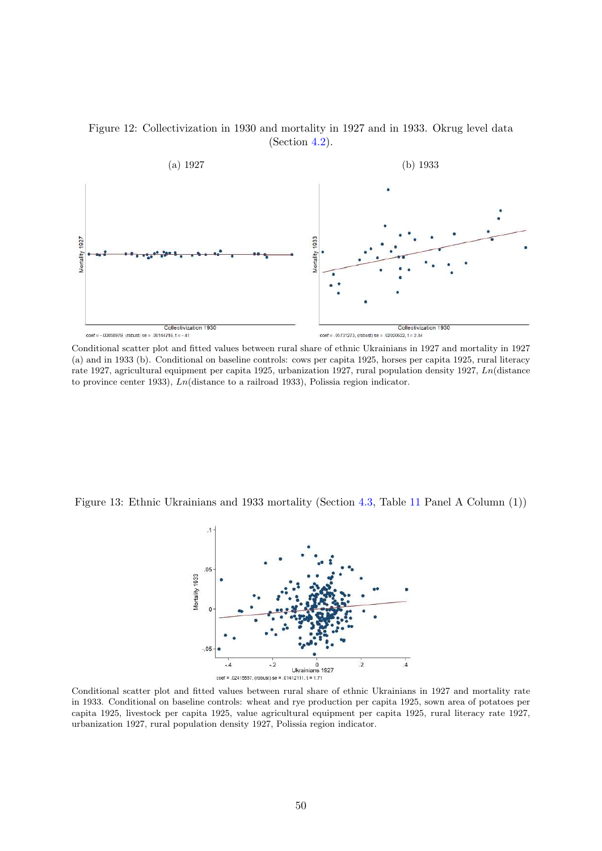



Conditional scatter plot and fitted values between rural share of ethnic Ukrainians in 1927 and mortality in 1927 (a) and in 1933 (b). Conditional on baseline controls: cows per capita 1925, horses per capita 1925, rural literacy rate 1927, agricultural equipment per capita 1925, urbanization 1927, rural population density 1927, Ln(distance to province center 1933), Ln(distance to a railroad 1933), Polissia region indicator.

Figure 13: Ethnic Ukrainians and 1933 mortality (Section [4.3,](#page-31-0) Table [11](#page-61-0) Panel A Column (1))



Conditional scatter plot and fitted values between rural share of ethnic Ukrainians in 1927 and mortality rate in 1933. Conditional on baseline controls: wheat and rye production per capita 1925, sown area of potatoes per capita 1925, livestock per capita 1925, value agricultural equipment per capita 1925, rural literacy rate 1927, urbanization 1927, rural population density 1927, Polissia region indicator.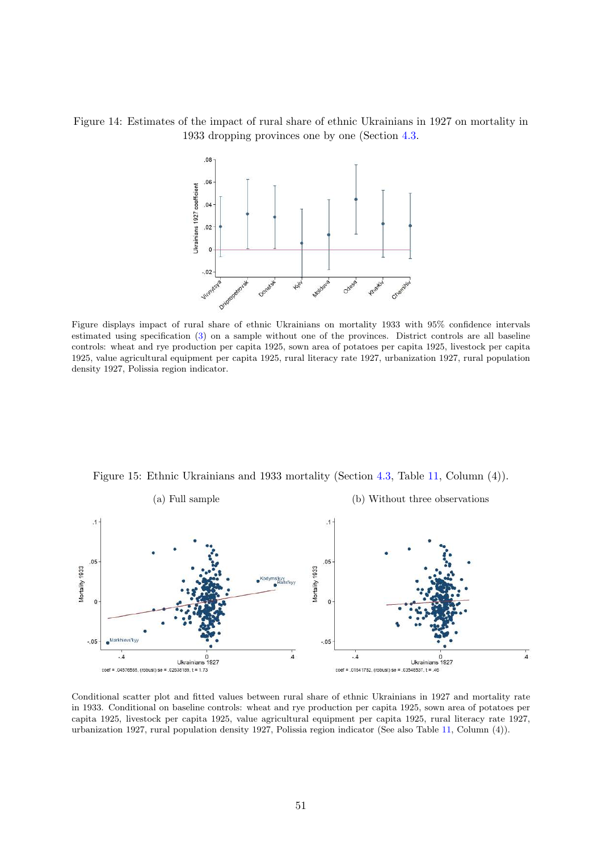### Figure 14: Estimates of the impact of rural share of ethnic Ukrainians in 1927 on mortality in 1933 dropping provinces one by one (Section [4.3.](#page-31-0)



Figure displays impact of rural share of ethnic Ukrainians on mortality 1933 with 95% confidence intervals estimated using specification [\(3\)](#page-31-1) on a sample without one of the provinces. District controls are all baseline controls: wheat and rye production per capita 1925, sown area of potatoes per capita 1925, livestock per capita 1925, value agricultural equipment per capita 1925, rural literacy rate 1927, urbanization 1927, rural population density 1927, Polissia region indicator.



Figure 15: Ethnic Ukrainians and 1933 mortality (Section [4.3,](#page-31-0) Table [11,](#page-61-0) Column (4)).

Conditional scatter plot and fitted values between rural share of ethnic Ukrainians in 1927 and mortality rate in 1933. Conditional on baseline controls: wheat and rye production per capita 1925, sown area of potatoes per capita 1925, livestock per capita 1925, value agricultural equipment per capita 1925, rural literacy rate 1927, urbanization 1927, rural population density 1927, Polissia region indicator (See also Table [11,](#page-61-0) Column (4)).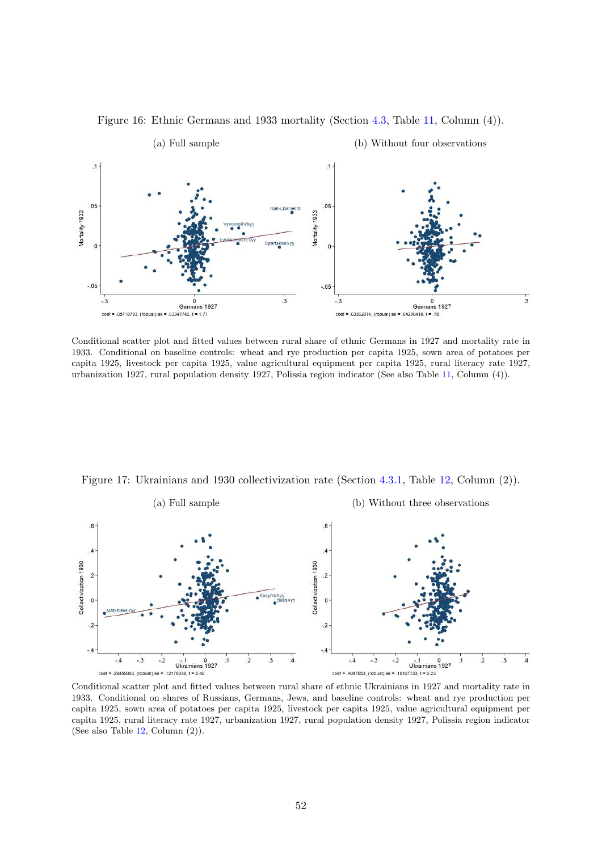

Figure 16: Ethnic Germans and 1933 mortality (Section [4.3,](#page-31-0) Table [11,](#page-61-0) Column (4)).

Conditional scatter plot and fitted values between rural share of ethnic Germans in 1927 and mortality rate in 1933. Conditional on baseline controls: wheat and rye production per capita 1925, sown area of potatoes per capita 1925, livestock per capita 1925, value agricultural equipment per capita 1925, rural literacy rate 1927, urbanization 1927, rural population density 1927, Polissia region indicator (See also Table [11,](#page-61-0) Column (4)).

<span id="page-52-0"></span>



Conditional scatter plot and fitted values between rural share of ethnic Ukrainians in 1927 and mortality rate in 1933. Conditional on shares of Russians, Germans, Jews, and baseline controls: wheat and rye production per capita 1925, sown area of potatoes per capita 1925, livestock per capita 1925, value agricultural equipment per capita 1925, rural literacy rate 1927, urbanization 1927, rural population density 1927, Polissia region indicator (See also Table [12,](#page-62-0) Column (2)).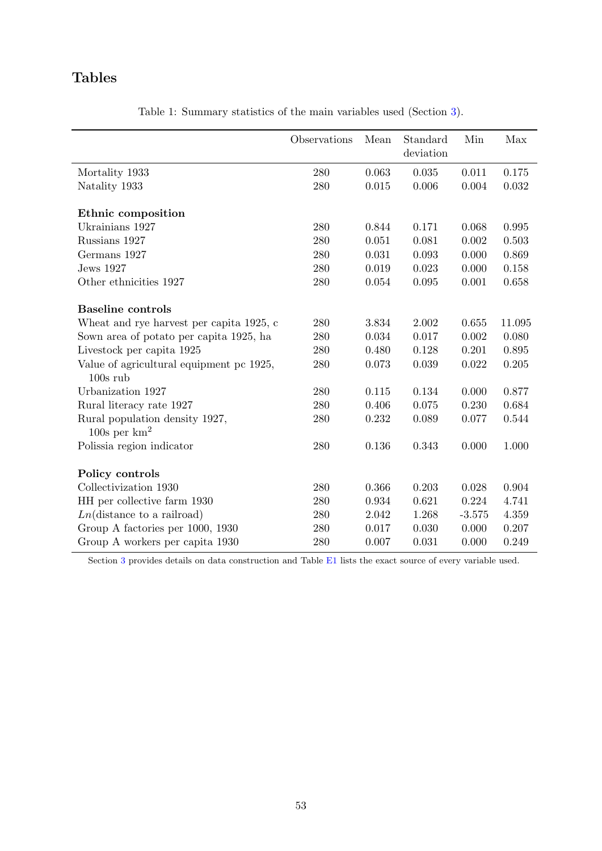## Tables

<span id="page-53-0"></span>

|                                                        | Observations | Mean  | Standard<br>deviation | Min      | Max    |
|--------------------------------------------------------|--------------|-------|-----------------------|----------|--------|
| Mortality 1933                                         | 280          | 0.063 | 0.035                 | 0.011    | 0.175  |
| Natality 1933                                          | 280          | 0.015 | 0.006                 | 0.004    | 0.032  |
| Ethnic composition                                     |              |       |                       |          |        |
| Ukrainians 1927                                        | 280          | 0.844 | 0.171                 | 0.068    | 0.995  |
| Russians 1927                                          | 280          | 0.051 | 0.081                 | 0.002    | 0.503  |
| Germans 1927                                           | 280          | 0.031 | 0.093                 | 0.000    | 0.869  |
| <b>Jews</b> 1927                                       | 280          | 0.019 | 0.023                 | 0.000    | 0.158  |
| Other ethnicities 1927                                 | 280          | 0.054 | 0.095                 | 0.001    | 0.658  |
| <b>Baseline</b> controls                               |              |       |                       |          |        |
| Wheat and rye harvest per capita 1925, c               | 280          | 3.834 | 2.002                 | 0.655    | 11.095 |
| Sown area of potato per capita 1925, ha                | 280          | 0.034 | 0.017                 | 0.002    | 0.080  |
| Livestock per capita 1925                              | 280          | 0.480 | 0.128                 | 0.201    | 0.895  |
| Value of agricultural equipment pc 1925,<br>$100s$ rub | 280          | 0.073 | 0.039                 | 0.022    | 0.205  |
| Urbanization 1927                                      | 280          | 0.115 | 0.134                 | 0.000    | 0.877  |
| Rural literacy rate 1927                               | 280          | 0.406 | 0.075                 | 0.230    | 0.684  |
| Rural population density 1927,<br>100s per $km^2$      | 280          | 0.232 | 0.089                 | 0.077    | 0.544  |
| Polissia region indicator                              | 280          | 0.136 | 0.343                 | 0.000    | 1.000  |
| Policy controls                                        |              |       |                       |          |        |
| Collectivization 1930                                  | 280          | 0.366 | 0.203                 | 0.028    | 0.904  |
| HH per collective farm 1930                            | 280          | 0.934 | 0.621                 | 0.224    | 4.741  |
| $Ln(\text{distance to a railroad})$                    | 280          | 2.042 | 1.268                 | $-3.575$ | 4.359  |
| Group A factories per 1000, 1930                       | 280          | 0.017 | 0.030                 | 0.000    | 0.207  |
| Group A workers per capita 1930                        | 280          | 0.007 | 0.031                 | 0.000    | 0.249  |

Table 1: Summary statistics of the main variables used (Section [3\)](#page-11-0).

Section [3](#page-11-0) provides details on data construction and Table [E1](#page-79-0) lists the exact source of every variable used.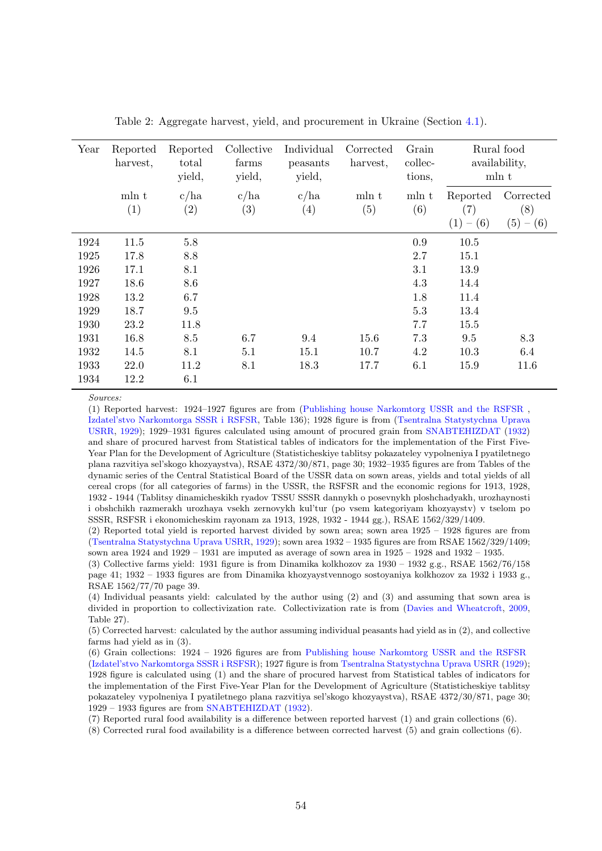<span id="page-54-0"></span>

| Year | Reported<br>harvest, | Reported<br>total<br>yield, | Collective<br>farms<br>yield, | Individual<br>peasants<br>yield, | Corrected<br>harvest, | Grain<br>collec-<br>tions, |                                                 | Rural food<br>availability,<br>mln t |
|------|----------------------|-----------------------------|-------------------------------|----------------------------------|-----------------------|----------------------------|-------------------------------------------------|--------------------------------------|
|      | mln t<br>(1)         | c/ha<br>(2)                 | c/ha<br>$\left( 3\right)$     | c/ha<br>$\left( 4\right)$        | mln t<br>(5)          | mln t<br>(6)               | Reported<br>$\left( 7\right)$<br>$- (6)$<br>(1) | Corrected<br>(8)<br>(5)<br>$- (6)$   |
| 1924 | 11.5                 | 5.8                         |                               |                                  |                       | 0.9                        | 10.5                                            |                                      |
| 1925 | 17.8                 | 8.8                         |                               |                                  |                       | 2.7                        | 15.1                                            |                                      |
| 1926 | 17.1                 | 8.1                         |                               |                                  |                       | 3.1                        | 13.9                                            |                                      |
| 1927 | 18.6                 | 8.6                         |                               |                                  |                       | 4.3                        | 14.4                                            |                                      |
| 1928 | 13.2                 | 6.7                         |                               |                                  |                       | 1.8                        | 11.4                                            |                                      |
| 1929 | 18.7                 | 9.5                         |                               |                                  |                       | 5.3                        | 13.4                                            |                                      |
| 1930 | 23.2                 | 11.8                        |                               |                                  |                       | 7.7                        | 15.5                                            |                                      |
| 1931 | 16.8                 | 8.5                         | 6.7                           | 9.4                              | 15.6                  | 7.3                        | 9.5                                             | 8.3                                  |
| 1932 | 14.5                 | 8.1                         | 5.1                           | 15.1                             | 10.7                  | 4.2                        | 10.3                                            | 6.4                                  |
| 1933 | 22.0                 | 11.2                        | 8.1                           | 18.3                             | 17.7                  | 6.1                        | 15.9                                            | 11.6                                 |
| 1934 | 12.2                 | 6.1                         |                               |                                  |                       |                            |                                                 |                                      |

Table 2: Aggregate harvest, yield, and procurement in Ukraine (Section [4.1\)](#page-15-0).

Sources:

(1) Reported harvest: 1924–1927 figures are from [\(Publishing house Narkomtorg USSR and the RSFSR](#page-42-1) , [Izdatel'stvo Narkomtorga SSSR i RSFSR,](#page-42-1) Table 136); 1928 figure is from [\(Tsentralna Statystychna Uprava](#page-42-2) [USRR,](#page-42-2) [1929\)](#page-42-2); 1929–1931 figures calculated using amount of procured grain from [SNABTEHIZDAT](#page-42-3) [\(1932\)](#page-42-3) and share of procured harvest from Statistical tables of indicators for the implementation of the First Five-Year Plan for the Development of Agriculture (Statisticheskiye tablitsy pokazateley vypolneniya I pyatiletnego plana razvitiya sel'skogo khozyaystva), RSAE 4372/30/871, page 30; 1932–1935 figures are from Tables of the dynamic series of the Central Statistical Board of the USSR data on sown areas, yields and total yields of all cereal crops (for all categories of farms) in the USSR, the RSFSR and the economic regions for 1913, 1928, 1932 - 1944 (Tablitsy dinamicheskikh ryadov TSSU SSSR dannykh o posevnykh ploshchadyakh, urozhaynosti i obshchikh razmerakh urozhaya vsekh zernovykh kul'tur (po vsem kategoriyam khozyaystv) v tselom po SSSR, RSFSR i ekonomicheskim rayonam za 1913, 1928, 1932 - 1944 gg.), RSAE 1562/329/1409.

(2) Reported total yield is reported harvest divided by sown area; sown area 1925 – 1928 figures are from [\(Tsentralna Statystychna Uprava USRR,](#page-42-2) [1929\)](#page-42-2); sown area 1932 – 1935 figures are from RSAE 1562/329/1409; sown area  $1924$  and  $1929 - 1931$  are imputed as average of sown area in  $1925 - 1928$  and  $1932 - 1935$ .

(4) Individual peasants yield: calculated by the author using (2) and (3) and assuming that sown area is divided in proportion to collectivization rate. Collectivization rate is from [\(Davies and Wheatcroft,](#page-40-0) [2009,](#page-40-0) Table 27).

(5) Corrected harvest: calculated by the author assuming individual peasants had yield as in (2), and collective farms had yield as in (3).

(6) Grain collections: 1924 – 1926 figures are from [Publishing house Narkomtorg USSR and the RSFSR](#page-42-1) [\(Izdatel'stvo Narkomtorga SSSR i RSFSR\)](#page-42-1); 1927 figure is from [Tsentralna Statystychna Uprava USRR](#page-42-2) [\(1929\)](#page-42-2); 1928 figure is calculated using (1) and the share of procured harvest from Statistical tables of indicators for the implementation of the First Five-Year Plan for the Development of Agriculture (Statisticheskiye tablitsy pokazateley vypolneniya I pyatiletnego plana razvitiya sel'skogo khozyaystva), RSAE 4372/30/871, page 30; 1929 – 1933 figures are from [SNABTEHIZDAT](#page-42-3) [\(1932\)](#page-42-3).

(7) Reported rural food availability is a difference between reported harvest (1) and grain collections (6).

(8) Corrected rural food availability is a difference between corrected harvest (5) and grain collections (6).

<sup>(3)</sup> Collective farms yield: 1931 figure is from Dinamika kolkhozov za  $1930 - 1932$  g.g., RSAE  $1562/76/158$ page 41; 1932 – 1933 figures are from Dinamika khozyaystvennogo sostoyaniya kolkhozov za 1932 i 1933 g., RSAE 1562/77/70 page 39.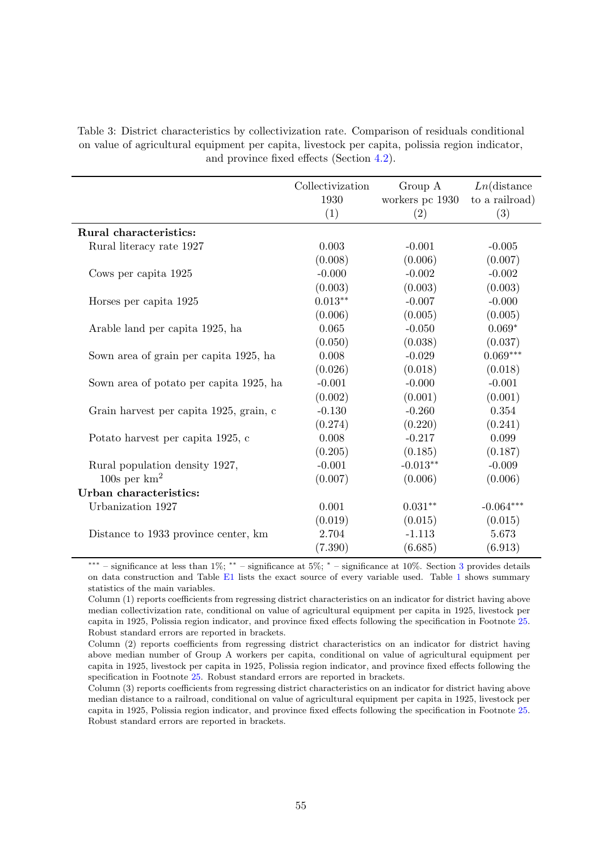Table 3: District characteristics by collectivization rate. Comparison of residuals conditional on value of agricultural equipment per capita, livestock per capita, polissia region indicator, and province fixed effects (Section [4.2\)](#page-20-0).

|                                         | Collectivization | Group A         | $Ln$ (distance |
|-----------------------------------------|------------------|-----------------|----------------|
|                                         | 1930             | workers pc 1930 | to a railroad) |
|                                         | (1)              | (2)             | (3)            |
| Rural characteristics:                  |                  |                 |                |
| Rural literacy rate 1927                | 0.003            | $-0.001$        | $-0.005$       |
|                                         | (0.008)          | (0.006)         | (0.007)        |
| Cows per capita 1925                    | $-0.000$         | $-0.002$        | $-0.002$       |
|                                         | (0.003)          | (0.003)         | (0.003)        |
| Horses per capita 1925                  | $0.013**$        | $-0.007$        | $-0.000$       |
|                                         | (0.006)          | (0.005)         | (0.005)        |
| Arable land per capita 1925, ha         | 0.065            | $-0.050$        | $0.069*$       |
|                                         | (0.050)          | (0.038)         | (0.037)        |
| Sown area of grain per capita 1925, ha  | 0.008            | $-0.029$        | $0.069***$     |
|                                         | (0.026)          | (0.018)         | (0.018)        |
| Sown area of potato per capita 1925, ha | $-0.001$         | $-0.000$        | $-0.001$       |
|                                         | (0.002)          | (0.001)         | (0.001)        |
| Grain harvest per capita 1925, grain, c | $-0.130$         | $-0.260$        | 0.354          |
|                                         | (0.274)          | (0.220)         | (0.241)        |
| Potato harvest per capita 1925, c       | 0.008            | $-0.217$        | 0.099          |
|                                         | (0.205)          | (0.185)         | (0.187)        |
| Rural population density 1927,          | $-0.001$         | $-0.013**$      | $-0.009$       |
| 100s per $km^2$                         | (0.007)          | (0.006)         | (0.006)        |
| Urban characteristics:                  |                  |                 |                |
| Urbanization 1927                       | 0.001            | $0.031**$       | $-0.064***$    |
|                                         | (0.019)          | (0.015)         | (0.015)        |
| Distance to 1933 province center, km    | 2.704            | $-1.113$        | 5.673          |
|                                         | (7.390)          | (6.685)         | (6.913)        |

<sup>∗∗∗</sup> – significance at less than 1%; ∗∗ – significance at 5%; <sup>∗</sup> – significance at 10%. Section [3](#page-11-0) provides details on data construction and Table [E1](#page-79-0) lists the exact source of every variable used. Table [1](#page-53-0) shows summary statistics of the main variables.

Column (1) reports coefficients from regressing district characteristics on an indicator for district having above median collectivization rate, conditional on value of agricultural equipment per capita in 1925, livestock per capita in 1925, Polissia region indicator, and province fixed effects following the specification in Footnote [25.](#page-21-0) Robust standard errors are reported in brackets.

Column (2) reports coefficients from regressing district characteristics on an indicator for district having above median number of Group A workers per capita, conditional on value of agricultural equipment per capita in 1925, livestock per capita in 1925, Polissia region indicator, and province fixed effects following the specification in Footnote [25.](#page-21-0) Robust standard errors are reported in brackets.

Column (3) reports coefficients from regressing district characteristics on an indicator for district having above median distance to a railroad, conditional on value of agricultural equipment per capita in 1925, livestock per capita in 1925, Polissia region indicator, and province fixed effects following the specification in Footnote [25.](#page-21-0) Robust standard errors are reported in brackets.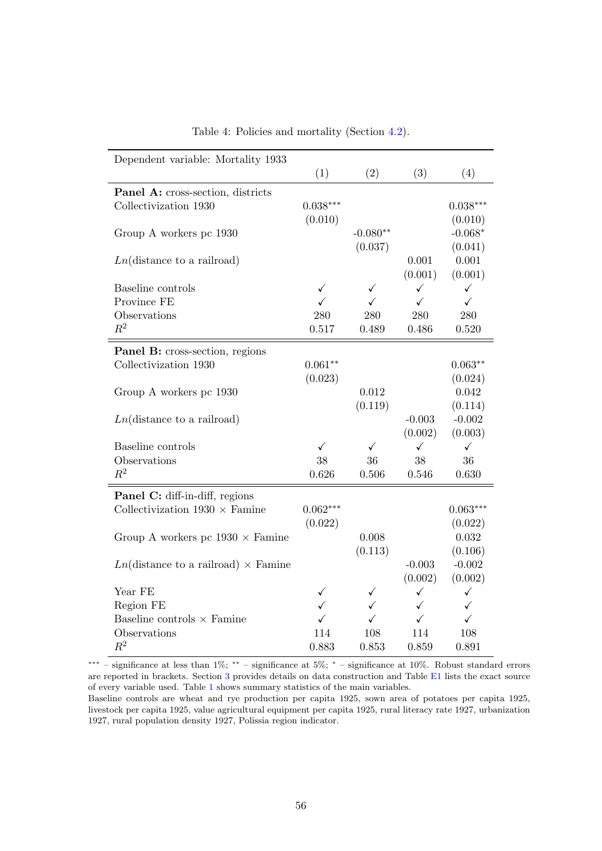<span id="page-56-0"></span>

| Dependent variable: Mortality 1933                       |              |              |              |              |
|----------------------------------------------------------|--------------|--------------|--------------|--------------|
|                                                          | (1)          | (2)          | (3)          | (4)          |
| Panel A: cross-section, districts                        |              |              |              |              |
| Collectivization 1930                                    | $0.038***$   |              |              | $0.038***$   |
|                                                          | (0.010)      |              |              | (0.010)      |
| Group A workers pc 1930                                  |              | $-0.080**$   |              | $-0.068*$    |
|                                                          |              | (0.037)      |              | (0.041)      |
| $Ln(\text{distance to a railroad})$                      |              |              | 0.001        | 0.001        |
|                                                          |              |              | (0.001)      | (0.001)      |
| Baseline controls                                        | $\checkmark$ | ✓            | $\checkmark$ | ✓            |
| Province FE                                              | ✓            | ✓            | $\checkmark$ | $\checkmark$ |
| Observations                                             | 280          | 280          | 280          | 280          |
| $R^2$                                                    | 0.517        | 0.489        | 0.486        | 0.520        |
| <b>Panel B:</b> cross-section, regions                   |              |              |              |              |
| Collectivization 1930                                    | $0.061**$    |              |              | $0.063**$    |
|                                                          | (0.023)      |              |              | (0.024)      |
| Group A workers pc 1930                                  |              | 0.012        |              | 0.042        |
|                                                          |              | (0.119)      |              | (0.114)      |
| $Ln(\text{distance to a railroad})$                      |              |              | $-0.003$     | $-0.002$     |
|                                                          |              |              | (0.002)      | (0.003)      |
| Baseline controls                                        | ✓            | ✓            | ✓            | ✓            |
| Observations                                             | 38           | 36           | 38           | 36           |
| $R^2$                                                    | 0.626        | 0.506        | 0.546        | 0.630        |
| Panel C: diff-in-diff, regions                           |              |              |              |              |
| Collectivization $1930 \times$ Famine                    | $0.062***$   |              |              | $0.063***$   |
|                                                          | (0.022)      |              |              | (0.022)      |
| Group A workers pc $1930 \times$ Famine                  |              | 0.008        |              | 0.032        |
|                                                          |              | (0.113)      |              | (0.106)      |
| $Ln(\text{distance to a railroad}) \times \text{Famine}$ |              |              | $-0.003$     | $-0.002$     |
|                                                          |              |              | (0.002)      | (0.002)      |
| Year FE                                                  | $\checkmark$ | ✓            | $\checkmark$ | $\checkmark$ |
| Region FE                                                | $\checkmark$ | $\checkmark$ | $\checkmark$ | ✓            |
| Baseline controls $\times$ Famine                        | $\checkmark$ | $\checkmark$ | $\checkmark$ | $\checkmark$ |
| Observations                                             | 114          | 108          | 114          | 108          |
| $R^2$                                                    | 0.883        | 0.853        | 0.859        | 0.891        |

Table 4: Policies and mortality (Section [4.2\)](#page-20-0).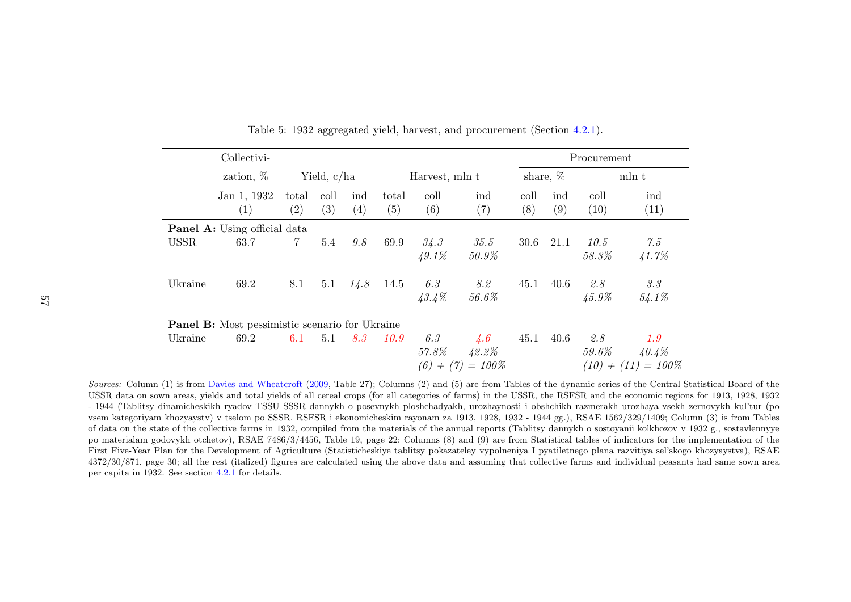|             | Collectivi-                                           |                |               |            |              |                  |                     |             |            | Procurement     |                       |
|-------------|-------------------------------------------------------|----------------|---------------|------------|--------------|------------------|---------------------|-------------|------------|-----------------|-----------------------|
|             | zation, $%$                                           |                | Yield, $c/ha$ |            |              | Harvest, mln t   |                     | share, $%$  |            | mln t           |                       |
|             | Jan 1, 1932<br>$\left( 1\right)$                      | total<br>(2)   | coll<br>(3)   | ind<br>(4) | total<br>(5) | coll<br>(6)      | ind<br>(7)          | coll<br>(8) | ind<br>(9) | coll<br>(10)    | ind<br>(11)           |
|             | <b>Panel A:</b> Using official data                   |                |               |            |              |                  |                     |             |            |                 |                       |
| <b>USSR</b> | 63.7                                                  | $\overline{7}$ | 5.4           | 9.8        | 69.9         | 34.3<br>$49.1\%$ | 35.5<br>50.9%       | 30.6        | 21.1       | 10.5<br>58.3%   | 7.5<br>41.7%          |
| Ukraine     | 69.2                                                  | 8.1            | 5.1           | 14.8       | 14.5         | 6.3<br>43.4%     | 8.2<br>56.6%        | 45.1        | 40.6       | 2.8<br>$45.9\%$ | 3.3<br>54.1%          |
|             | <b>Panel B:</b> Most pessimistic scenario for Ukraine |                |               |            |              |                  |                     |             |            |                 |                       |
| Ukraine     | 69.2                                                  | 6.1            | 5.1           | 8.3        | 10.9         | 6.3              | $\angle 4.6$        | 45.1        | 40.6       | 2.8             | 1.9                   |
|             |                                                       |                |               |            |              | 57.8%            | 42.2%               |             |            | $59.6\%$        | 40.4%                 |
|             |                                                       |                |               |            |              |                  | $(6) + (7) = 100\%$ |             |            |                 | $(10) + (11) = 100\%$ |

Table 5: <sup>1932</sup> aggregated <sup>y</sup>ield, harvest, and procurement (Section [4.2.1\)](#page-27-0).

Sources: Column (1) is from Davies and [Wheatcroft](#page-40-1) [\(2009,](#page-40-1) Table 27); Columns (2) and (5) are from Tables of the dynamic series of the Central Statistical Board of the ISSD and the communication of the ISSD and the communica USSR data on sown areas, <sup>y</sup>ields and total <sup>y</sup>ields of all cereal crops (for all categories of farms) in the USSR, the RSFSR and the economic regions for 1913, 1928, <sup>1932</sup> - <sup>1944</sup> (Tablitsy dinamicheskikh ryadov TSSU SSSR dannykh <sup>o</sup> posevnykh <sup>p</sup>loshchadyakh, urozhaynosti <sup>i</sup> obshchikh razmerakh urozhaya vsekh zernovykh kul'tur (po vsem kategoriyam khozyaystv) <sup>v</sup> tselom po SSSR, RSFSR <sup>i</sup> ekonomicheskim rayonam za 1913, 1928, <sup>1932</sup> - <sup>1944</sup> gg.), RSAE 1562/329/1409; Column (3) is from Tables of data on the state of the collective farms in 1932, compiled from the materials of the annual reports (Tablitsy dannykh <sup>o</sup> sostoyanii kolkhozov <sup>v</sup> <sup>1932</sup> g., sostavlennyye po materialam godovykh otchetov), RSAE 7486/3/4456, Table 19, page 22; Columns (8) and (9) are from Statistical tables of indicators for the implementation of the First Five-Year Plan for the Development of Agriculture (Statisticheskiye tablitsy pokazateley vypolneniya <sup>I</sup> pyatiletnego <sup>p</sup>lana razvitiya sel'skogo khozyaystva), RSAE 4372/30/871, page 30; all the rest (italized) figures are calculated using the above data and assuming that collective farms and individual peasants had same sown areaper capita in 1932. See section [4.2.1](#page-27-0) for details.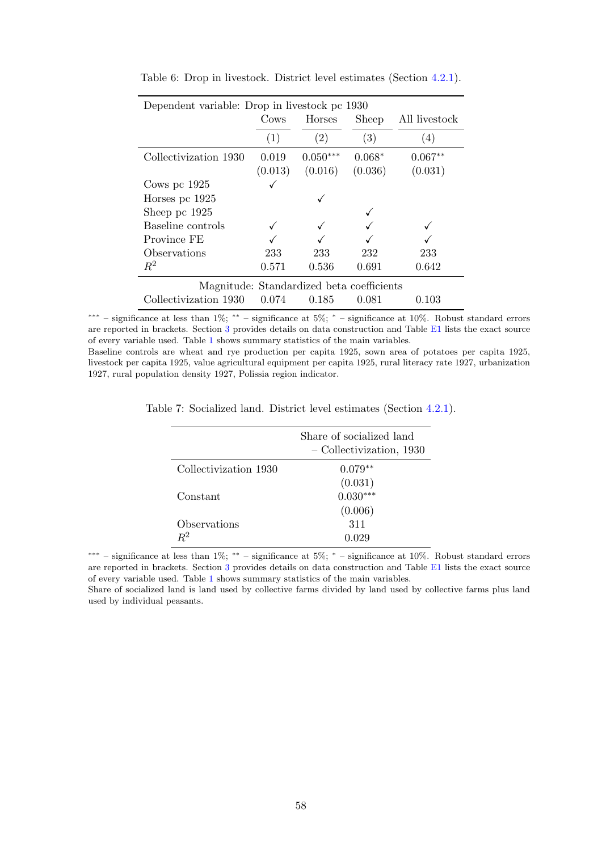| Dependent variable: Drop in livestock pc 1930 |                                           |            |          |               |  |  |  |  |
|-----------------------------------------------|-------------------------------------------|------------|----------|---------------|--|--|--|--|
|                                               | Cows                                      | Horses     | Sheep    | All livestock |  |  |  |  |
|                                               | (1)                                       | (2)        | (3)      | (4)           |  |  |  |  |
| Collectivization 1930                         | 0.019                                     | $0.050***$ | $0.068*$ | $0.067**$     |  |  |  |  |
|                                               | (0.013)                                   | (0.016)    | (0.036)  | (0.031)       |  |  |  |  |
| Cows pc $1925$                                |                                           |            |          |               |  |  |  |  |
| Horses pc 1925                                |                                           |            |          |               |  |  |  |  |
| Sheep pc 1925                                 |                                           |            |          |               |  |  |  |  |
| Baseline controls                             |                                           |            |          |               |  |  |  |  |
| Province FE                                   |                                           |            |          |               |  |  |  |  |
| Observations                                  | 233                                       | 233        | 232      | 233           |  |  |  |  |
| $R^2$                                         | 0.571                                     | 0.536      | 0.691    | 0.642         |  |  |  |  |
|                                               | Magnitude: Standardized beta coefficients |            |          |               |  |  |  |  |
| Collectivization 1930                         | 0.074                                     | 0.185      | 0.081    | 0.103         |  |  |  |  |

Table 6: Drop in livestock. District level estimates (Section [4.2.1\)](#page-27-1).

Baseline controls are wheat and rye production per capita 1925, sown area of potatoes per capita 1925, livestock per capita 1925, value agricultural equipment per capita 1925, rural literacy rate 1927, urbanization 1927, rural population density 1927, Polissia region indicator.

|                       | Share of socialized land<br>- Collectivization, 1930 |
|-----------------------|------------------------------------------------------|
| Collectivization 1930 | $0.079**$                                            |
|                       | (0.031)                                              |
| Constant              | $0.030***$                                           |
|                       | (0.006)                                              |
| Observations          | 311                                                  |
| $\rm R^2$             |                                                      |

Table 7: Socialized land. District level estimates (Section [4.2.1\)](#page-27-1).

∗∗∗ – significance at less than 1%; ∗∗ – significance at 5%; <sup>∗</sup> – significance at 10%. Robust standard errors are reported in brackets. Section [3](#page-11-0) provides details on data construction and Table [E1](#page-79-0) lists the exact source of every variable used. Table [1](#page-53-0) shows summary statistics of the main variables.

Share of socialized land is land used by collective farms divided by land used by collective farms plus land used by individual peasants.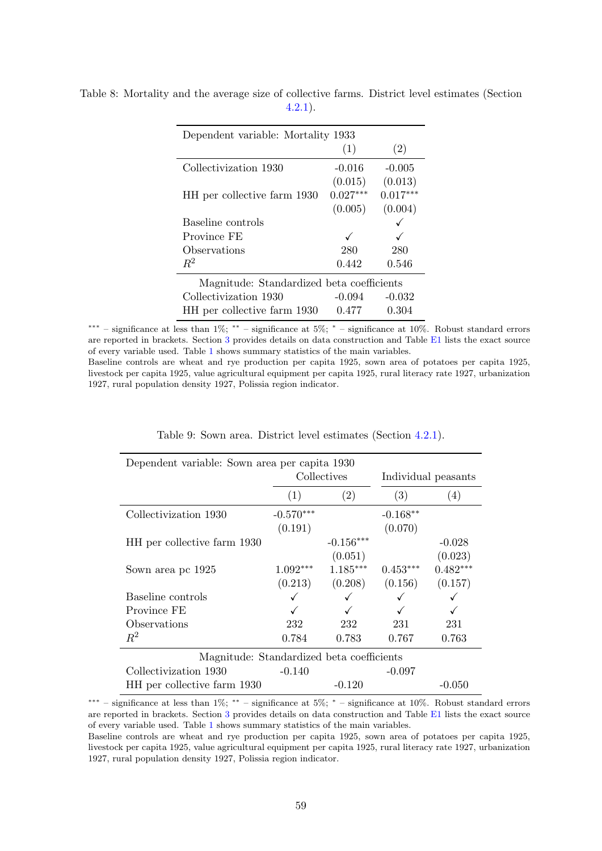| Dependent variable: Mortality 1933        |            |            |  |  |  |
|-------------------------------------------|------------|------------|--|--|--|
|                                           | (1)        | (2)        |  |  |  |
| Collectivization 1930                     | $-0.016$   | $-0.005$   |  |  |  |
|                                           | (0.015)    | (0.013)    |  |  |  |
| HH per collective farm 1930               | $0.027***$ | $0.017***$ |  |  |  |
|                                           | (0.005)    | (0.004)    |  |  |  |
| Baseline controls                         |            |            |  |  |  |
| Province FE                               |            |            |  |  |  |
| Observations                              | 280        | 280        |  |  |  |
| $R^2$                                     | 0.442      | 0.546      |  |  |  |
| Magnitude: Standardized beta coefficients |            |            |  |  |  |
| Collectivization 1930                     | $-0.094$   | $-0.032$   |  |  |  |
| HH per collective farm 1930               | 0.477      | 0.304      |  |  |  |

Table 8: Mortality and the average size of collective farms. District level estimates (Section [4.2.1\)](#page-27-1).

Baseline controls are wheat and rye production per capita 1925, sown area of potatoes per capita 1925, livestock per capita 1925, value agricultural equipment per capita 1925, rural literacy rate 1927, urbanization 1927, rural population density 1927, Polissia region indicator.

| Dependent variable: Sown area per capita 1930 |             |             |                     |            |  |  |  |  |
|-----------------------------------------------|-------------|-------------|---------------------|------------|--|--|--|--|
|                                               |             | Collectives | Individual peasants |            |  |  |  |  |
|                                               | (1)         | (2)         | (3)                 | (4)        |  |  |  |  |
| Collectivization 1930                         | $-0.570***$ |             | $-0.168**$          |            |  |  |  |  |
|                                               | (0.191)     |             | (0.070)             |            |  |  |  |  |
| HH per collective farm 1930                   |             | $-0.156***$ |                     | $-0.028$   |  |  |  |  |
|                                               |             | (0.051)     |                     | (0.023)    |  |  |  |  |
| Sown area pc 1925                             | $1.092***$  | $1.185***$  | $0.453***$          | $0.482***$ |  |  |  |  |
|                                               | (0.213)     | (0.208)     | (0.156)             | (0.157)    |  |  |  |  |
| Baseline controls                             |             |             |                     |            |  |  |  |  |
| Province FE                                   |             |             |                     |            |  |  |  |  |
| Observations                                  | 232         | 232         | 231                 | 231        |  |  |  |  |
| $R^2$                                         | 0.784       | 0.783       | 0.767               | 0.763      |  |  |  |  |
| Magnitude: Standardized beta coefficients     |             |             |                     |            |  |  |  |  |
| Collectivization 1930                         | $-0.140$    |             | $-0.097$            |            |  |  |  |  |
| HH per collective farm 1930                   |             | $-0.120$    |                     | $-0.050$   |  |  |  |  |

|  |  |  |  |  |  | Table 9: Sown area. District level estimates (Section 4.2.1). |  |  |  |
|--|--|--|--|--|--|---------------------------------------------------------------|--|--|--|
|--|--|--|--|--|--|---------------------------------------------------------------|--|--|--|

∗∗∗ – significance at less than 1%; ∗∗ – significance at 5%; <sup>∗</sup> – significance at 10%. Robust standard errors are reported in brackets. Section [3](#page-11-0) provides details on data construction and Table [E1](#page-79-0) lists the exact source of every variable used. Table [1](#page-53-0) shows summary statistics of the main variables.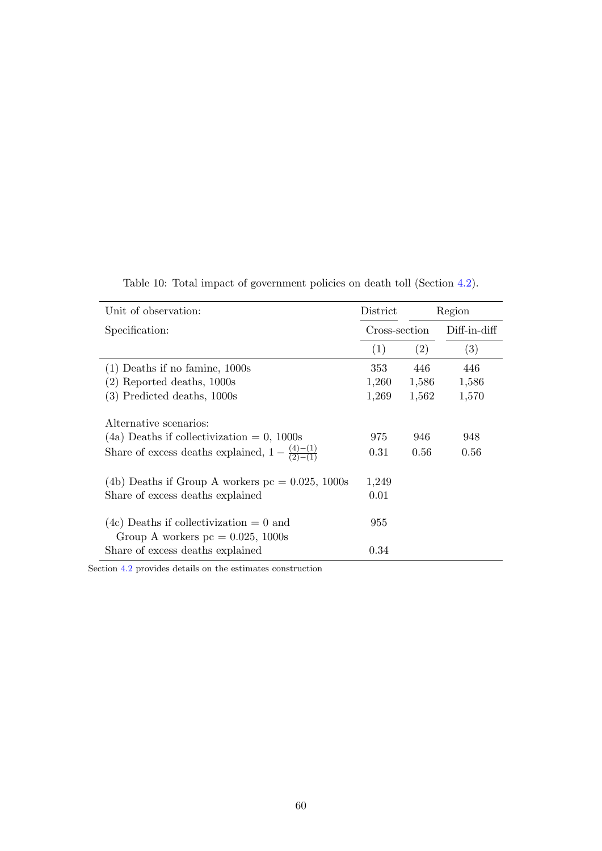| Unit of observation:                                                             | District      |       | Region       |
|----------------------------------------------------------------------------------|---------------|-------|--------------|
| Specification:                                                                   | Cross-section |       | Diff-in-diff |
|                                                                                  | (1)           | (2)   | (3)          |
| $(1)$ Deaths if no famine, 1000s                                                 | 353           | 446   | 446          |
| $(2)$ Reported deaths, 1000s                                                     | 1,260         | 1,586 | 1,586        |
| $(3)$ Predicted deaths, 1000s                                                    | 1,269         | 1,562 | 1,570        |
| Alternative scenarios:                                                           |               |       |              |
| $(4a)$ Deaths if collectivization = 0, 1000s                                     | 975           | 946   | 948          |
| Share of excess deaths explained, $1 - \frac{(4)-(1)}{(2)-(1)}$                  | 0.31          | 0.56  | 0.56         |
| (4b) Deaths if Group A workers $pc = 0.025, 1000s$                               | 1,249         |       |              |
| Share of excess deaths explained                                                 | 0.01          |       |              |
| $(4c)$ Deaths if collectivization = 0 and<br>Group A workers $pc = 0.025, 1000s$ | 955           |       |              |
| Share of excess deaths explained                                                 | 0.34          |       |              |

Table 10: Total impact of government policies on death toll (Section [4.2\)](#page-20-0).

Section [4.2](#page-20-0) provides details on the estimates construction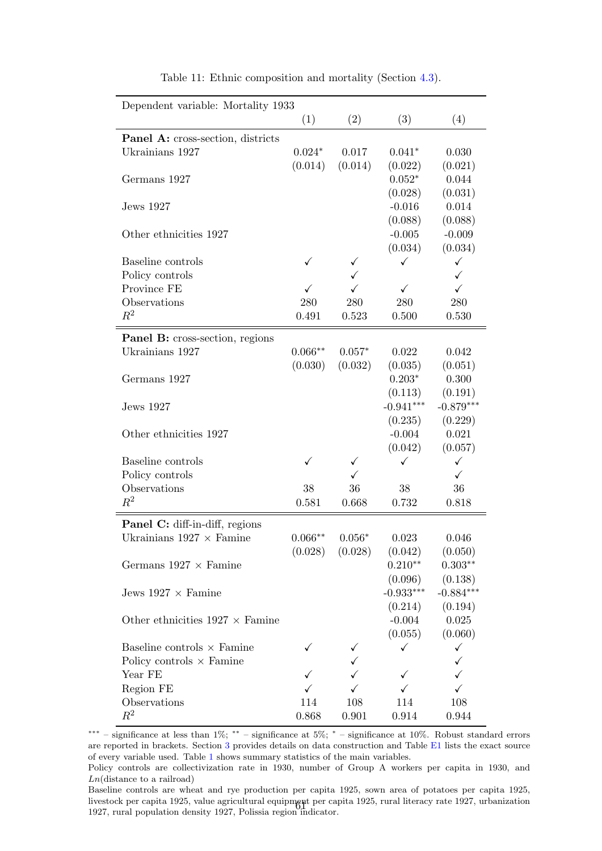<span id="page-61-0"></span>

| Dependent variable: Mortality 1933            |           |                     |              |              |
|-----------------------------------------------|-----------|---------------------|--------------|--------------|
|                                               | (1)       | (2)                 | (3)          | (4)          |
| <b>Panel A:</b> cross-section, districts      |           |                     |              |              |
| Ukrainians 1927                               | $0.024*$  | 0.017               | $0.041*$     | 0.030        |
|                                               | (0.014)   | (0.014)             | (0.022)      | (0.021)      |
| Germans 1927                                  |           |                     | $0.052*$     | 0.044        |
|                                               |           |                     | (0.028)      | (0.031)      |
| Jews 1927                                     |           |                     | $-0.016$     | 0.014        |
|                                               |           |                     | (0.088)      | (0.088)      |
| Other ethnicities 1927                        |           |                     | $-0.005$     | $-0.009$     |
|                                               |           |                     | (0.034)      | (0.034)      |
| Baseline controls                             | ✓         | ✓                   | ✓            | $\checkmark$ |
| Policy controls                               |           | ✓                   |              | $\checkmark$ |
| Province FE                                   | ✓         | $\checkmark$        | $\checkmark$ | $\checkmark$ |
| Observations                                  | 280       | 280                 | 280          | 280          |
| $R^2$                                         | 0.491     | 0.523               | 0.500        | 0.530        |
|                                               |           |                     |              |              |
| <b>Panel B:</b> cross-section, regions        |           |                     |              |              |
| Ukrainians 1927                               | $0.066**$ | $0.057*$            | 0.022        | 0.042        |
|                                               | (0.030)   | (0.032)             | (0.035)      | (0.051)      |
| Germans 1927                                  |           |                     | $0.203*$     | 0.300        |
|                                               |           |                     | (0.113)      | (0.191)      |
| Jews 1927                                     |           |                     | $-0.941***$  | $-0.879***$  |
|                                               |           |                     | (0.235)      | (0.229)      |
| Other ethnicities 1927                        |           |                     | $-0.004$     | 0.021        |
|                                               |           |                     | (0.042)      | (0.057)      |
| Baseline controls                             | ✓         | ✓                   | ✓            | $\checkmark$ |
| Policy controls                               |           |                     |              | ✓            |
| Observations                                  | 38        | 36                  | 38           | 36           |
| $R^2$                                         | 0.581     | 0.668               | 0.732        | 0.818        |
|                                               |           |                     |              |              |
| Panel C: diff-in-diff, regions                |           |                     |              |              |
| Ukrainians $1927 \times$ Famine               | $0.066**$ | $0.056*$            | 0.023        | 0.046        |
|                                               |           | $(0.028)$ $(0.028)$ | (0.042)      | (0.050)      |
| Germans $1927 \times \text{Famine}$           |           |                     | $0.210**$    | $0.303**$    |
|                                               |           |                     | (0.096)      | (0.138)      |
| Jews $1927 \times$ Famine                     |           |                     | $-0.933***$  | $-0.884***$  |
|                                               |           |                     | (0.214)      | (0.194)      |
| Other ethnicities $1927 \times \text{Famine}$ |           |                     | $-0.004$     | 0.025        |
|                                               |           |                     | (0.055)      | (0.060)      |
| Baseline controls $\times$ Famine             |           |                     | ✓            | $\checkmark$ |
| Policy controls $\times$ Famine               |           |                     |              | ✓            |
| Year FE                                       |           |                     | ✓            | ✓            |
| Region FE                                     |           |                     |              | $\checkmark$ |
| Observations                                  | 114       | 108                 | 114          | 108          |
| $R^2$                                         | 0.868     | 0.901               | 0.914        | 0.944        |

Table 11: Ethnic composition and mortality (Section [4.3\)](#page-31-0).

∗∗∗ – significance at less than 1%; ∗∗ – significance at 5%; <sup>∗</sup> – significance at 10%. Robust standard errors are reported in brackets. Section [3](#page-11-0) provides details on data construction and Table [E1](#page-79-0) lists the exact source of every variable used. Table [1](#page-53-0) shows summary statistics of the main variables.

Policy controls are collectivization rate in 1930, number of Group A workers per capita in 1930, and  $Ln(distance to a railroad)$ 

Baseline controls are wheat and rye production per capita 1925, sown area of potatoes per capita 1925, livestock per capita 1925, value agricultural equipment per capita 1925, rural literacy rate 1927, urbanization 1927, rural population density 1927, Polissia region indicator. <sup>61</sup>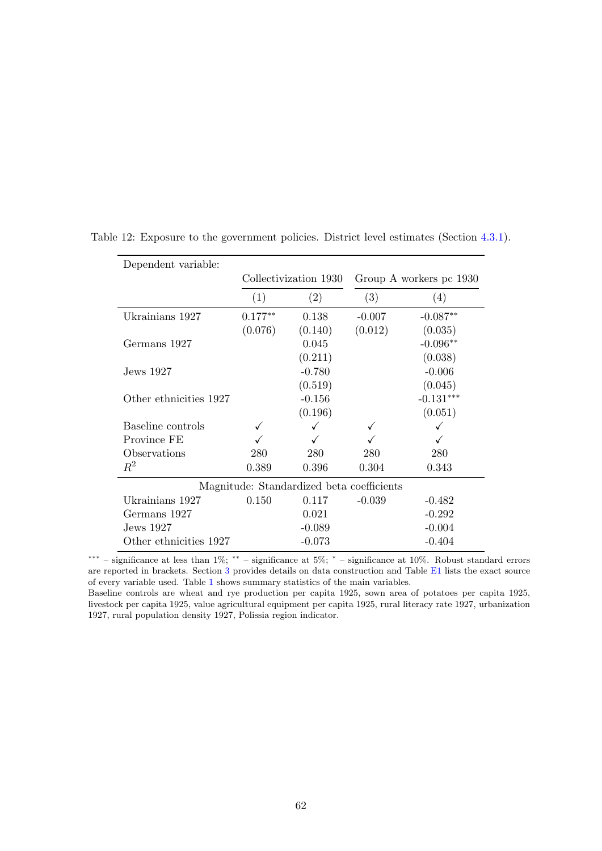| Dependent variable:    |                       |                                           |          |                         |  |  |
|------------------------|-----------------------|-------------------------------------------|----------|-------------------------|--|--|
|                        | Collectivization 1930 |                                           |          | Group A workers pc 1930 |  |  |
|                        | (2)<br>(1)            |                                           | (3)      | (4)                     |  |  |
| Ukrainians 1927        | $0.177**$             | 0.138                                     | $-0.007$ | $-0.087**$              |  |  |
|                        | (0.076)               | (0.140)                                   | (0.012)  | (0.035)                 |  |  |
| Germans 1927           |                       | 0.045                                     |          | $-0.096**$              |  |  |
|                        |                       | (0.211)                                   |          | (0.038)                 |  |  |
| Jews 1927              |                       | $-0.780$                                  |          | $-0.006$                |  |  |
|                        |                       | (0.519)                                   |          | (0.045)                 |  |  |
| Other ethnicities 1927 | $-0.156$              |                                           |          | $-0.131***$             |  |  |
|                        |                       | (0.196)                                   |          | (0.051)                 |  |  |
| Baseline controls      |                       | ✓                                         |          |                         |  |  |
| Province FE            |                       |                                           |          |                         |  |  |
| Observations           | 280                   | 280                                       | 280      | 280                     |  |  |
| $R^2$                  | 0.389                 | 0.396                                     | 0.304    | 0.343                   |  |  |
|                        |                       | Magnitude: Standardized beta coefficients |          |                         |  |  |
| Ukrainians 1927        | 0.150                 | 0.117                                     | $-0.039$ | $-0.482$                |  |  |
| Germans 1927           |                       | 0.021                                     |          | $-0.292$                |  |  |
| Jews 1927              |                       | $-0.089$                                  |          | $-0.004$                |  |  |
| Other ethnicities 1927 |                       | $-0.073$                                  |          | $-0.404$                |  |  |

<span id="page-62-0"></span>Table 12: Exposure to the government policies. District level estimates (Section [4.3.1\)](#page-36-0).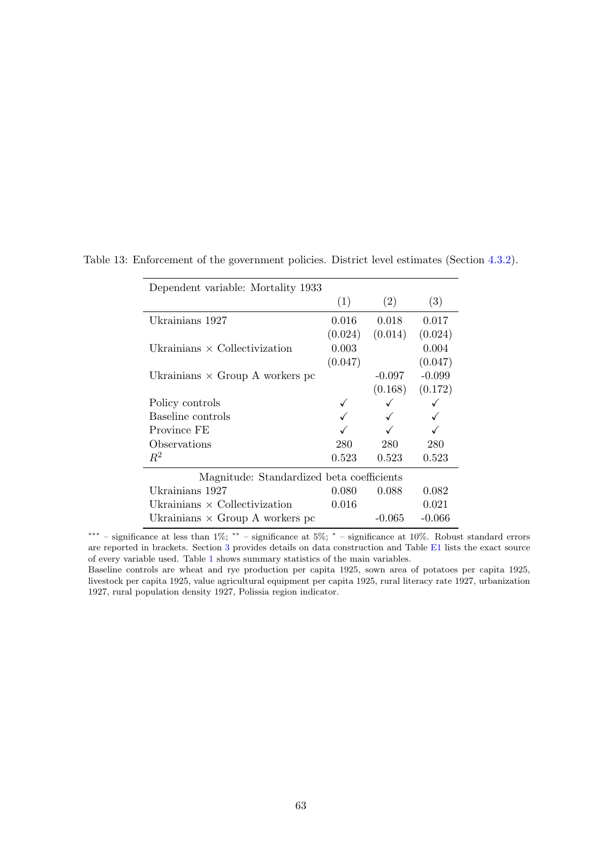| Dependent variable: Mortality 1933        |         |          |          |
|-------------------------------------------|---------|----------|----------|
|                                           | (1)     | (2)      | (3)      |
| Ukrainians 1927                           | 0.016   | 0.018    | 0.017    |
|                                           | (0.024) | (0.014)  | (0.024)  |
| Ukrainians $\times$ Collectivization      | 0.003   |          | 0.004    |
|                                           | (0.047) |          | (0.047)  |
| Ukrainians $\times$ Group A workers pc    |         | $-0.097$ | $-0.099$ |
|                                           |         | (0.168)  | (0.172)  |
| Policy controls                           |         |          |          |
| Baseline controls                         |         |          |          |
| Province FE                               |         |          |          |
| Observations                              | 280     | 280      | 280      |
| $R^2$                                     | 0.523   | 0.523    | 0.523    |
| Magnitude: Standardized beta coefficients |         |          |          |
| Ukrainians 1927                           | 0.080   | 0.088    | 0.082    |
| Ukrainians $\times$ Collectivization      | 0.016   |          | 0.021    |
| Ukrainians $\times$ Group A workers pc    |         | $-0.065$ | $-0.066$ |

<span id="page-63-0"></span>Table 13: Enforcement of the government policies. District level estimates (Section [4.3.2\)](#page-38-1).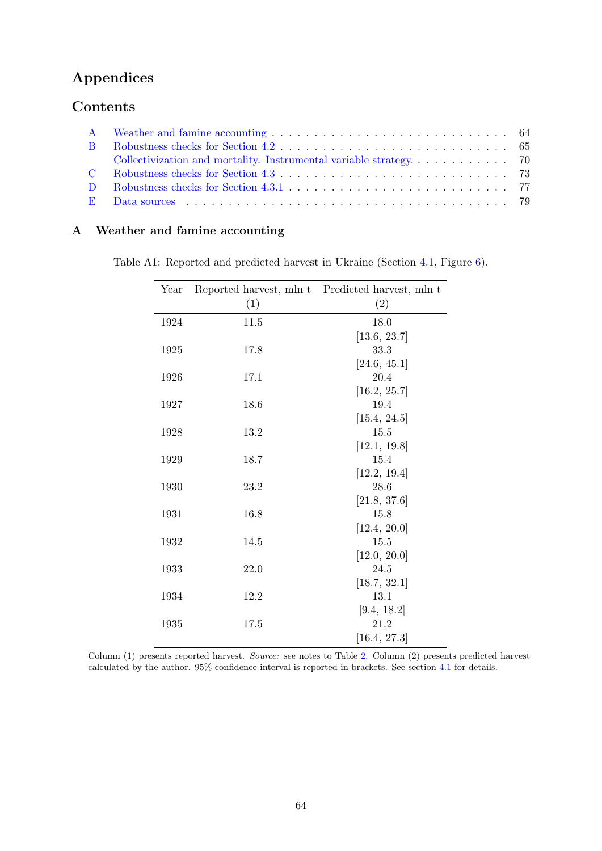# Appendices

## Contents

### <span id="page-64-1"></span><span id="page-64-0"></span>A Weather and famine accounting

| Table A1: Reported and predicted harvest in Ukraine (Section 4.1, Figure 6). |  |
|------------------------------------------------------------------------------|--|
|------------------------------------------------------------------------------|--|

| Year |      | Reported harvest, mln t Predicted harvest, mln t |
|------|------|--------------------------------------------------|
|      | (1)  | (2)                                              |
| 1924 | 11.5 | 18.0                                             |
|      |      | [13.6, 23.7]                                     |
| 1925 | 17.8 | 33.3                                             |
|      |      | [24.6, 45.1]                                     |
| 1926 | 17.1 | 20.4                                             |
|      |      | [16.2, 25.7]                                     |
| 1927 | 18.6 | 19.4                                             |
|      |      | [15.4, 24.5]                                     |
| 1928 | 13.2 | 15.5                                             |
|      |      | [12.1, 19.8]                                     |
| 1929 | 18.7 | 15.4                                             |
| 1930 | 23.2 | [12.2, 19.4]<br>28.6                             |
|      |      | [21.8, 37.6]                                     |
| 1931 | 16.8 | 15.8                                             |
|      |      | [12.4, 20.0]                                     |
| 1932 | 14.5 | 15.5                                             |
|      |      | [12.0, 20.0]                                     |
| 1933 | 22.0 | 24.5                                             |
|      |      | [18.7, 32.1]                                     |
| 1934 | 12.2 | 13.1                                             |
|      |      | [9.4, 18.2]                                      |
| 1935 | 17.5 | 21.2                                             |
|      |      | [16.4, 27.3]                                     |

Column (1) presents reported harvest. Source: see notes to Table [2.](#page-54-0) Column (2) presents predicted harvest calculated by the author. 95% confidence interval is reported in brackets. See section [4.1](#page-15-0) for details.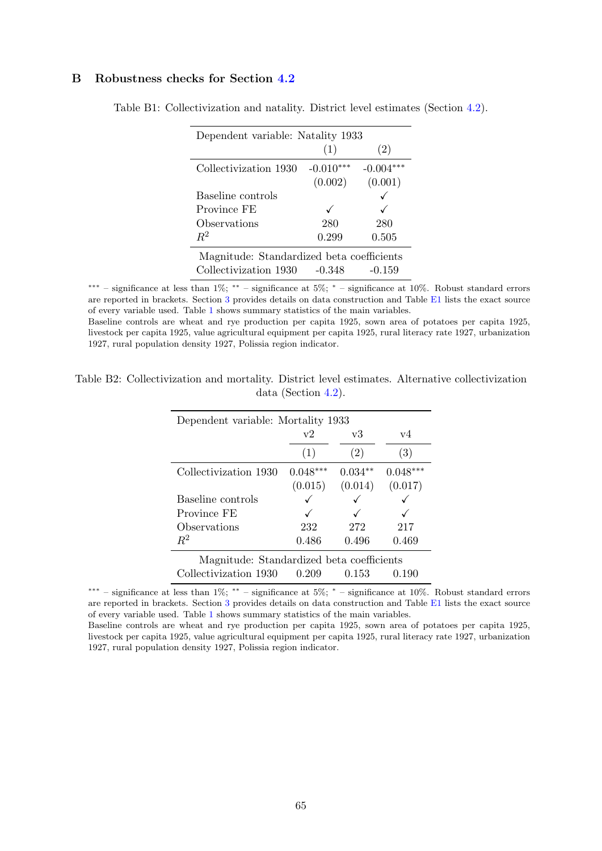### <span id="page-65-0"></span>B Robustness checks for Section [4.2](#page-20-0)

| Dependent variable: Natality 1933         |             |             |  |  |  |  |  |
|-------------------------------------------|-------------|-------------|--|--|--|--|--|
|                                           | (1)         | (2)         |  |  |  |  |  |
| Collectivization 1930                     | $-0.010***$ | $-0.004***$ |  |  |  |  |  |
|                                           | (0.002)     | (0.001)     |  |  |  |  |  |
| Baseline controls                         |             |             |  |  |  |  |  |
| Province FE                               |             |             |  |  |  |  |  |
| Observations                              | 280         | 280         |  |  |  |  |  |
| $R^2$                                     | 0.299       | 0.505       |  |  |  |  |  |
| Magnitude: Standardized beta coefficients |             |             |  |  |  |  |  |
| Collectivization 1930                     | $-0.348$    | $-0.159$    |  |  |  |  |  |

Table B1: Collectivization and natality. District level estimates (Section [4.2\)](#page-20-0).

∗∗∗ – significance at less than 1%; ∗∗ – significance at 5%; <sup>∗</sup> – significance at 10%. Robust standard errors are reported in brackets. Section [3](#page-11-0) provides details on data construction and Table [E1](#page-79-0) lists the exact source of every variable used. Table [1](#page-53-0) shows summary statistics of the main variables.

Baseline controls are wheat and rye production per capita 1925, sown area of potatoes per capita 1925, livestock per capita 1925, value agricultural equipment per capita 1925, rural literacy rate 1927, urbanization 1927, rural population density 1927, Polissia region indicator.

| Table B2: Collectivization and mortality. District level estimates. Alternative collectivization |                        |  |  |
|--------------------------------------------------------------------------------------------------|------------------------|--|--|
|                                                                                                  | data (Section $4.2$ ). |  |  |

| Dependent variable: Mortality 1933        |            |           |            |  |  |  |
|-------------------------------------------|------------|-----------|------------|--|--|--|
|                                           | v2         | v3        | v4         |  |  |  |
|                                           | (1)        | (2)       | (3)        |  |  |  |
| Collectivization 1930                     | $0.048***$ | $0.034**$ | $0.048***$ |  |  |  |
|                                           | (0.015)    | (0.014)   | (0.017)    |  |  |  |
| Baseline controls                         |            |           |            |  |  |  |
| Province FE                               |            |           |            |  |  |  |
| Observations                              | 232        | 272       | 217        |  |  |  |
| $R^2$                                     | 0.486      | 0.496     | 0.469      |  |  |  |
| Magnitude: Standardized beta coefficients |            |           |            |  |  |  |
| Collectivization 1930                     | 0.209      | 0.153     | 0.190      |  |  |  |

∗∗∗ – significance at less than 1%; ∗∗ – significance at 5%; <sup>∗</sup> – significance at 10%. Robust standard errors are reported in brackets. Section [3](#page-11-0) provides details on data construction and Table [E1](#page-79-0) lists the exact source of every variable used. Table [1](#page-53-0) shows summary statistics of the main variables.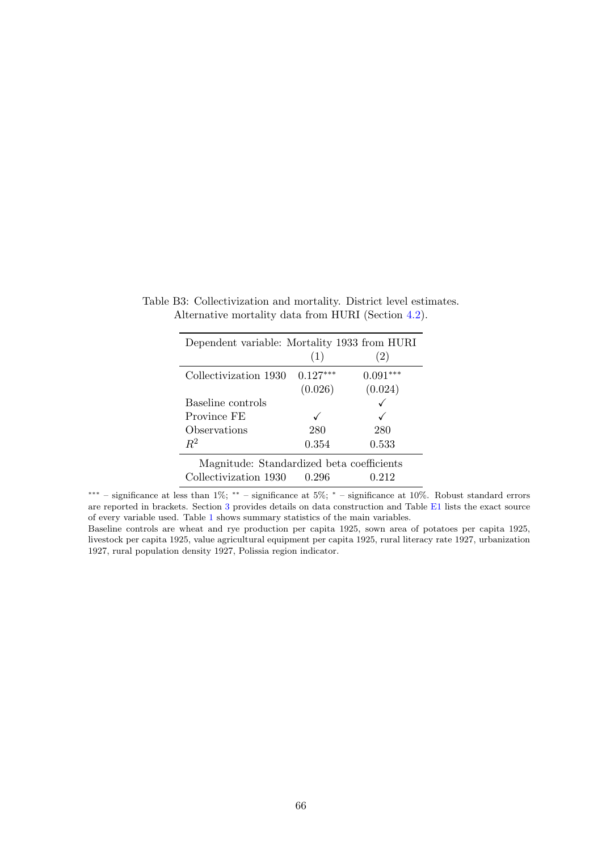| Dependent variable: Mortality 1933 from HURI |            |            |
|----------------------------------------------|------------|------------|
|                                              | (1)        | (2)        |
| Collectivization 1930                        | $0.127***$ | $0.091***$ |
|                                              | (0.026)    | (0.024)    |
| Baseline controls                            |            |            |
| Province FE                                  |            |            |
| Observations                                 | 280        | 280        |
| $R^2$                                        | 0.354      | 0.533      |
| Magnitude: Standardized beta coefficients    |            |            |
| Collectivization 1930                        | 0.296      | 0.212      |

Table B3: Collectivization and mortality. District level estimates. Alternative mortality data from HURI (Section [4.2\)](#page-20-0).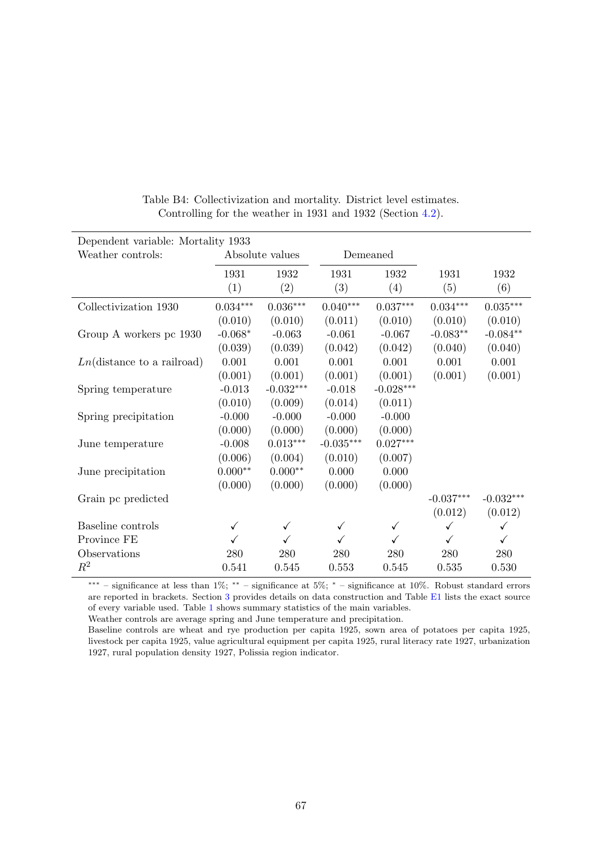| Dependent variable: Mortality 1933  |              |                 |             |              |             |                 |  |
|-------------------------------------|--------------|-----------------|-------------|--------------|-------------|-----------------|--|
| Weather controls:                   |              | Absolute values | Demeaned    |              |             |                 |  |
|                                     | 1931<br>(1)  | 1932<br>(2)     | 1931<br>(3) | 1932<br>(4)  | 1931<br>(5) | 1932<br>(6)     |  |
| Collectivization 1930               | $0.034***$   | $0.036***$      | $0.040***$  | $0.037***$   | $0.034***$  | $0.035^{***}\,$ |  |
|                                     | (0.010)      | (0.010)         | (0.011)     | (0.010)      | (0.010)     | (0.010)         |  |
| Group A workers pc 1930             | $-0.068*$    | $-0.063$        | $-0.061$    | $-0.067$     | $-0.083**$  | $-0.084**$      |  |
|                                     | (0.039)      | (0.039)         | (0.042)     | (0.042)      | (0.040)     | (0.040)         |  |
| $Ln(\text{distance to a railroad})$ | 0.001        | 0.001           | 0.001       | 0.001        | 0.001       | 0.001           |  |
|                                     | (0.001)      | (0.001)         | (0.001)     | (0.001)      | (0.001)     | (0.001)         |  |
| Spring temperature                  | $-0.013$     | $-0.032***$     | $-0.018$    | $-0.028***$  |             |                 |  |
|                                     | (0.010)      | (0.009)         | (0.014)     | (0.011)      |             |                 |  |
| Spring precipitation                | $-0.000$     | $-0.000$        | $-0.000$    | $-0.000$     |             |                 |  |
|                                     | (0.000)      | (0.000)         | (0.000)     | (0.000)      |             |                 |  |
| June temperature                    | $-0.008$     | $0.013***$      | $-0.035***$ | $0.027***$   |             |                 |  |
|                                     | (0.006)      | (0.004)         | (0.010)     | (0.007)      |             |                 |  |
| June precipitation                  | $0.000^{**}$ | $0.000**$       | 0.000       | 0.000        |             |                 |  |
|                                     | (0.000)      | (0.000)         | (0.000)     | (0.000)      |             |                 |  |
| Grain pc predicted                  |              |                 |             |              | $-0.037***$ | $-0.032***$     |  |
|                                     |              |                 |             |              | (0.012)     | (0.012)         |  |
| Baseline controls                   | ✓            | ✓               | √           | $\checkmark$ | ✓           | $\checkmark$    |  |
| Province FE                         | ✓            |                 | ✓           |              | ✓           | ✓               |  |
| Observations                        | 280          | 280             | 280         | 280          | 280         | 280             |  |
| $\,R^2$                             | 0.541        | 0.545           | 0.553       | 0.545        | 0.535       | 0.530           |  |

Table B4: Collectivization and mortality. District level estimates. Controlling for the weather in 1931 and 1932 (Section [4.2\)](#page-20-0).

Weather controls are average spring and June temperature and precipitation.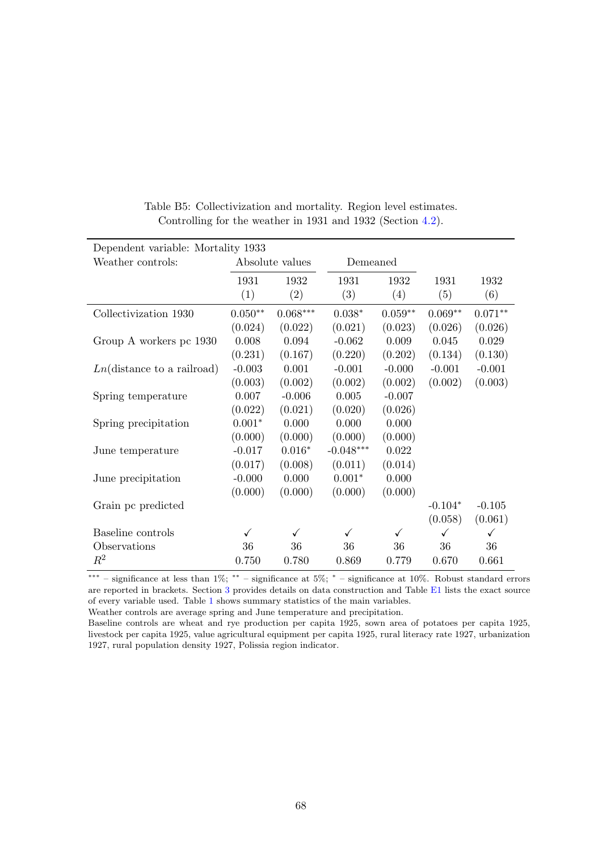| Dependent variable: Mortality 1933  |                 |                        |             |           |              |           |  |
|-------------------------------------|-----------------|------------------------|-------------|-----------|--------------|-----------|--|
| Weather controls:                   | Absolute values |                        |             | Demeaned  |              |           |  |
|                                     | 1931            | 1932                   | 1931        | 1932      | 1931         | 1932      |  |
|                                     | (1)             | (2)                    | (3)         | (4)       | (5)          | (6)       |  |
| Collectivization 1930               | $0.050**$       | $0.068^{\ast\ast\ast}$ | $0.038*$    | $0.059**$ | $0.069**$    | $0.071**$ |  |
|                                     | (0.024)         | (0.022)                | (0.021)     | (0.023)   | (0.026)      | (0.026)   |  |
| Group A workers pc 1930             | 0.008           | 0.094                  | $-0.062$    | 0.009     | 0.045        | 0.029     |  |
|                                     | (0.231)         | (0.167)                | (0.220)     | (0.202)   | (0.134)      | (0.130)   |  |
| $Ln(\text{distance to a railroad})$ | $-0.003$        | 0.001                  | $-0.001$    | $-0.000$  | $-0.001$     | $-0.001$  |  |
|                                     | (0.003)         | (0.002)                | (0.002)     | (0.002)   | (0.002)      | (0.003)   |  |
| Spring temperature                  | 0.007           | $-0.006$               | 0.005       | $-0.007$  |              |           |  |
|                                     | (0.022)         | (0.021)                | (0.020)     | (0.026)   |              |           |  |
| Spring precipitation                | $0.001*$        | 0.000                  | 0.000       | 0.000     |              |           |  |
|                                     | (0.000)         | (0.000)                | (0.000)     | (0.000)   |              |           |  |
| June temperature                    | $-0.017$        | $0.016*$               | $-0.048***$ | 0.022     |              |           |  |
|                                     | (0.017)         | (0.008)                | (0.011)     | (0.014)   |              |           |  |
| June precipitation                  | $-0.000$        | 0.000                  | $0.001*$    | 0.000     |              |           |  |
|                                     | (0.000)         | (0.000)                | (0.000)     | (0.000)   |              |           |  |
| Grain pc predicted                  |                 |                        |             |           | $-0.104*$    | $-0.105$  |  |
|                                     |                 |                        |             |           | (0.058)      | (0.061)   |  |
| Baseline controls                   | ✓               | √                      | ✓           | ✓         | $\checkmark$ | √         |  |
| Observations                        | 36              | 36                     | 36          | 36        | 36           | 36        |  |
| $R^2$                               | 0.750           | 0.780                  | 0.869       | 0.779     | 0.670        | 0.661     |  |

| Table B5: Collectivization and mortality. Region level estimates. |  |  |  |
|-------------------------------------------------------------------|--|--|--|
| Controlling for the weather in 1931 and 1932 (Section 4.2).       |  |  |  |

Weather controls are average spring and June temperature and precipitation.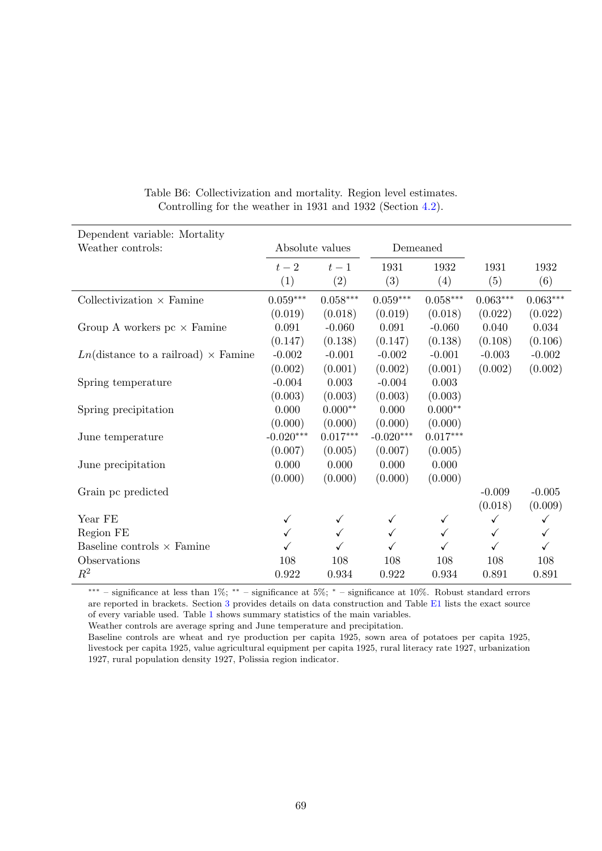| Dependent variable: Mortality                            |                 |                        |                 |                 |              |              |
|----------------------------------------------------------|-----------------|------------------------|-----------------|-----------------|--------------|--------------|
| Weather controls:                                        | Absolute values |                        | Demeaned        |                 |              |              |
|                                                          | $t-2$           | $t-1$                  | 1931            | 1932            | 1931         | 1932         |
|                                                          | (1)             | (2)                    | (3)             | (4)             | (5)          | (6)          |
| Collectivization $\times$ Famine                         | $0.059***$      | $0.058^{\ast\ast\ast}$ | $0.059^{***}\,$ | $0.058^{***}\,$ | $0.063***$   | $0.063***$   |
|                                                          | (0.019)         | (0.018)                | (0.019)         | (0.018)         | (0.022)      | (0.022)      |
| Group A workers $pc \times$ Famine                       | 0.091           | $-0.060$               | 0.091           | $-0.060$        | 0.040        | 0.034        |
|                                                          | (0.147)         | (0.138)                | (0.147)         | (0.138)         | (0.108)      | (0.106)      |
| $Ln(\text{distance to a railroad}) \times \text{Famine}$ | $-0.002$        | $-0.001$               | $-0.002$        | $-0.001$        | $-0.003$     | $-0.002$     |
|                                                          | (0.002)         | (0.001)                | (0.002)         | (0.001)         | (0.002)      | (0.002)      |
| Spring temperature                                       | $-0.004$        | 0.003                  | $-0.004$        | 0.003           |              |              |
|                                                          | (0.003)         | (0.003)                | (0.003)         | (0.003)         |              |              |
| Spring precipitation                                     | 0.000           | $0.000**$              | 0.000           | $0.000**$       |              |              |
|                                                          | (0.000)         | (0.000)                | (0.000)         | (0.000)         |              |              |
| June temperature                                         | $-0.020***$     | $0.017***$             | $-0.020***$     | $0.017***$      |              |              |
|                                                          | (0.007)         | (0.005)                | (0.007)         | (0.005)         |              |              |
| June precipitation                                       | 0.000           | 0.000                  | 0.000           | 0.000           |              |              |
|                                                          | (0.000)         | (0.000)                | (0.000)         | (0.000)         |              |              |
| Grain pc predicted                                       |                 |                        |                 |                 | $-0.009$     | $-0.005$     |
|                                                          |                 |                        |                 |                 | (0.018)      | (0.009)      |
| Year FE                                                  | $\checkmark$    | ✓                      |                 | ✓               | $\checkmark$ | $\checkmark$ |
| Region FE                                                | ✓               | ✓                      | ✓               | ✓               | ✓            | $\checkmark$ |
| Baseline controls $\times$ Famine                        |                 |                        |                 |                 | ✓            |              |
| Observations                                             | 108             | 108                    | 108             | 108             | 108          | 108          |
| $\mathbb{R}^2$                                           | 0.922           | 0.934                  | 0.922           | 0.934           | 0.891        | 0.891        |

### Table B6: Collectivization and mortality. Region level estimates. Controlling for the weather in 1931 and 1932 (Section [4.2\)](#page-20-0).

∗∗∗ – significance at less than 1%; ∗∗ – significance at 5%; <sup>∗</sup> – significance at 10%. Robust standard errors are reported in brackets. Section [3](#page-11-0) provides details on data construction and Table [E1](#page-79-0) lists the exact source of every variable used. Table [1](#page-53-0) shows summary statistics of the main variables.

Weather controls are average spring and June temperature and precipitation.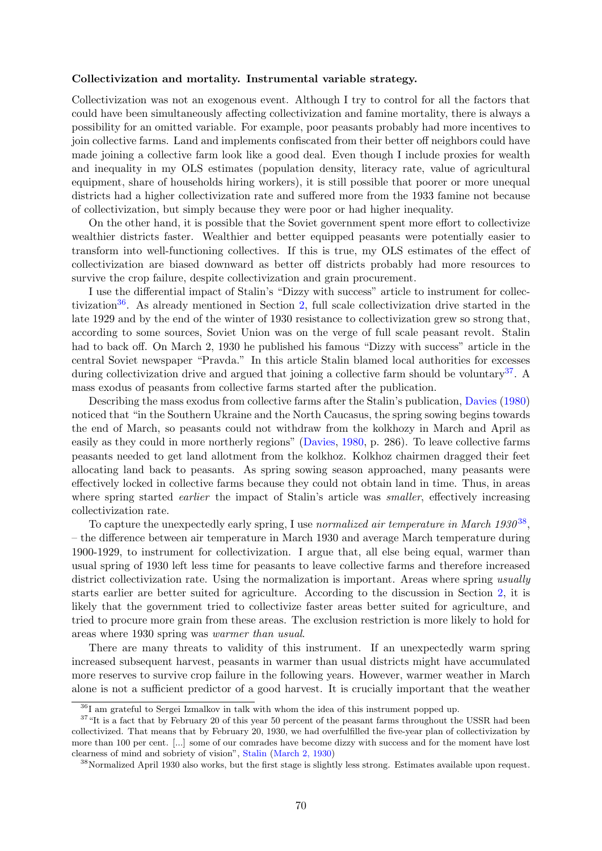#### <span id="page-70-0"></span>Collectivization and mortality. Instrumental variable strategy.

Collectivization was not an exogenous event. Although I try to control for all the factors that could have been simultaneously affecting collectivization and famine mortality, there is always a possibility for an omitted variable. For example, poor peasants probably had more incentives to join collective farms. Land and implements confiscated from their better off neighbors could have made joining a collective farm look like a good deal. Even though I include proxies for wealth and inequality in my OLS estimates (population density, literacy rate, value of agricultural equipment, share of households hiring workers), it is still possible that poorer or more unequal districts had a higher collectivization rate and suffered more from the 1933 famine not because of collectivization, but simply because they were poor or had higher inequality.

On the other hand, it is possible that the Soviet government spent more effort to collectivize wealthier districts faster. Wealthier and better equipped peasants were potentially easier to transform into well-functioning collectives. If this is true, my OLS estimates of the effect of collectivization are biased downward as better off districts probably had more resources to survive the crop failure, despite collectivization and grain procurement.

I use the differential impact of Stalin's "Dizzy with success" article to instrument for collec-tivization<sup>[36](#page-70-1)</sup>. As already mentioned in Section [2,](#page-6-0) full scale collectivization drive started in the late 1929 and by the end of the winter of 1930 resistance to collectivization grew so strong that, according to some sources, Soviet Union was on the verge of full scale peasant revolt. Stalin had to back off. On March 2, 1930 he published his famous "Dizzy with success" article in the central Soviet newspaper "Pravda." In this article Stalin blamed local authorities for excesses during collectivization drive and argued that joining a collective farm should be voluntary<sup>[37](#page-70-2)</sup>. A mass exodus of peasants from collective farms started after the publication.

Describing the mass exodus from collective farms after the Stalin's publication, [Davies](#page-40-2) [\(1980\)](#page-40-2) noticed that "in the Southern Ukraine and the North Caucasus, the spring sowing begins towards the end of March, so peasants could not withdraw from the kolkhozy in March and April as easily as they could in more northerly regions" [\(Davies,](#page-40-2) [1980,](#page-40-2) p. 286). To leave collective farms peasants needed to get land allotment from the kolkhoz. Kolkhoz chairmen dragged their feet allocating land back to peasants. As spring sowing season approached, many peasants were effectively locked in collective farms because they could not obtain land in time. Thus, in areas where spring started *earlier* the impact of Stalin's article was *smaller*, effectively increasing collectivization rate.

To capture the unexpectedly early spring, I use normalized air temperature in March  $1930^{38}$  $1930^{38}$  $1930^{38}$ , – the difference between air temperature in March 1930 and average March temperature during 1900-1929, to instrument for collectivization. I argue that, all else being equal, warmer than usual spring of 1930 left less time for peasants to leave collective farms and therefore increased district collectivization rate. Using the normalization is important. Areas where spring usually starts earlier are better suited for agriculture. According to the discussion in Section [2,](#page-6-0) it is likely that the government tried to collectivize faster areas better suited for agriculture, and tried to procure more grain from these areas. The exclusion restriction is more likely to hold for areas where 1930 spring was warmer than usual.

There are many threats to validity of this instrument. If an unexpectedly warm spring increased subsequent harvest, peasants in warmer than usual districts might have accumulated more reserves to survive crop failure in the following years. However, warmer weather in March alone is not a sufficient predictor of a good harvest. It is crucially important that the weather

<span id="page-70-2"></span><span id="page-70-1"></span><sup>36</sup>I am grateful to Sergei Izmalkov in talk with whom the idea of this instrument popped up.

<sup>&</sup>lt;sup>37</sup>"It is a fact that by February 20 of this year 50 percent of the peasant farms throughout the USSR had been collectivized. That means that by February 20, 1930, we had overfulfilled the five-year plan of collectivization by more than 100 per cent. [...] some of our comrades have become dizzy with success and for the moment have lost clearness of mind and sobriety of vision", [Stalin](#page-42-4) [\(March 2, 1930\)](#page-42-4)

<span id="page-70-3"></span><sup>38</sup>Normalized April 1930 also works, but the first stage is slightly less strong. Estimates available upon request.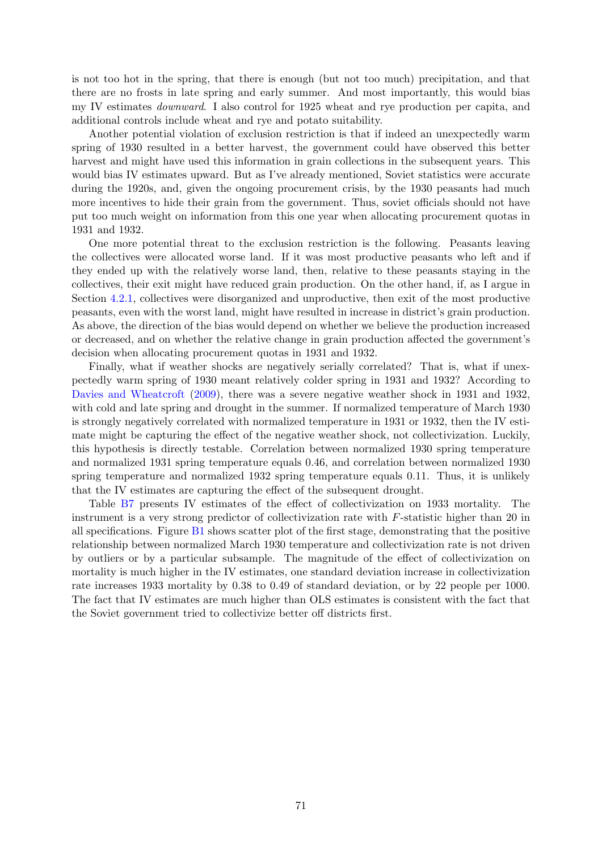is not too hot in the spring, that there is enough (but not too much) precipitation, and that there are no frosts in late spring and early summer. And most importantly, this would bias my IV estimates downward. I also control for 1925 wheat and rye production per capita, and additional controls include wheat and rye and potato suitability.

Another potential violation of exclusion restriction is that if indeed an unexpectedly warm spring of 1930 resulted in a better harvest, the government could have observed this better harvest and might have used this information in grain collections in the subsequent years. This would bias IV estimates upward. But as I've already mentioned, Soviet statistics were accurate during the 1920s, and, given the ongoing procurement crisis, by the 1930 peasants had much more incentives to hide their grain from the government. Thus, soviet officials should not have put too much weight on information from this one year when allocating procurement quotas in 1931 and 1932.

One more potential threat to the exclusion restriction is the following. Peasants leaving the collectives were allocated worse land. If it was most productive peasants who left and if they ended up with the relatively worse land, then, relative to these peasants staying in the collectives, their exit might have reduced grain production. On the other hand, if, as I argue in Section [4.2.1,](#page-27-1) collectives were disorganized and unproductive, then exit of the most productive peasants, even with the worst land, might have resulted in increase in district's grain production. As above, the direction of the bias would depend on whether we believe the production increased or decreased, and on whether the relative change in grain production affected the government's decision when allocating procurement quotas in 1931 and 1932.

Finally, what if weather shocks are negatively serially correlated? That is, what if unexpectedly warm spring of 1930 meant relatively colder spring in 1931 and 1932? According to [Davies and Wheatcroft](#page-40-0) [\(2009\)](#page-40-0), there was a severe negative weather shock in 1931 and 1932, with cold and late spring and drought in the summer. If normalized temperature of March 1930 is strongly negatively correlated with normalized temperature in 1931 or 1932, then the IV estimate might be capturing the effect of the negative weather shock, not collectivization. Luckily, this hypothesis is directly testable. Correlation between normalized 1930 spring temperature and normalized 1931 spring temperature equals 0.46, and correlation between normalized 1930 spring temperature and normalized 1932 spring temperature equals 0.11. Thus, it is unlikely that the IV estimates are capturing the effect of the subsequent drought.

Table [B7](#page-72-0) presents IV estimates of the effect of collectivization on 1933 mortality. The instrument is a very strong predictor of collectivization rate with F-statistic higher than 20 in all specifications. Figure [B1](#page-72-1) shows scatter plot of the first stage, demonstrating that the positive relationship between normalized March 1930 temperature and collectivization rate is not driven by outliers or by a particular subsample. The magnitude of the effect of collectivization on mortality is much higher in the IV estimates, one standard deviation increase in collectivization rate increases 1933 mortality by 0.38 to 0.49 of standard deviation, or by 22 people per 1000. The fact that IV estimates are much higher than OLS estimates is consistent with the fact that the Soviet government tried to collectivize better off districts first.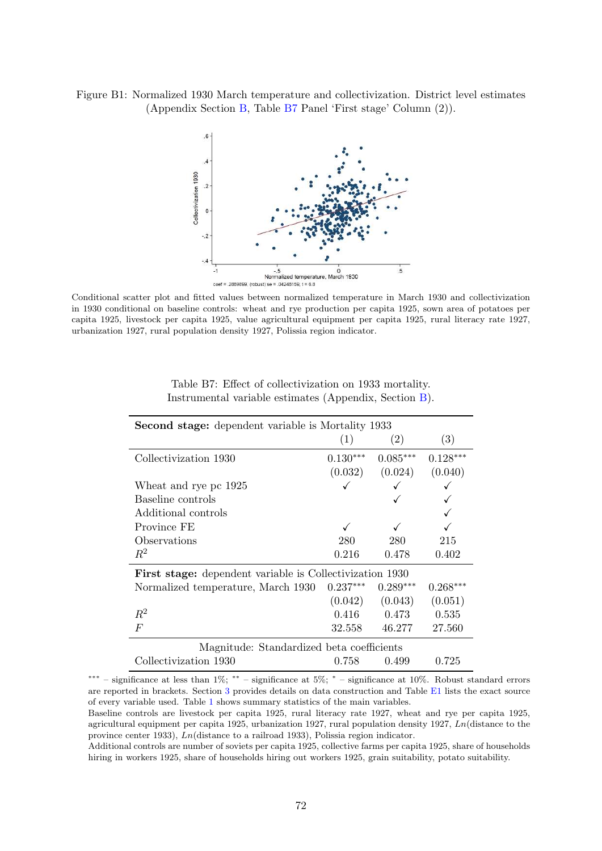Figure B1: Normalized 1930 March temperature and collectivization. District level estimates (Appendix Section [B,](#page-70-0) Table [B7](#page-72-0) Panel 'First stage' Column (2)).



Conditional scatter plot and fitted values between normalized temperature in March 1930 and collectivization in 1930 conditional on baseline controls: wheat and rye production per capita 1925, sown area of potatoes per capita 1925, livestock per capita 1925, value agricultural equipment per capita 1925, rural literacy rate 1927, urbanization 1927, rural population density 1927, Polissia region indicator.

<span id="page-72-0"></span>

| <b>Second stage:</b> dependent variable is Mortality 1933       |            |                     |            |  |
|-----------------------------------------------------------------|------------|---------------------|------------|--|
|                                                                 | (1)        | (2)                 | (3)        |  |
| Collectivization 1930                                           | $0.130***$ | $0.085***$          | $0.128***$ |  |
|                                                                 |            | $(0.032)$ $(0.024)$ | (0.040)    |  |
| Wheat and rye pc 1925                                           |            |                     |            |  |
| Baseline controls                                               |            |                     |            |  |
| Additional controls                                             |            |                     |            |  |
| Province FE                                                     |            |                     |            |  |
| Observations                                                    | 280        | 280                 | 215        |  |
| $\mathbb{R}^2$                                                  | 0.216      | 0.478               | 0.402      |  |
| <b>First stage:</b> dependent variable is Collectivization 1930 |            |                     |            |  |
| Normalized temperature, March 1930                              | $0.237***$ | $0.289***$          | $0.268***$ |  |
|                                                                 | (0.042)    | (0.043)             | (0.051)    |  |
| $R^2$                                                           | 0.416      | $0.473\,$           | 0.535      |  |
| $\overline{F}$                                                  | 32.558     | 46.277              | 27.560     |  |
| Magnitude: Standardized beta coefficients                       |            |                     |            |  |
| Collectivization 1930                                           | 0.758      | 0.499               | 0.725      |  |

Table B7: Effect of collectivization on 1933 mortality. Instrumental variable estimates (Appendix, Section [B\)](#page-70-0).

<sup>∗∗∗</sup> – significance at less than 1%; ∗∗ – significance at 5%; <sup>∗</sup> – significance at 10%. Robust standard errors are reported in brackets. Section [3](#page-11-0) provides details on data construction and Table [E1](#page-79-0) lists the exact source of every variable used. Table [1](#page-53-0) shows summary statistics of the main variables.

Baseline controls are livestock per capita 1925, rural literacy rate 1927, wheat and rye per capita 1925, agricultural equipment per capita 1925, urbanization 1927, rural population density 1927, Ln(distance to the province center 1933), Ln(distance to a railroad 1933), Polissia region indicator.

Additional controls are number of soviets per capita 1925, collective farms per capita 1925, share of households hiring in workers 1925, share of households hiring out workers 1925, grain suitability, potato suitability.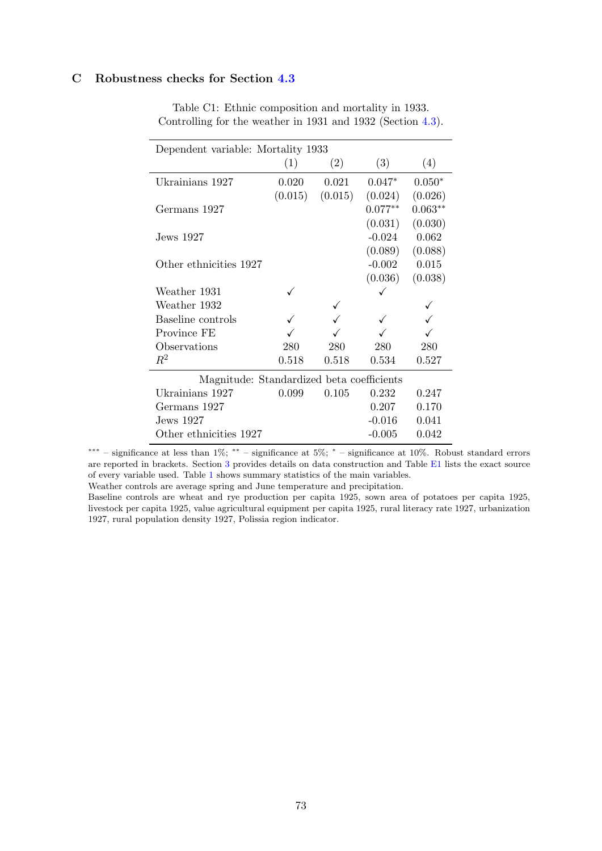## C Robustness checks for Section [4.3](#page-31-0)

| Dependent variable: Mortality 1933        |         |         |           |           |  |
|-------------------------------------------|---------|---------|-----------|-----------|--|
|                                           | (1)     | (2)     | (3)       | (4)       |  |
| Ukrainians 1927                           | 0.020   | 0.021   | $0.047*$  | $0.050*$  |  |
|                                           | (0.015) | (0.015) | (0.024)   | (0.026)   |  |
| Germans 1927                              |         |         | $0.077**$ | $0.063**$ |  |
|                                           |         |         | (0.031)   | (0.030)   |  |
| Jews 1927.                                |         |         | $-0.024$  | 0.062     |  |
|                                           |         |         | (0.089)   | (0.088)   |  |
| Other ethnicities 1927                    |         |         | $-0.002$  | 0.015     |  |
|                                           |         |         | (0.036)   | (0.038)   |  |
| Weather 1931                              |         |         |           |           |  |
| Weather 1932                              |         |         |           |           |  |
| Baseline controls                         |         |         |           |           |  |
| Province FE                               |         |         |           |           |  |
| Observations                              | 280     | 280     | 280       | 280       |  |
| $R^2$                                     | 0.518   | 0.518   | 0.534     | 0.527     |  |
| Magnitude: Standardized beta coefficients |         |         |           |           |  |
| Ukrainians 1927                           | 0.099   | 0.105   | 0.232     | 0.247     |  |
| Germans 1927                              |         |         | 0.207     | 0.170     |  |
| Jews 1927                                 |         |         | $-0.016$  | 0.041     |  |
| Other ethnicities 1927                    |         |         | $-0.005$  | 0.042     |  |

Table C1: Ethnic composition and mortality in 1933. Controlling for the weather in 1931 and 1932 (Section [4.3\)](#page-31-0).

∗∗∗ – significance at less than 1%; ∗∗ – significance at 5%; <sup>∗</sup> – significance at 10%. Robust standard errors are reported in brackets. Section [3](#page-11-0) provides details on data construction and Table [E1](#page-79-0) lists the exact source of every variable used. Table [1](#page-53-0) shows summary statistics of the main variables.

Weather controls are average spring and June temperature and precipitation.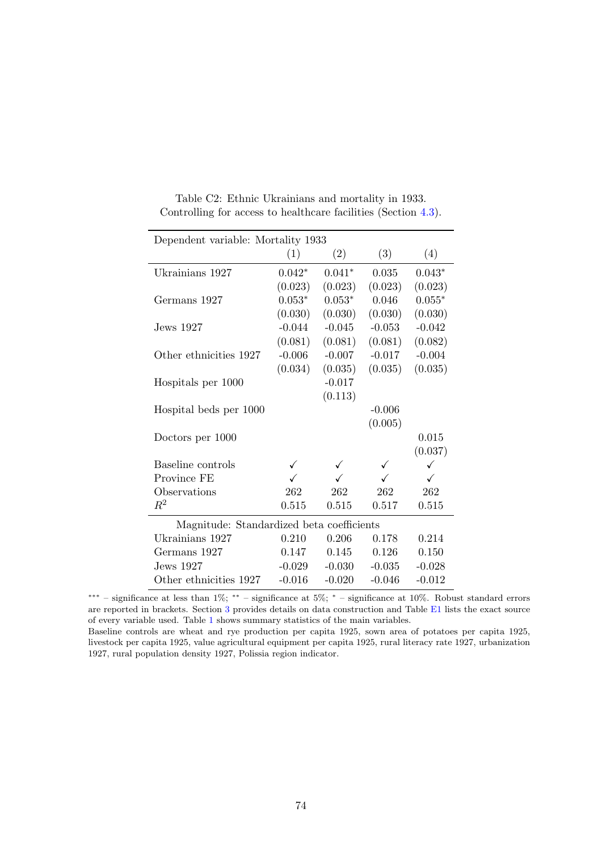| Dependent variable: Mortality 1933        |          |          |          |          |  |
|-------------------------------------------|----------|----------|----------|----------|--|
|                                           | (1)      | (2)      | (3)      | (4)      |  |
| Ukrainians 1927                           | $0.042*$ | $0.041*$ | 0.035    | $0.043*$ |  |
|                                           | (0.023)  | (0.023)  | (0.023)  | (0.023)  |  |
| Germans 1927                              | $0.053*$ | $0.053*$ | 0.046    | $0.055*$ |  |
|                                           | (0.030)  | (0.030)  | (0.030)  | (0.030)  |  |
| Jews 1927                                 | $-0.044$ | $-0.045$ | $-0.053$ | $-0.042$ |  |
|                                           | (0.081)  | (0.081)  | (0.081)  | (0.082)  |  |
| Other ethnicities 1927                    | $-0.006$ | $-0.007$ | $-0.017$ | $-0.004$ |  |
|                                           | (0.034)  | (0.035)  | (0.035)  | (0.035)  |  |
| Hospitals per 1000                        |          | $-0.017$ |          |          |  |
|                                           |          | (0.113)  |          |          |  |
| Hospital beds per 1000                    |          |          | $-0.006$ |          |  |
|                                           |          |          | (0.005)  |          |  |
| Doctors per 1000                          |          |          |          | 0.015    |  |
|                                           |          |          |          | (0.037)  |  |
| Baseline controls                         |          |          |          | ✓        |  |
| Province FE                               | ✓        |          |          | ✓        |  |
| Observations                              | 262      | 262      | 262      | 262      |  |
| $\mathbb{R}^2$                            | 0.515    | 0.515    | 0.517    | 0.515    |  |
| Magnitude: Standardized beta coefficients |          |          |          |          |  |
| Ukrainians 1927                           | 0.210    | 0.206    | 0.178    | 0.214    |  |
| Germans 1927                              | 0.147    | 0.145    | 0.126    | 0.150    |  |
| <b>Jews</b> 1927                          | $-0.029$ | $-0.030$ | $-0.035$ | $-0.028$ |  |
| Other ethnicities 1927                    | $-0.016$ | $-0.020$ | $-0.046$ | $-0.012$ |  |

Table C2: Ethnic Ukrainians and mortality in 1933. Controlling for access to healthcare facilities (Section [4.3\)](#page-31-0).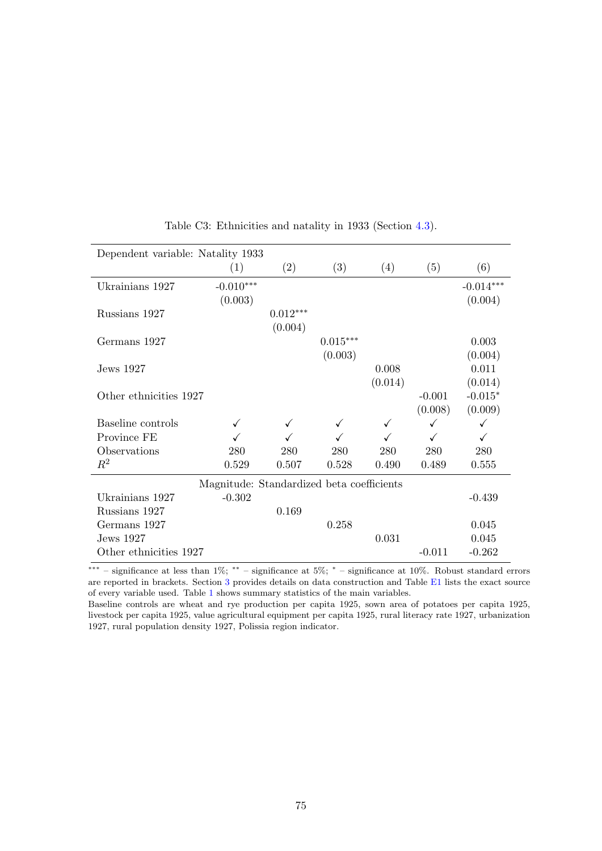| Dependent variable: Natality 1933 |                                           |              |            |              |          |             |
|-----------------------------------|-------------------------------------------|--------------|------------|--------------|----------|-------------|
|                                   | (1)                                       | (2)          | (3)        | (4)          | (5)      | (6)         |
| Ukrainians 1927                   | $-0.010***$                               |              |            |              |          | $-0.014***$ |
|                                   | (0.003)                                   |              |            |              |          | (0.004)     |
| Russians 1927                     |                                           | $0.012***$   |            |              |          |             |
|                                   |                                           | (0.004)      |            |              |          |             |
| Germans 1927                      |                                           |              | $0.015***$ |              |          | 0.003       |
|                                   |                                           |              | (0.003)    |              |          | (0.004)     |
| Jews 1927                         |                                           |              |            | 0.008        |          | 0.011       |
|                                   |                                           |              |            | (0.014)      |          | (0.014)     |
| Other ethnicities 1927            |                                           |              |            |              | $-0.001$ | $-0.015*$   |
|                                   |                                           |              |            |              | (0.008)  | (0.009)     |
| Baseline controls                 |                                           | $\checkmark$ | ✓          | $\checkmark$ | ✓        | ✓           |
| Province FE                       |                                           |              |            |              | ✓        | ✓           |
| Observations                      | 280                                       | 280          | 280        | 280          | 280      | 280         |
| $\,R^2$                           | 0.529                                     | 0.507        | 0.528      | 0.490        | 0.489    | 0.555       |
|                                   | Magnitude: Standardized beta coefficients |              |            |              |          |             |
| Ukrainians 1927                   | $-0.302$                                  |              |            |              |          | $-0.439$    |
| Russians 1927                     |                                           | 0.169        |            |              |          |             |
| Germans 1927                      |                                           |              | 0.258      |              |          | 0.045       |
| Jews 1927                         |                                           |              |            | 0.031        |          | 0.045       |
| Other ethnicities 1927            |                                           |              |            |              | $-0.011$ | $-0.262$    |

Table C3: Ethnicities and natality in 1933 (Section [4.3\)](#page-31-0).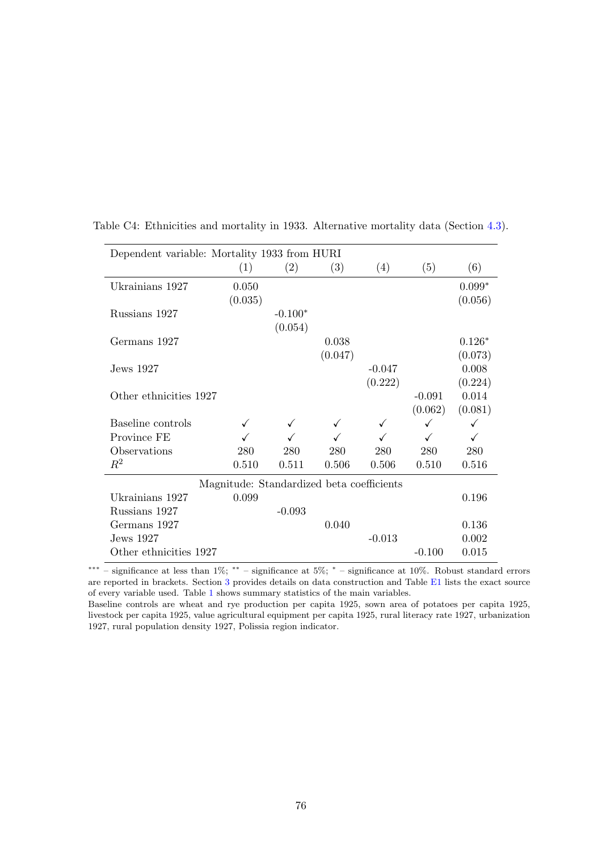| Dependent variable: Mortality 1933 from HURI |         |                                           |              |          |              |          |
|----------------------------------------------|---------|-------------------------------------------|--------------|----------|--------------|----------|
|                                              | (1)     | (2)                                       | (3)          | (4)      | (5)          | (6)      |
| Ukrainians 1927                              | 0.050   |                                           |              |          |              | $0.099*$ |
|                                              | (0.035) |                                           |              |          |              | (0.056)  |
| Russians 1927                                |         | $-0.100*$                                 |              |          |              |          |
|                                              |         | (0.054)                                   |              |          |              |          |
| Germans 1927                                 |         |                                           | 0.038        |          |              | $0.126*$ |
|                                              |         |                                           | (0.047)      |          |              | (0.073)  |
| Jews 1927                                    |         |                                           |              | $-0.047$ |              | 0.008    |
|                                              |         |                                           |              | (0.222)  |              | (0.224)  |
| Other ethnicities 1927                       |         |                                           |              |          | $-0.091$     | 0.014    |
|                                              |         |                                           |              |          | (0.062)      | (0.081)  |
| Baseline controls                            |         |                                           | $\checkmark$ | ✓        | $\checkmark$ |          |
| Province FE                                  |         |                                           |              |          | ✓            |          |
| Observations                                 | 280     | 280                                       | 280          | 280      | 280          | 280      |
| $\,R^2$                                      | 0.510   | 0.511                                     | 0.506        | 0.506    | 0.510        | 0.516    |
|                                              |         | Magnitude: Standardized beta coefficients |              |          |              |          |
| Ukrainians 1927                              | 0.099   |                                           |              |          |              | 0.196    |
| Russians 1927                                |         | $-0.093$                                  |              |          |              |          |
| Germans 1927                                 |         |                                           | 0.040        |          |              | 0.136    |
| Jews 1927                                    |         |                                           |              | $-0.013$ |              | 0.002    |
| Other ethnicities 1927                       |         |                                           |              |          | $-0.100$     | 0.015    |

Table C4: Ethnicities and mortality in 1933. Alternative mortality data (Section [4.3\)](#page-31-0).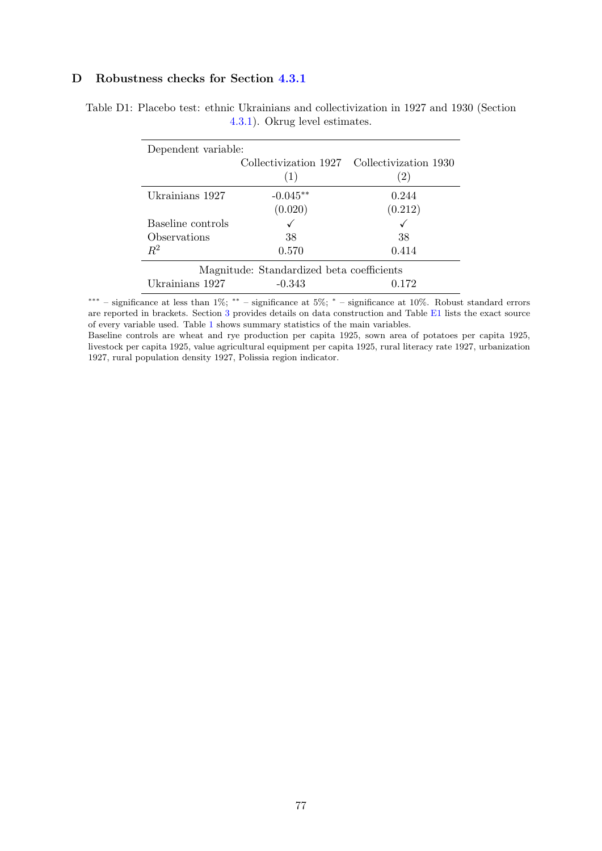## D Robustness checks for Section [4.3.1](#page-36-0)

| Dependent variable:                       |            |                                             |  |
|-------------------------------------------|------------|---------------------------------------------|--|
|                                           |            | Collectivization 1927 Collectivization 1930 |  |
|                                           | (1)        | $\left( 2\right)$                           |  |
| Ukrainians 1927                           | $-0.045**$ | 0.244                                       |  |
|                                           | (0.020)    | (0.212)                                     |  |
| Baseline controls                         |            |                                             |  |
| Observations                              | 38         | 38                                          |  |
| $R^2$                                     | 0.570      | 0.414                                       |  |
| Magnitude: Standardized beta coefficients |            |                                             |  |
| Ukrainians 1927                           | $-0.343$   | 0.172                                       |  |

Table D1: Placebo test: ethnic Ukrainians and collectivization in 1927 and 1930 (Section [4.3.1\)](#page-36-0). Okrug level estimates.

∗∗∗ – significance at less than 1%; ∗∗ – significance at 5%; <sup>∗</sup> – significance at 10%. Robust standard errors are reported in brackets. Section [3](#page-11-0) provides details on data construction and Table [E1](#page-79-0) lists the exact source of every variable used. Table [1](#page-53-0) shows summary statistics of the main variables.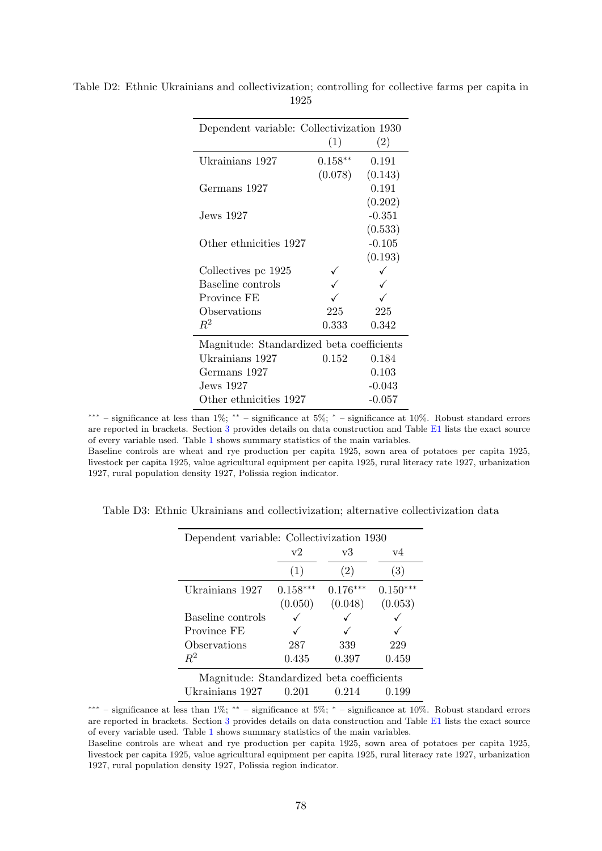| Dependent variable: Collectivization 1930 | (1)       | (2)      |
|-------------------------------------------|-----------|----------|
|                                           |           |          |
| Ukrainians 1927                           | $0.158**$ | 0.191    |
|                                           | (0.078)   | (0.143)  |
| Germans 1927                              |           | 0.191    |
|                                           |           | (0.202)  |
| Jews 1927                                 |           | $-0.351$ |
|                                           |           | (0.533)  |
| Other ethnicities 1927                    |           | $-0.105$ |
|                                           |           | (0.193)  |
| Collectives pc 1925                       |           |          |
| Baseline controls                         |           |          |
| Province FE                               |           |          |
| Observations                              | 225       | 225      |
| $R^2$                                     | 0.333     | 0.342    |
| Magnitude: Standardized beta coefficients |           |          |
| Ukrainians 1927                           | 0.152     | 0.184    |
| Germans 1927                              |           | 0.103    |
| Jews 1927                                 |           | $-0.043$ |
| Other ethnicities 1927                    |           | $-0.057$ |
|                                           |           |          |

Table D2: Ethnic Ukrainians and collectivization; controlling for collective farms per capita in 1925

Baseline controls are wheat and rye production per capita 1925, sown area of potatoes per capita 1925, livestock per capita 1925, value agricultural equipment per capita 1925, rural literacy rate 1927, urbanization 1927, rural population density 1927, Polissia region indicator.

| Dependent variable: Collectivization 1930 |               |            |            |
|-------------------------------------------|---------------|------------|------------|
|                                           | $\mathrm{v}2$ | v3         | v4         |
|                                           | (1)           | (2)        | (3)        |
| Ukrainians 1927                           | $0.158***$    | $0.176***$ | $0.150***$ |
|                                           | (0.050)       | (0.048)    | (0.053)    |
| Baseline controls                         |               |            |            |
| Province FE                               |               |            |            |
| Observations                              | 287           | 339        | 229        |
| $R^2$                                     | 0.435         | 0.397      | 0.459      |
| Magnitude: Standardized beta coefficients |               |            |            |
| Ukrainians 1927                           | 0.201         | 0.214      | 0.199      |

Table D3: Ethnic Ukrainians and collectivization; alternative collectivization data

∗∗∗ – significance at less than 1%; ∗∗ – significance at 5%; <sup>∗</sup> – significance at 10%. Robust standard errors are reported in brackets. Section [3](#page-11-0) provides details on data construction and Table [E1](#page-79-0) lists the exact source of every variable used. Table [1](#page-53-0) shows summary statistics of the main variables.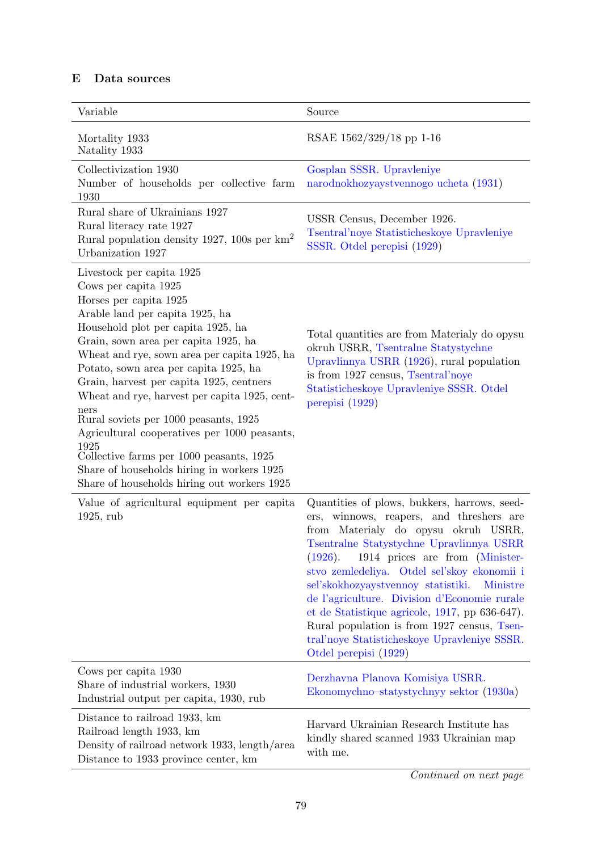## E Data sources

<span id="page-79-0"></span>

| Variable                                                                                                                                                                                                                                                                                                                                                                                                                                                                                                                                                                                                                             | Source                                                                                                                                                                                                                                                                                                                                                                                                                                                                                                                                                         |
|--------------------------------------------------------------------------------------------------------------------------------------------------------------------------------------------------------------------------------------------------------------------------------------------------------------------------------------------------------------------------------------------------------------------------------------------------------------------------------------------------------------------------------------------------------------------------------------------------------------------------------------|----------------------------------------------------------------------------------------------------------------------------------------------------------------------------------------------------------------------------------------------------------------------------------------------------------------------------------------------------------------------------------------------------------------------------------------------------------------------------------------------------------------------------------------------------------------|
| Mortality 1933                                                                                                                                                                                                                                                                                                                                                                                                                                                                                                                                                                                                                       | RSAE 1562/329/18 pp 1-16                                                                                                                                                                                                                                                                                                                                                                                                                                                                                                                                       |
| Natality 1933<br>Collectivization 1930<br>Number of households per collective farm                                                                                                                                                                                                                                                                                                                                                                                                                                                                                                                                                   | Gosplan SSSR. Upravleniye<br>narodnokhozyaystvennogo ucheta (1931)                                                                                                                                                                                                                                                                                                                                                                                                                                                                                             |
| 1930<br>Rural share of Ukrainians 1927<br>Rural literacy rate 1927<br>Rural population density 1927, 100s per $\text{km}^2$<br>Urbanization 1927                                                                                                                                                                                                                                                                                                                                                                                                                                                                                     | USSR Census, December 1926.<br>Tsentral'noye Statisticheskoye Upravleniye<br>SSSR. Otdel perepisi (1929)                                                                                                                                                                                                                                                                                                                                                                                                                                                       |
| Livestock per capita 1925<br>Cows per capita 1925<br>Horses per capita 1925<br>Arable land per capita 1925, ha<br>Household plot per capita 1925, ha<br>Grain, sown area per capita 1925, ha<br>Wheat and rye, sown area per capita 1925, ha<br>Potato, sown area per capita 1925, ha<br>Grain, harvest per capita 1925, centners<br>Wheat and rye, harvest per capita 1925, cent-<br>ners<br>Rural soviets per 1000 peasants, 1925<br>Agricultural cooperatives per 1000 peasants,<br>1925<br>Collective farms per 1000 peasants, 1925<br>Share of households hiring in workers 1925<br>Share of households hiring out workers 1925 | Total quantities are from Materialy do opysu<br>okruh USRR, Tsentralne Statystychne<br>Upravlinnya USRR (1926), rural population<br>is from 1927 census, Tsentral'noye<br>Statisticheskoye Upravleniye SSSR. Otdel<br>perepisi (1929)                                                                                                                                                                                                                                                                                                                          |
| Value of agricultural equipment per capita<br>$1925$ , rub                                                                                                                                                                                                                                                                                                                                                                                                                                                                                                                                                                           | Quantities of plows, bukkers, harrows, seed-<br>winnows, reapers, and threshers are<br>ers,<br>from Materialy do opysu okruh USRR,<br>Tsentralne Statystychne Upravlinnya USRR<br>(1926).<br>1914 prices are from (Minister-<br>stvo zemledeliya. Otdel sel'skoy ekonomii i<br>sel'skokhozyaystvennoy statistiki.<br><b>Ministre</b><br>de l'agriculture. Division d'Economie rurale<br>et de Statistique agricole, 1917, pp 636-647).<br>Rural population is from 1927 census, Tsen-<br>tral'noye Statisticheskoye Upravleniye SSSR.<br>Otdel perepisi (1929) |
| Cows per capita 1930<br>Share of industrial workers, 1930<br>Industrial output per capita, 1930, rub                                                                                                                                                                                                                                                                                                                                                                                                                                                                                                                                 | Derzhavna Planova Komisiya USRR.<br>Ekonomychno-statystychnyy sektor (1930a)                                                                                                                                                                                                                                                                                                                                                                                                                                                                                   |
| Distance to railroad 1933, km<br>Railroad length 1933, km<br>Density of railroad network 1933, length/area<br>Distance to 1933 province center, km                                                                                                                                                                                                                                                                                                                                                                                                                                                                                   | Harvard Ukrainian Research Institute has<br>kindly shared scanned 1933 Ukrainian map<br>with me.                                                                                                                                                                                                                                                                                                                                                                                                                                                               |

Continued on next page